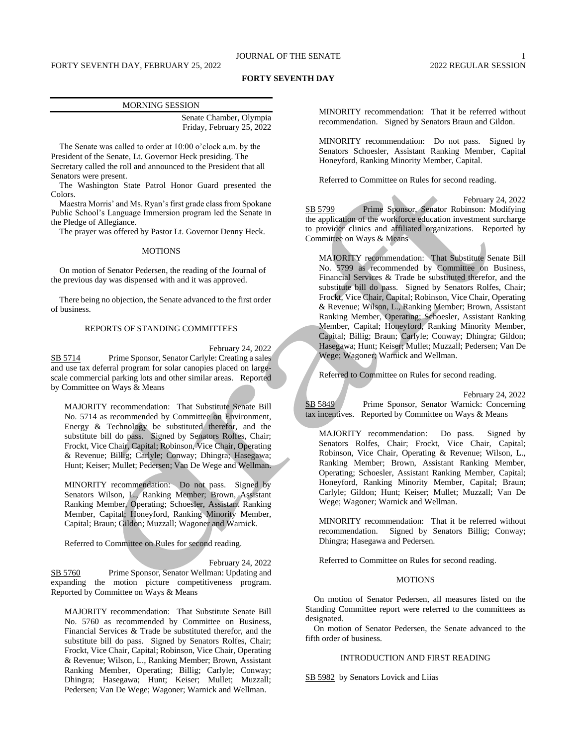## **FORTY SEVENTH DAY**

| <b>MORNING SESSION</b> |                           |
|------------------------|---------------------------|
|                        | Senate Chamber, Olympia   |
|                        | Friday, February 25, 2022 |

The Senate was called to order at 10:00 o'clock a.m. by the President of the Senate, Lt. Governor Heck presiding. The Secretary called the roll and announced to the President that all Senators were present.

The Washington State Patrol Honor Guard presented the Colors.

Maestra Morris' and Ms. Ryan's first grade class from Spokane Public School's Language Immersion program led the Senate in the Pledge of Allegiance.

The prayer was offered by Pastor Lt. Governor Denny Heck.

#### **MOTIONS**

On motion of Senator Pedersen, the reading of the Journal of the previous day was dispensed with and it was approved.

There being no objection, the Senate advanced to the first order of business.

## REPORTS OF STANDING COMMITTEES

February 24, 2022

SB 5714 Prime Sponsor, Senator Carlyle: Creating a sales and use tax deferral program for solar canopies placed on largescale commercial parking lots and other similar areas. Reported by Committee on Ways & Means

MAJORITY recommendation: That Substitute Senate Bill No. 5714 as recommended by Committee on Environment, Energy & Technology be substituted therefor, and the substitute bill do pass. Signed by Senators Rolfes, Chair; Frockt, Vice Chair, Capital; Robinson, Vice Chair, Operating & Revenue; Billig; Carlyle; Conway; Dhingra; Hasegawa; Hunt; Keiser; Mullet; Pedersen; Van De Wege and Wellman.

MINORITY recommendation: Do not pass. Signed by Senators Wilson, L., Ranking Member; Brown, Assistant Ranking Member, Operating; Schoesler, Assistant Ranking Member, Capital; Honeyford, Ranking Minority Member, Capital; Braun; Gildon; Muzzall; Wagoner and Warnick.

Referred to Committee on Rules for second reading.

February 24, 2022

SB 5760 Prime Sponsor, Senator Wellman: Updating and expanding the motion picture competitiveness program. Reported by Committee on Ways & Means

MAJORITY recommendation: That Substitute Senate Bill No. 5760 as recommended by Committee on Business, Financial Services & Trade be substituted therefor, and the substitute bill do pass. Signed by Senators Rolfes, Chair; Frockt, Vice Chair, Capital; Robinson, Vice Chair, Operating & Revenue; Wilson, L., Ranking Member; Brown, Assistant Ranking Member, Operating; Billig; Carlyle; Conway; Dhingra; Hasegawa; Hunt; Keiser; Mullet; Muzzall; Pedersen; Van De Wege; Wagoner; Warnick and Wellman.

MINORITY recommendation: That it be referred without recommendation. Signed by Senators Braun and Gildon.

MINORITY recommendation: Do not pass. Signed by Senators Schoesler, Assistant Ranking Member, Capital Honeyford, Ranking Minority Member, Capital.

Referred to Committee on Rules for second reading.

February 24, 2022 SB 5799 Prime Sponsor, Senator Robinson: Modifying the application of the workforce education investment surcharge to provider clinics and affiliated organizations. Reported by Committee on Ways & Means

MAJORITY recommendation: That Substitute Senate Bill No. 5799 as recommended by Committee on Business, Financial Services & Trade be substituted therefor, and the substitute bill do pass. Signed by Senators Rolfes, Chair; Frockt, Vice Chair, Capital; Robinson, Vice Chair, Operating & Revenue; Wilson, L., Ranking Member; Brown, Assistant Ranking Member, Operating; Schoesler, Assistant Ranking Member, Capital; Honeyford, Ranking Minority Member, Capital; Billig; Braun; Carlyle; Conway; Dhingra; Gildon; Hasegawa; Hunt; Keiser; Mullet; Muzzall; Pedersen; Van De Wege; Wagoner; Warnick and Wellman.

Referred to Committee on Rules for second reading.

February 24, 2022 SB 5849 Prime Sponsor, Senator Warnick: Concerning tax incentives. Reported by Committee on Ways & Means

MAJORITY recommendation: Do pass. Signed by Senators Rolfes, Chair; Frockt, Vice Chair, Capital; Robinson, Vice Chair, Operating & Revenue; Wilson, L., Ranking Member; Brown, Assistant Ranking Member, Operating; Schoesler, Assistant Ranking Member, Capital; Honeyford, Ranking Minority Member, Capital; Braun; Carlyle; Gildon; Hunt; Keiser; Mullet; Muzzall; Van De Wege; Wagoner; Warnick and Wellman.

MINORITY recommendation: That it be referred without recommendation. Signed by Senators Billig; Conway; Dhingra; Hasegawa and Pedersen.

Referred to Committee on Rules for second reading.

## **MOTIONS**

On motion of Senator Pedersen, all measures listed on the Standing Committee report were referred to the committees as designated.

On motion of Senator Pedersen, the Senate advanced to the fifth order of business.

## INTRODUCTION AND FIRST READING

SB 5982 by Senators Lovick and Liias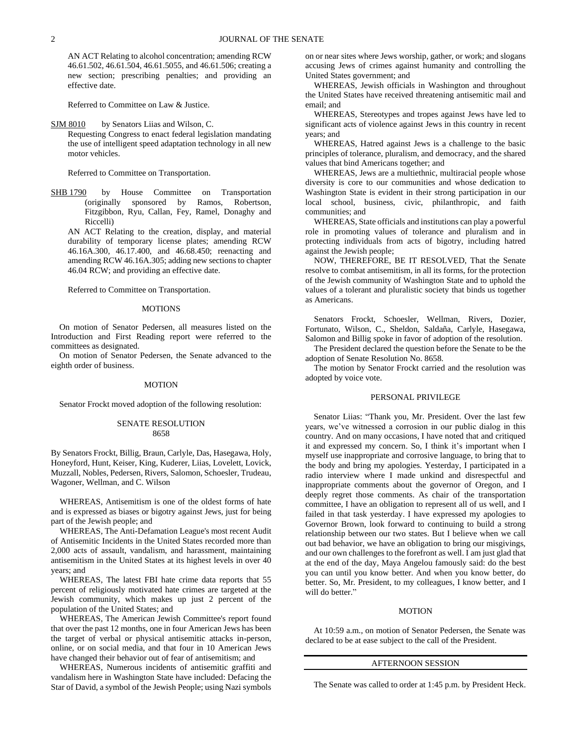AN ACT Relating to alcohol concentration; amending RCW 46.61.502, 46.61.504, 46.61.5055, and 46.61.506; creating a new section; prescribing penalties; and providing an effective date.

Referred to Committee on Law & Justice.

SJM 8010 by Senators Liias and Wilson, C.

Requesting Congress to enact federal legislation mandating the use of intelligent speed adaptation technology in all new motor vehicles.

Referred to Committee on Transportation.

SHB 1790 by House Committee on Transportation (originally sponsored by Ramos, Robertson, Fitzgibbon, Ryu, Callan, Fey, Ramel, Donaghy and Riccelli)

AN ACT Relating to the creation, display, and material durability of temporary license plates; amending RCW 46.16A.300, 46.17.400, and 46.68.450; reenacting and amending RCW 46.16A.305; adding new sections to chapter 46.04 RCW; and providing an effective date.

Referred to Committee on Transportation.

### **MOTIONS**

On motion of Senator Pedersen, all measures listed on the Introduction and First Reading report were referred to the committees as designated.

On motion of Senator Pedersen, the Senate advanced to the eighth order of business.

#### MOTION

Senator Frockt moved adoption of the following resolution:

### SENATE RESOLUTION 8658

By Senators Frockt, Billig, Braun, Carlyle, Das, Hasegawa, Holy, Honeyford, Hunt, Keiser, King, Kuderer, Liias, Lovelett, Lovick, Muzzall, Nobles, Pedersen, Rivers, Salomon, Schoesler, Trudeau, Wagoner, Wellman, and C. Wilson

WHEREAS, Antisemitism is one of the oldest forms of hate and is expressed as biases or bigotry against Jews, just for being part of the Jewish people; and

WHEREAS, The Anti-Defamation League's most recent Audit of Antisemitic Incidents in the United States recorded more than 2,000 acts of assault, vandalism, and harassment, maintaining antisemitism in the United States at its highest levels in over 40 years; and

WHEREAS, The latest FBI hate crime data reports that 55 percent of religiously motivated hate crimes are targeted at the Jewish community, which makes up just 2 percent of the population of the United States; and

WHEREAS, The American Jewish Committee's report found that over the past 12 months, one in four American Jews has been the target of verbal or physical antisemitic attacks in-person, online, or on social media, and that four in 10 American Jews have changed their behavior out of fear of antisemitism; and

WHEREAS, Numerous incidents of antisemitic graffiti and vandalism here in Washington State have included: Defacing the Star of David, a symbol of the Jewish People; using Nazi symbols on or near sites where Jews worship, gather, or work; and slogans accusing Jews of crimes against humanity and controlling the United States government; and

WHEREAS, Jewish officials in Washington and throughout the United States have received threatening antisemitic mail and email; and

WHEREAS, Stereotypes and tropes against Jews have led to significant acts of violence against Jews in this country in recent years; and

WHEREAS, Hatred against Jews is a challenge to the basic principles of tolerance, pluralism, and democracy, and the shared values that bind Americans together; and

WHEREAS, Jews are a multiethnic, multiracial people whose diversity is core to our communities and whose dedication to Washington State is evident in their strong participation in our local school, business, civic, philanthropic, and faith communities; and

WHEREAS, State officials and institutions can play a powerful role in promoting values of tolerance and pluralism and in protecting individuals from acts of bigotry, including hatred against the Jewish people;

NOW, THEREFORE, BE IT RESOLVED, That the Senate resolve to combat antisemitism, in all its forms, for the protection of the Jewish community of Washington State and to uphold the values of a tolerant and pluralistic society that binds us together as Americans.

Senators Frockt, Schoesler, Wellman, Rivers, Dozier, Fortunato, Wilson, C., Sheldon, Saldaña, Carlyle, Hasegawa, Salomon and Billig spoke in favor of adoption of the resolution.

The President declared the question before the Senate to be the adoption of Senate Resolution No. 8658.

The motion by Senator Frockt carried and the resolution was adopted by voice vote.

#### PERSONAL PRIVILEGE

Senator Liias: "Thank you, Mr. President. Over the last few years, we've witnessed a corrosion in our public dialog in this country. And on many occasions, I have noted that and critiqued it and expressed my concern. So, I think it's important when I myself use inappropriate and corrosive language, to bring that to the body and bring my apologies. Yesterday, I participated in a radio interview where I made unkind and disrespectful and inappropriate comments about the governor of Oregon, and I deeply regret those comments. As chair of the transportation committee, I have an obligation to represent all of us well, and I failed in that task yesterday. I have expressed my apologies to Governor Brown, look forward to continuing to build a strong relationship between our two states. But I believe when we call out bad behavior, we have an obligation to bring our misgivings, and our own challenges to the forefront as well. I am just glad that at the end of the day, Maya Angelou famously said: do the best you can until you know better. And when you know better, do better. So, Mr. President, to my colleagues, I know better, and I will do better."

#### **MOTION**

At 10:59 a.m., on motion of Senator Pedersen, the Senate was declared to be at ease subject to the call of the President.

#### AFTERNOON SESSION

The Senate was called to order at 1:45 p.m. by President Heck.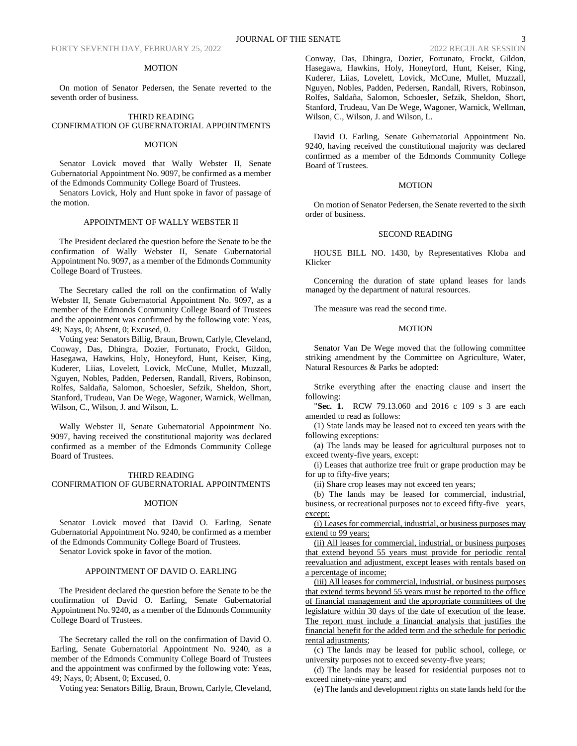### MOTION

On motion of Senator Pedersen, the Senate reverted to the seventh order of business.

#### THIRD READING CONFIRMATION OF GUBERNATORIAL APPOINTMENTS

#### **MOTION**

Senator Lovick moved that Wally Webster II, Senate Gubernatorial Appointment No. 9097, be confirmed as a member of the Edmonds Community College Board of Trustees.

Senators Lovick, Holy and Hunt spoke in favor of passage of the motion.

## APPOINTMENT OF WALLY WEBSTER II

The President declared the question before the Senate to be the confirmation of Wally Webster II, Senate Gubernatorial Appointment No. 9097, as a member of the Edmonds Community College Board of Trustees.

The Secretary called the roll on the confirmation of Wally Webster II, Senate Gubernatorial Appointment No. 9097, as a member of the Edmonds Community College Board of Trustees and the appointment was confirmed by the following vote: Yeas, 49; Nays, 0; Absent, 0; Excused, 0.

Voting yea: Senators Billig, Braun, Brown, Carlyle, Cleveland, Conway, Das, Dhingra, Dozier, Fortunato, Frockt, Gildon, Hasegawa, Hawkins, Holy, Honeyford, Hunt, Keiser, King, Kuderer, Liias, Lovelett, Lovick, McCune, Mullet, Muzzall, Nguyen, Nobles, Padden, Pedersen, Randall, Rivers, Robinson, Rolfes, Saldaña, Salomon, Schoesler, Sefzik, Sheldon, Short, Stanford, Trudeau, Van De Wege, Wagoner, Warnick, Wellman, Wilson, C., Wilson, J. and Wilson, L.

Wally Webster II, Senate Gubernatorial Appointment No. 9097, having received the constitutional majority was declared confirmed as a member of the Edmonds Community College Board of Trustees.

### THIRD READING

### CONFIRMATION OF GUBERNATORIAL APPOINTMENTS

### MOTION

Senator Lovick moved that David O. Earling, Senate Gubernatorial Appointment No. 9240, be confirmed as a member of the Edmonds Community College Board of Trustees.

Senator Lovick spoke in favor of the motion.

## APPOINTMENT OF DAVID O. EARLING

The President declared the question before the Senate to be the confirmation of David O. Earling, Senate Gubernatorial Appointment No. 9240, as a member of the Edmonds Community College Board of Trustees.

The Secretary called the roll on the confirmation of David O. Earling, Senate Gubernatorial Appointment No. 9240, as a member of the Edmonds Community College Board of Trustees and the appointment was confirmed by the following vote: Yeas, 49; Nays, 0; Absent, 0; Excused, 0.

Voting yea: Senators Billig, Braun, Brown, Carlyle, Cleveland,

Conway, Das, Dhingra, Dozier, Fortunato, Frockt, Gildon, Hasegawa, Hawkins, Holy, Honeyford, Hunt, Keiser, King, Kuderer, Liias, Lovelett, Lovick, McCune, Mullet, Muzzall, Nguyen, Nobles, Padden, Pedersen, Randall, Rivers, Robinson, Rolfes, Saldaña, Salomon, Schoesler, Sefzik, Sheldon, Short, Stanford, Trudeau, Van De Wege, Wagoner, Warnick, Wellman, Wilson, C., Wilson, J. and Wilson, L.

David O. Earling, Senate Gubernatorial Appointment No. 9240, having received the constitutional majority was declared confirmed as a member of the Edmonds Community College Board of Trustees.

### **MOTION**

On motion of Senator Pedersen, the Senate reverted to the sixth order of business.

### SECOND READING

HOUSE BILL NO. 1430, by Representatives Kloba and Klicker

Concerning the duration of state upland leases for lands managed by the department of natural resources.

The measure was read the second time.

### **MOTION**

Senator Van De Wege moved that the following committee striking amendment by the Committee on Agriculture, Water, Natural Resources & Parks be adopted:

Strike everything after the enacting clause and insert the following:

"**Sec. 1.** RCW 79.13.060 and 2016 c 109 s 3 are each amended to read as follows:

(1) State lands may be leased not to exceed ten years with the following exceptions:

(a) The lands may be leased for agricultural purposes not to exceed twenty-five years, except:

(i) Leases that authorize tree fruit or grape production may be for up to fifty-five years;

(ii) Share crop leases may not exceed ten years;

(b) The lands may be leased for commercial, industrial, business, or recreational purposes not to exceed fifty-five years, except:

(i) Leases for commercial, industrial, or business purposes may extend to 99 years;

(ii) All leases for commercial, industrial, or business purposes that extend beyond 55 years must provide for periodic rental reevaluation and adjustment, except leases with rentals based on a percentage of income;

(iii) All leases for commercial, industrial, or business purposes that extend terms beyond 55 years must be reported to the office of financial management and the appropriate committees of the legislature within 30 days of the date of execution of the lease. The report must include a financial analysis that justifies the financial benefit for the added term and the schedule for periodic rental adjustments;

(c) The lands may be leased for public school, college, or university purposes not to exceed seventy-five years;

(d) The lands may be leased for residential purposes not to exceed ninety-nine years; and

(e) The lands and development rights on state lands held for the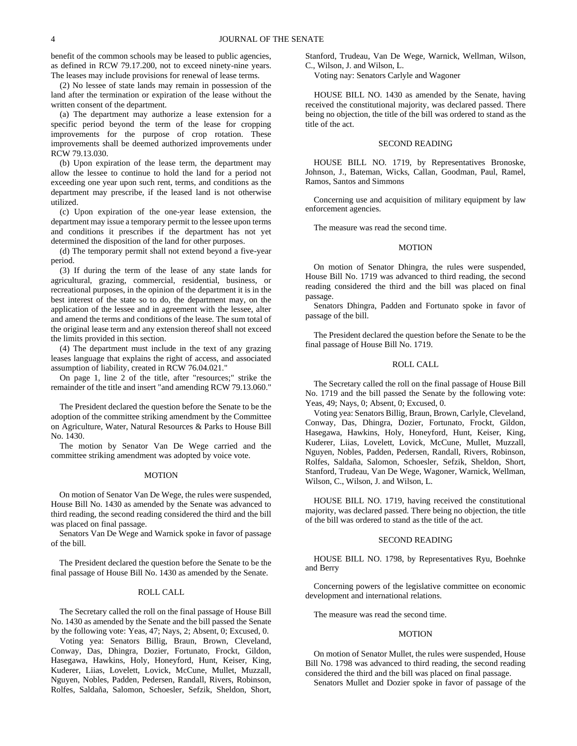benefit of the common schools may be leased to public agencies, as defined in RCW 79.17.200, not to exceed ninety-nine years. The leases may include provisions for renewal of lease terms.

(2) No lessee of state lands may remain in possession of the land after the termination or expiration of the lease without the written consent of the department.

(a) The department may authorize a lease extension for a specific period beyond the term of the lease for cropping improvements for the purpose of crop rotation. These improvements shall be deemed authorized improvements under RCW 79.13.030.

(b) Upon expiration of the lease term, the department may allow the lessee to continue to hold the land for a period not exceeding one year upon such rent, terms, and conditions as the department may prescribe, if the leased land is not otherwise utilized.

(c) Upon expiration of the one-year lease extension, the department may issue a temporary permit to the lessee upon terms and conditions it prescribes if the department has not yet determined the disposition of the land for other purposes.

(d) The temporary permit shall not extend beyond a five-year period.

(3) If during the term of the lease of any state lands for agricultural, grazing, commercial, residential, business, or recreational purposes, in the opinion of the department it is in the best interest of the state so to do, the department may, on the application of the lessee and in agreement with the lessee, alter and amend the terms and conditions of the lease. The sum total of the original lease term and any extension thereof shall not exceed the limits provided in this section.

(4) The department must include in the text of any grazing leases language that explains the right of access, and associated assumption of liability, created in RCW 76.04.021."

On page 1, line 2 of the title, after "resources;" strike the remainder of the title and insert "and amending RCW 79.13.060."

The President declared the question before the Senate to be the adoption of the committee striking amendment by the Committee on Agriculture, Water, Natural Resources & Parks to House Bill No. 1430.

The motion by Senator Van De Wege carried and the committee striking amendment was adopted by voice vote.

#### MOTION

On motion of Senator Van De Wege, the rules were suspended, House Bill No. 1430 as amended by the Senate was advanced to third reading, the second reading considered the third and the bill was placed on final passage.

Senators Van De Wege and Warnick spoke in favor of passage of the bill.

The President declared the question before the Senate to be the final passage of House Bill No. 1430 as amended by the Senate.

## ROLL CALL

The Secretary called the roll on the final passage of House Bill No. 1430 as amended by the Senate and the bill passed the Senate by the following vote: Yeas, 47; Nays, 2; Absent, 0; Excused, 0.

Voting yea: Senators Billig, Braun, Brown, Cleveland, Conway, Das, Dhingra, Dozier, Fortunato, Frockt, Gildon, Hasegawa, Hawkins, Holy, Honeyford, Hunt, Keiser, King, Kuderer, Liias, Lovelett, Lovick, McCune, Mullet, Muzzall, Nguyen, Nobles, Padden, Pedersen, Randall, Rivers, Robinson, Rolfes, Saldaña, Salomon, Schoesler, Sefzik, Sheldon, Short, Stanford, Trudeau, Van De Wege, Warnick, Wellman, Wilson, C., Wilson, J. and Wilson, L.

Voting nay: Senators Carlyle and Wagoner

HOUSE BILL NO. 1430 as amended by the Senate, having received the constitutional majority, was declared passed. There being no objection, the title of the bill was ordered to stand as the title of the act.

#### SECOND READING

HOUSE BILL NO. 1719, by Representatives Bronoske, Johnson, J., Bateman, Wicks, Callan, Goodman, Paul, Ramel, Ramos, Santos and Simmons

Concerning use and acquisition of military equipment by law enforcement agencies.

The measure was read the second time.

### **MOTION**

On motion of Senator Dhingra, the rules were suspended, House Bill No. 1719 was advanced to third reading, the second reading considered the third and the bill was placed on final passage.

Senators Dhingra, Padden and Fortunato spoke in favor of passage of the bill.

The President declared the question before the Senate to be the final passage of House Bill No. 1719.

### ROLL CALL

The Secretary called the roll on the final passage of House Bill No. 1719 and the bill passed the Senate by the following vote: Yeas, 49; Nays, 0; Absent, 0; Excused, 0.

Voting yea: Senators Billig, Braun, Brown, Carlyle, Cleveland, Conway, Das, Dhingra, Dozier, Fortunato, Frockt, Gildon, Hasegawa, Hawkins, Holy, Honeyford, Hunt, Keiser, King, Kuderer, Liias, Lovelett, Lovick, McCune, Mullet, Muzzall, Nguyen, Nobles, Padden, Pedersen, Randall, Rivers, Robinson, Rolfes, Saldaña, Salomon, Schoesler, Sefzik, Sheldon, Short, Stanford, Trudeau, Van De Wege, Wagoner, Warnick, Wellman, Wilson, C., Wilson, J. and Wilson, L.

HOUSE BILL NO. 1719, having received the constitutional majority, was declared passed. There being no objection, the title of the bill was ordered to stand as the title of the act.

### SECOND READING

HOUSE BILL NO. 1798, by Representatives Ryu, Boehnke and Berry

Concerning powers of the legislative committee on economic development and international relations.

The measure was read the second time.

### MOTION

On motion of Senator Mullet, the rules were suspended, House Bill No. 1798 was advanced to third reading, the second reading considered the third and the bill was placed on final passage.

Senators Mullet and Dozier spoke in favor of passage of the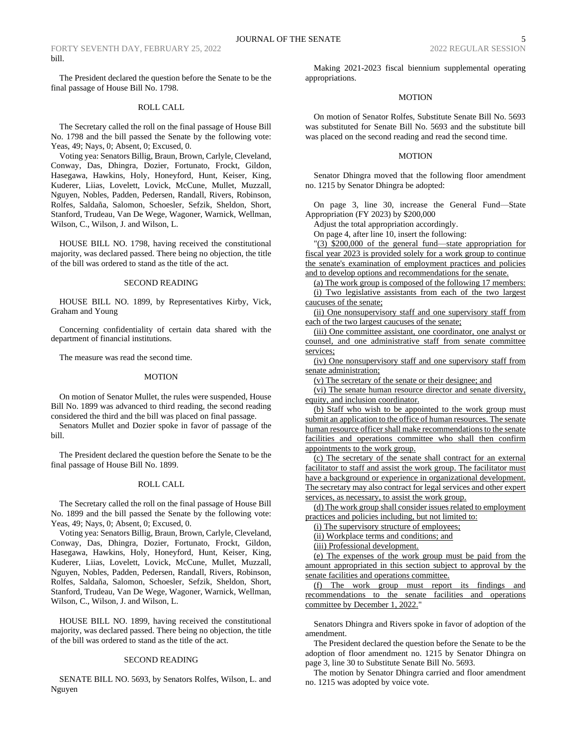The President declared the question before the Senate to be the final passage of House Bill No. 1798.

## ROLL CALL

The Secretary called the roll on the final passage of House Bill No. 1798 and the bill passed the Senate by the following vote: Yeas, 49; Nays, 0; Absent, 0; Excused, 0.

Voting yea: Senators Billig, Braun, Brown, Carlyle, Cleveland, Conway, Das, Dhingra, Dozier, Fortunato, Frockt, Gildon, Hasegawa, Hawkins, Holy, Honeyford, Hunt, Keiser, King, Kuderer, Liias, Lovelett, Lovick, McCune, Mullet, Muzzall, Nguyen, Nobles, Padden, Pedersen, Randall, Rivers, Robinson, Rolfes, Saldaña, Salomon, Schoesler, Sefzik, Sheldon, Short, Stanford, Trudeau, Van De Wege, Wagoner, Warnick, Wellman, Wilson, C., Wilson, J. and Wilson, L.

HOUSE BILL NO. 1798, having received the constitutional majority, was declared passed. There being no objection, the title of the bill was ordered to stand as the title of the act.

### SECOND READING

HOUSE BILL NO. 1899, by Representatives Kirby, Vick, Graham and Young

Concerning confidentiality of certain data shared with the department of financial institutions.

The measure was read the second time.

#### **MOTION**

On motion of Senator Mullet, the rules were suspended, House Bill No. 1899 was advanced to third reading, the second reading considered the third and the bill was placed on final passage.

Senators Mullet and Dozier spoke in favor of passage of the bill.

The President declared the question before the Senate to be the final passage of House Bill No. 1899.

### ROLL CALL

The Secretary called the roll on the final passage of House Bill No. 1899 and the bill passed the Senate by the following vote: Yeas, 49; Nays, 0; Absent, 0; Excused, 0.

Voting yea: Senators Billig, Braun, Brown, Carlyle, Cleveland, Conway, Das, Dhingra, Dozier, Fortunato, Frockt, Gildon, Hasegawa, Hawkins, Holy, Honeyford, Hunt, Keiser, King, Kuderer, Liias, Lovelett, Lovick, McCune, Mullet, Muzzall, Nguyen, Nobles, Padden, Pedersen, Randall, Rivers, Robinson, Rolfes, Saldaña, Salomon, Schoesler, Sefzik, Sheldon, Short, Stanford, Trudeau, Van De Wege, Wagoner, Warnick, Wellman, Wilson, C., Wilson, J. and Wilson, L.

HOUSE BILL NO. 1899, having received the constitutional majority, was declared passed. There being no objection, the title of the bill was ordered to stand as the title of the act.

### SECOND READING

SENATE BILL NO. 5693, by Senators Rolfes, Wilson, L. and Nguyen

Making 2021-2023 fiscal biennium supplemental operating appropriations.

## MOTION

On motion of Senator Rolfes, Substitute Senate Bill No. 5693 was substituted for Senate Bill No. 5693 and the substitute bill was placed on the second reading and read the second time.

### MOTION

Senator Dhingra moved that the following floor amendment no. 1215 by Senator Dhingra be adopted:

On page 3, line 30, increase the General Fund—State Appropriation (FY 2023) by \$200,000

Adjust the total appropriation accordingly.

On page 4, after line 10, insert the following:

"(3) \$200,000 of the general fund—state appropriation for fiscal year 2023 is provided solely for a work group to continue the senate's examination of employment practices and policies and to develop options and recommendations for the senate.

(a) The work group is composed of the following 17 members: (i) Two legislative assistants from each of the two largest caucuses of the senate;

(ii) One nonsupervisory staff and one supervisory staff from each of the two largest caucuses of the senate;

(iii) One committee assistant, one coordinator, one analyst or counsel, and one administrative staff from senate committee services;

(iv) One nonsupervisory staff and one supervisory staff from senate administration;

(v) The secretary of the senate or their designee; and

(vi) The senate human resource director and senate diversity, equity, and inclusion coordinator.

(b) Staff who wish to be appointed to the work group must submit an application to the office of human resources. The senate human resource officer shall make recommendations to the senate facilities and operations committee who shall then confirm appointments to the work group.

(c) The secretary of the senate shall contract for an external facilitator to staff and assist the work group. The facilitator must have a background or experience in organizational development. The secretary may also contract for legal services and other expert services, as necessary, to assist the work group.

(d) The work group shall consider issues related to employment practices and policies including, but not limited to:

(i) The supervisory structure of employees;

(ii) Workplace terms and conditions; and

(iii) Professional development.

(e) The expenses of the work group must be paid from the amount appropriated in this section subject to approval by the senate facilities and operations committee.

(f) The work group must report its findings and recommendations to the senate facilities and operations committee by December 1, 2022."

Senators Dhingra and Rivers spoke in favor of adoption of the amendment.

The President declared the question before the Senate to be the adoption of floor amendment no. 1215 by Senator Dhingra on page 3, line 30 to Substitute Senate Bill No. 5693.

The motion by Senator Dhingra carried and floor amendment no. 1215 was adopted by voice vote.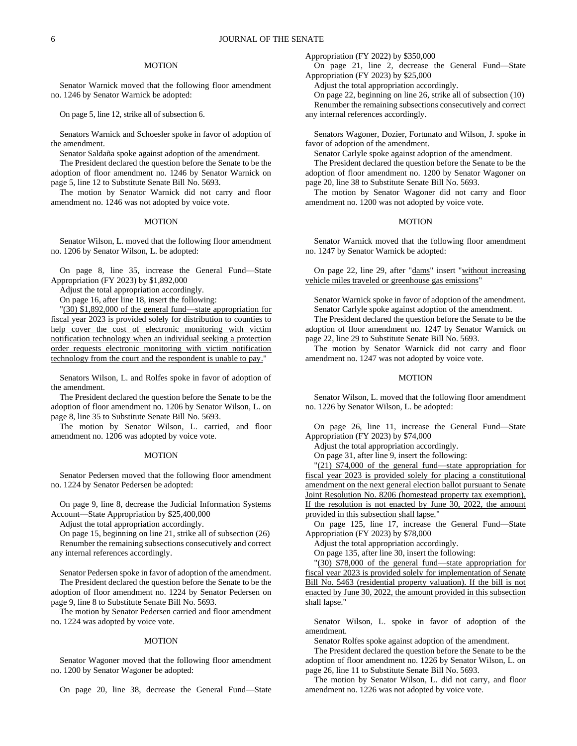#### MOTION

Senator Warnick moved that the following floor amendment no. 1246 by Senator Warnick be adopted:

On page 5, line 12, strike all of subsection 6.

Senators Warnick and Schoesler spoke in favor of adoption of the amendment.

Senator Saldaña spoke against adoption of the amendment.

The President declared the question before the Senate to be the adoption of floor amendment no. 1246 by Senator Warnick on page 5, line 12 to Substitute Senate Bill No. 5693.

The motion by Senator Warnick did not carry and floor amendment no. 1246 was not adopted by voice vote.

### MOTION

Senator Wilson, L. moved that the following floor amendment no. 1206 by Senator Wilson, L. be adopted:

On page 8, line 35, increase the General Fund—State Appropriation (FY 2023) by \$1,892,000

Adjust the total appropriation accordingly.

On page 16, after line 18, insert the following:

"(30) \$1,892,000 of the general fund—state appropriation for fiscal year 2023 is provided solely for distribution to counties to help cover the cost of electronic monitoring with victim notification technology when an individual seeking a protection order requests electronic monitoring with victim notification technology from the court and the respondent is unable to pay."

Senators Wilson, L. and Rolfes spoke in favor of adoption of the amendment.

The President declared the question before the Senate to be the adoption of floor amendment no. 1206 by Senator Wilson, L. on page 8, line 35 to Substitute Senate Bill No. 5693.

The motion by Senator Wilson, L. carried, and floor amendment no. 1206 was adopted by voice vote.

## MOTION

Senator Pedersen moved that the following floor amendment no. 1224 by Senator Pedersen be adopted:

On page 9, line 8, decrease the Judicial Information Systems Account—State Appropriation by \$25,400,000

Adjust the total appropriation accordingly.

On page 15, beginning on line 21, strike all of subsection (26) Renumber the remaining subsections consecutively and correct any internal references accordingly.

Senator Pedersen spoke in favor of adoption of the amendment. The President declared the question before the Senate to be the adoption of floor amendment no. 1224 by Senator Pedersen on page 9, line 8 to Substitute Senate Bill No. 5693.

The motion by Senator Pedersen carried and floor amendment no. 1224 was adopted by voice vote.

#### **MOTION**

Senator Wagoner moved that the following floor amendment no. 1200 by Senator Wagoner be adopted:

On page 20, line 38, decrease the General Fund—State

Appropriation (FY 2022) by \$350,000

On page 21, line 2, decrease the General Fund—State Appropriation (FY 2023) by \$25,000

Adjust the total appropriation accordingly.

On page 22, beginning on line 26, strike all of subsection (10) Renumber the remaining subsections consecutively and correct any internal references accordingly.

Senators Wagoner, Dozier, Fortunato and Wilson, J. spoke in favor of adoption of the amendment.

Senator Carlyle spoke against adoption of the amendment.

The President declared the question before the Senate to be the adoption of floor amendment no. 1200 by Senator Wagoner on page 20, line 38 to Substitute Senate Bill No. 5693.

The motion by Senator Wagoner did not carry and floor amendment no. 1200 was not adopted by voice vote.

### **MOTION**

Senator Warnick moved that the following floor amendment no. 1247 by Senator Warnick be adopted:

On page 22, line 29, after "dams" insert "without increasing vehicle miles traveled or greenhouse gas emissions"

Senator Warnick spoke in favor of adoption of the amendment. Senator Carlyle spoke against adoption of the amendment.

The President declared the question before the Senate to be the adoption of floor amendment no. 1247 by Senator Warnick on page 22, line 29 to Substitute Senate Bill No. 5693.

The motion by Senator Warnick did not carry and floor amendment no. 1247 was not adopted by voice vote.

### MOTION

Senator Wilson, L. moved that the following floor amendment no. 1226 by Senator Wilson, L. be adopted:

On page 26, line 11, increase the General Fund—State Appropriation (FY 2023) by \$74,000

Adjust the total appropriation accordingly.

On page 31, after line 9, insert the following:

"(21) \$74,000 of the general fund—state appropriation for fiscal year 2023 is provided solely for placing a constitutional amendment on the next general election ballot pursuant to Senate Joint Resolution No. 8206 (homestead property tax exemption). If the resolution is not enacted by June 30, 2022, the amount provided in this subsection shall lapse."

On page 125, line 17, increase the General Fund—State Appropriation (FY 2023) by \$78,000

Adjust the total appropriation accordingly.

On page 135, after line 30, insert the following:

"(30) \$78,000 of the general fund—state appropriation for fiscal year 2023 is provided solely for implementation of Senate Bill No. 5463 (residential property valuation). If the bill is not enacted by June 30, 2022, the amount provided in this subsection shall lapse."

Senator Wilson, L. spoke in favor of adoption of the amendment.

Senator Rolfes spoke against adoption of the amendment.

The President declared the question before the Senate to be the adoption of floor amendment no. 1226 by Senator Wilson, L. on page 26, line 11 to Substitute Senate Bill No. 5693.

The motion by Senator Wilson, L. did not carry, and floor amendment no. 1226 was not adopted by voice vote.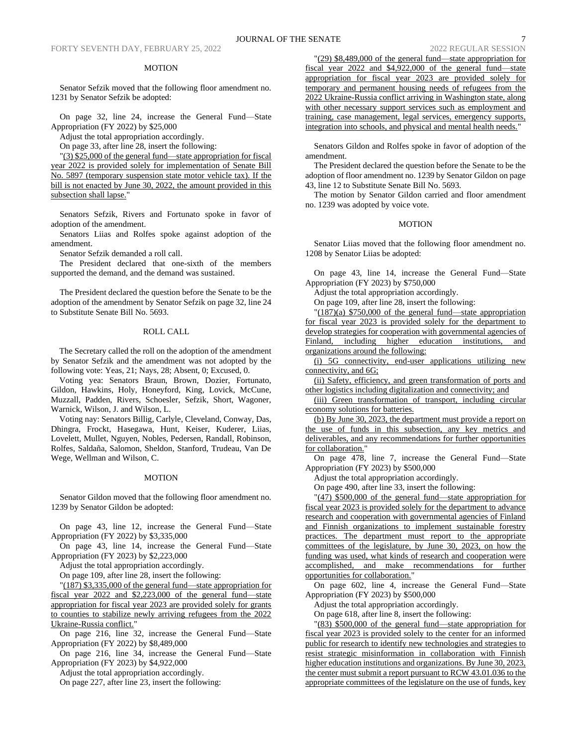## MOTION

Senator Sefzik moved that the following floor amendment no. 1231 by Senator Sefzik be adopted:

On page 32, line 24, increase the General Fund—State Appropriation (FY 2022) by \$25,000

Adjust the total appropriation accordingly.

On page 33, after line 28, insert the following:

"(3) \$25,000 of the general fund—state appropriation for fiscal year 2022 is provided solely for implementation of Senate Bill No. 5897 (temporary suspension state motor vehicle tax). If the bill is not enacted by June 30, 2022, the amount provided in this subsection shall lapse."

Senators Sefzik, Rivers and Fortunato spoke in favor of adoption of the amendment.

Senators Liias and Rolfes spoke against adoption of the amendment.

Senator Sefzik demanded a roll call.

The President declared that one-sixth of the members supported the demand, and the demand was sustained.

The President declared the question before the Senate to be the adoption of the amendment by Senator Sefzik on page 32, line 24 to Substitute Senate Bill No. 5693.

## ROLL CALL

The Secretary called the roll on the adoption of the amendment by Senator Sefzik and the amendment was not adopted by the following vote: Yeas, 21; Nays, 28; Absent, 0; Excused, 0.

Voting yea: Senators Braun, Brown, Dozier, Fortunato, Gildon, Hawkins, Holy, Honeyford, King, Lovick, McCune, Muzzall, Padden, Rivers, Schoesler, Sefzik, Short, Wagoner, Warnick, Wilson, J. and Wilson, L.

Voting nay: Senators Billig, Carlyle, Cleveland, Conway, Das, Dhingra, Frockt, Hasegawa, Hunt, Keiser, Kuderer, Liias, Lovelett, Mullet, Nguyen, Nobles, Pedersen, Randall, Robinson, Rolfes, Saldaña, Salomon, Sheldon, Stanford, Trudeau, Van De Wege, Wellman and Wilson, C.

### MOTION

Senator Gildon moved that the following floor amendment no. 1239 by Senator Gildon be adopted:

On page 43, line 12, increase the General Fund—State Appropriation (FY 2022) by \$3,335,000

On page 43, line 14, increase the General Fund—State Appropriation (FY 2023) by \$2,223,000

Adjust the total appropriation accordingly.

On page 109, after line 28, insert the following:

"(187) \$3,335,000 of the general fund—state appropriation for fiscal year 2022 and \$2,223,000 of the general fund—state appropriation for fiscal year 2023 are provided solely for grants to counties to stabilize newly arriving refugees from the 2022 Ukraine-Russia conflict."

On page 216, line 32, increase the General Fund—State Appropriation (FY 2022) by \$8,489,000

On page 216, line 34, increase the General Fund—State Appropriation (FY 2023) by \$4,922,000

Adjust the total appropriation accordingly.

On page 227, after line 23, insert the following:

"(29) \$8,489,000 of the general fund—state appropriation for fiscal year 2022 and \$4,922,000 of the general fund—state appropriation for fiscal year 2023 are provided solely for temporary and permanent housing needs of refugees from the 2022 Ukraine-Russia conflict arriving in Washington state, along with other necessary support services such as employment and training, case management, legal services, emergency supports, integration into schools, and physical and mental health needs."

Senators Gildon and Rolfes spoke in favor of adoption of the amendment.

The President declared the question before the Senate to be the adoption of floor amendment no. 1239 by Senator Gildon on page 43, line 12 to Substitute Senate Bill No. 5693.

The motion by Senator Gildon carried and floor amendment no. 1239 was adopted by voice vote.

## MOTION

Senator Liias moved that the following floor amendment no. 1208 by Senator Liias be adopted:

On page 43, line 14, increase the General Fund—State Appropriation (FY 2023) by \$750,000

Adjust the total appropriation accordingly.

On page 109, after line 28, insert the following:

"(187)(a) \$750,000 of the general fund—state appropriation for fiscal year 2023 is provided solely for the department to develop strategies for cooperation with governmental agencies of Finland, including higher education institutions, and organizations around the following:

(i) 5G connectivity, end-user applications utilizing new connectivity, and 6G;

(ii) Safety, efficiency, and green transformation of ports and other logistics including digitalization and connectivity; and

(iii) Green transformation of transport, including circular economy solutions for batteries.

(b) By June 30, 2023, the department must provide a report on the use of funds in this subsection, any key metrics and deliverables, and any recommendations for further opportunities for collaboration."

On page 478, line 7, increase the General Fund—State Appropriation (FY 2023) by \$500,000

Adjust the total appropriation accordingly.

On page 490, after line 33, insert the following:

 $\frac{(47)}{5500,000}$  of the general fund—state appropriation for fiscal year 2023 is provided solely for the department to advance research and cooperation with governmental agencies of Finland and Finnish organizations to implement sustainable forestry practices. The department must report to the appropriate committees of the legislature, by June 30, 2023, on how the funding was used, what kinds of research and cooperation were accomplished, and make recommendations for further opportunities for collaboration."

On page 602, line 4, increase the General Fund—State Appropriation (FY 2023) by \$500,000

Adjust the total appropriation accordingly.

On page 618, after line 8, insert the following:

"(83) \$500,000 of the general fund—state appropriation for fiscal year 2023 is provided solely to the center for an informed public for research to identify new technologies and strategies to resist strategic misinformation in collaboration with Finnish higher education institutions and organizations. By June 30, 2023, the center must submit a report pursuant to RCW 43.01.036 to the appropriate committees of the legislature on the use of funds, key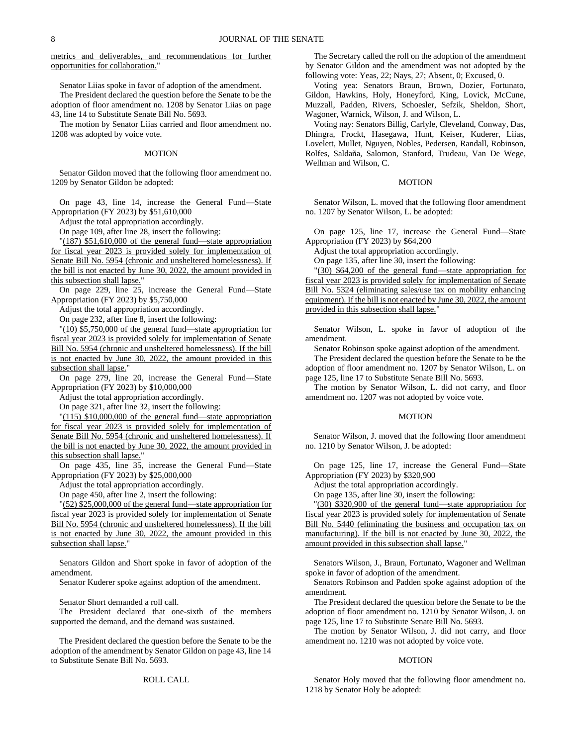metrics and deliverables, and recommendations for further opportunities for collaboration.'

Senator Liias spoke in favor of adoption of the amendment. The President declared the question before the Senate to be the adoption of floor amendment no. 1208 by Senator Liias on page 43, line 14 to Substitute Senate Bill No. 5693.

The motion by Senator Liias carried and floor amendment no. 1208 was adopted by voice vote.

#### MOTION

Senator Gildon moved that the following floor amendment no. 1209 by Senator Gildon be adopted:

On page 43, line 14, increase the General Fund—State Appropriation (FY 2023) by \$51,610,000

Adjust the total appropriation accordingly.

On page 109, after line 28, insert the following:

"(187) \$51,610,000 of the general fund—state appropriation for fiscal year 2023 is provided solely for implementation of Senate Bill No. 5954 (chronic and unsheltered homelessness). If the bill is not enacted by June 30, 2022, the amount provided in this subsection shall lapse."

On page 229, line 25, increase the General Fund—State Appropriation (FY 2023) by \$5,750,000

Adjust the total appropriation accordingly.

On page 232, after line 8, insert the following:

 $\frac{1}{10}$  \$5,750,000 of the general fund—state appropriation for fiscal year 2023 is provided solely for implementation of Senate Bill No. 5954 (chronic and unsheltered homelessness). If the bill is not enacted by June 30, 2022, the amount provided in this subsection shall lapse."

On page 279, line 20, increase the General Fund—State Appropriation (FY 2023) by \$10,000,000

Adjust the total appropriation accordingly.

On page 321, after line 32, insert the following:

"(115) \$10,000,000 of the general fund—state appropriation for fiscal year 2023 is provided solely for implementation of Senate Bill No. 5954 (chronic and unsheltered homelessness). If the bill is not enacted by June 30, 2022, the amount provided in this subsection shall lapse."

On page 435, line 35, increase the General Fund—State Appropriation (FY 2023) by \$25,000,000

Adjust the total appropriation accordingly.

On page 450, after line 2, insert the following:

"(52) \$25,000,000 of the general fund—state appropriation for fiscal year 2023 is provided solely for implementation of Senate Bill No. 5954 (chronic and unsheltered homelessness). If the bill is not enacted by June 30, 2022, the amount provided in this subsection shall lapse."

Senators Gildon and Short spoke in favor of adoption of the amendment.

Senator Kuderer spoke against adoption of the amendment.

Senator Short demanded a roll call.

The President declared that one-sixth of the members supported the demand, and the demand was sustained.

The President declared the question before the Senate to be the adoption of the amendment by Senator Gildon on page 43, line 14 to Substitute Senate Bill No. 5693.

### ROLL CALL

The Secretary called the roll on the adoption of the amendment by Senator Gildon and the amendment was not adopted by the following vote: Yeas, 22; Nays, 27; Absent, 0; Excused, 0.

Voting yea: Senators Braun, Brown, Dozier, Fortunato, Gildon, Hawkins, Holy, Honeyford, King, Lovick, McCune, Muzzall, Padden, Rivers, Schoesler, Sefzik, Sheldon, Short, Wagoner, Warnick, Wilson, J. and Wilson, L.

Voting nay: Senators Billig, Carlyle, Cleveland, Conway, Das, Dhingra, Frockt, Hasegawa, Hunt, Keiser, Kuderer, Liias, Lovelett, Mullet, Nguyen, Nobles, Pedersen, Randall, Robinson, Rolfes, Saldaña, Salomon, Stanford, Trudeau, Van De Wege, Wellman and Wilson, C.

### MOTION

Senator Wilson, L. moved that the following floor amendment no. 1207 by Senator Wilson, L. be adopted:

On page 125, line 17, increase the General Fund—State Appropriation (FY 2023) by \$64,200

Adjust the total appropriation accordingly.

On page 135, after line 30, insert the following:

"(30) \$64,200 of the general fund—state appropriation for fiscal year 2023 is provided solely for implementation of Senate Bill No. 5324 (eliminating sales/use tax on mobility enhancing equipment). If the bill is not enacted by June 30, 2022, the amount provided in this subsection shall lapse."

Senator Wilson, L. spoke in favor of adoption of the amendment.

Senator Robinson spoke against adoption of the amendment.

The President declared the question before the Senate to be the adoption of floor amendment no. 1207 by Senator Wilson, L. on page 125, line 17 to Substitute Senate Bill No. 5693.

The motion by Senator Wilson, L. did not carry, and floor amendment no. 1207 was not adopted by voice vote.

#### MOTION

Senator Wilson, J. moved that the following floor amendment no. 1210 by Senator Wilson, J. be adopted:

On page 125, line 17, increase the General Fund—State Appropriation (FY 2023) by \$320,900

Adjust the total appropriation accordingly.

On page 135, after line 30, insert the following:

"(30) \$320,900 of the general fund—state appropriation for fiscal year 2023 is provided solely for implementation of Senate Bill No. 5440 (eliminating the business and occupation tax on manufacturing). If the bill is not enacted by June 30, 2022, the amount provided in this subsection shall lapse."

Senators Wilson, J., Braun, Fortunato, Wagoner and Wellman spoke in favor of adoption of the amendment.

Senators Robinson and Padden spoke against adoption of the amendment.

The President declared the question before the Senate to be the adoption of floor amendment no. 1210 by Senator Wilson, J. on page 125, line 17 to Substitute Senate Bill No. 5693.

The motion by Senator Wilson, J. did not carry, and floor amendment no. 1210 was not adopted by voice vote.

#### MOTION

Senator Holy moved that the following floor amendment no. 1218 by Senator Holy be adopted: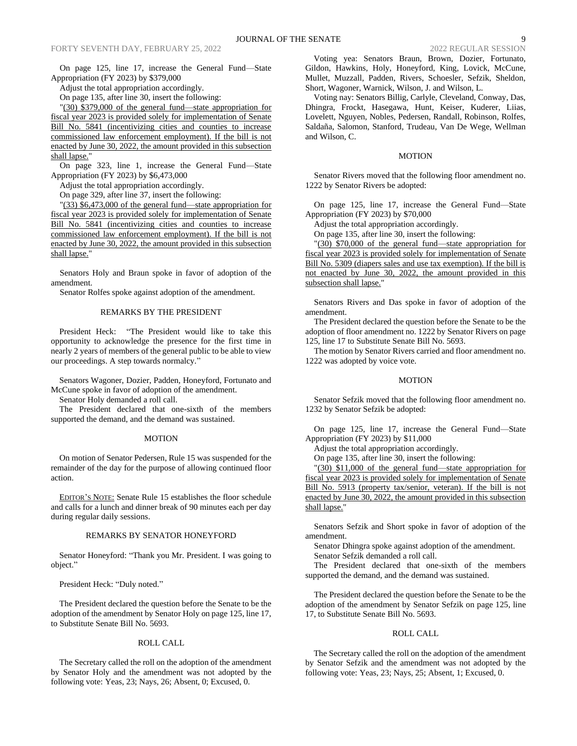On page 125, line 17, increase the General Fund—State Appropriation (FY 2023) by \$379,000

Adjust the total appropriation accordingly.

On page 135, after line 30, insert the following:

"(30) \$379,000 of the general fund—state appropriation for fiscal year 2023 is provided solely for implementation of Senate Bill No. 5841 (incentivizing cities and counties to increase commissioned law enforcement employment). If the bill is not enacted by June 30, 2022, the amount provided in this subsection shall lapse."

On page 323, line 1, increase the General Fund—State Appropriation (FY 2023) by \$6,473,000

Adjust the total appropriation accordingly.

On page 329, after line 37, insert the following:

"(33) \$6,473,000 of the general fund—state appropriation for fiscal year 2023 is provided solely for implementation of Senate Bill No. 5841 (incentivizing cities and counties to increase commissioned law enforcement employment). If the bill is not enacted by June 30, 2022, the amount provided in this subsection shall lapse."

Senators Holy and Braun spoke in favor of adoption of the amendment.

Senator Rolfes spoke against adoption of the amendment.

## REMARKS BY THE PRESIDENT

President Heck: "The President would like to take this opportunity to acknowledge the presence for the first time in nearly 2 years of members of the general public to be able to view our proceedings. A step towards normalcy."

Senators Wagoner, Dozier, Padden, Honeyford, Fortunato and McCune spoke in favor of adoption of the amendment.

Senator Holy demanded a roll call.

The President declared that one-sixth of the members supported the demand, and the demand was sustained.

#### MOTION

On motion of Senator Pedersen, Rule 15 was suspended for the remainder of the day for the purpose of allowing continued floor action.

EDITOR'S NOTE: Senate Rule 15 establishes the floor schedule and calls for a lunch and dinner break of 90 minutes each per day during regular daily sessions.

### REMARKS BY SENATOR HONEYFORD

Senator Honeyford: "Thank you Mr. President. I was going to object."

President Heck: "Duly noted."

The President declared the question before the Senate to be the adoption of the amendment by Senator Holy on page 125, line 17, to Substitute Senate Bill No. 5693.

## ROLL CALL

The Secretary called the roll on the adoption of the amendment by Senator Holy and the amendment was not adopted by the following vote: Yeas, 23; Nays, 26; Absent, 0; Excused, 0.

Voting yea: Senators Braun, Brown, Dozier, Fortunato, Gildon, Hawkins, Holy, Honeyford, King, Lovick, McCune, Mullet, Muzzall, Padden, Rivers, Schoesler, Sefzik, Sheldon, Short, Wagoner, Warnick, Wilson, J. and Wilson, L.

Voting nay: Senators Billig, Carlyle, Cleveland, Conway, Das, Dhingra, Frockt, Hasegawa, Hunt, Keiser, Kuderer, Liias, Lovelett, Nguyen, Nobles, Pedersen, Randall, Robinson, Rolfes, Saldaña, Salomon, Stanford, Trudeau, Van De Wege, Wellman and Wilson, C.

#### MOTION

Senator Rivers moved that the following floor amendment no. 1222 by Senator Rivers be adopted:

On page 125, line 17, increase the General Fund—State Appropriation (FY 2023) by \$70,000

Adjust the total appropriation accordingly.

On page 135, after line 30, insert the following:

"(30) \$70,000 of the general fund—state appropriation for fiscal year 2023 is provided solely for implementation of Senate Bill No. 5309 (diapers sales and use tax exemption). If the bill is not enacted by June 30, 2022, the amount provided in this subsection shall lapse."

Senators Rivers and Das spoke in favor of adoption of the amendment.

The President declared the question before the Senate to be the adoption of floor amendment no. 1222 by Senator Rivers on page 125, line 17 to Substitute Senate Bill No. 5693.

The motion by Senator Rivers carried and floor amendment no. 1222 was adopted by voice vote.

#### MOTION

Senator Sefzik moved that the following floor amendment no. 1232 by Senator Sefzik be adopted:

On page 125, line 17, increase the General Fund—State Appropriation (FY 2023) by \$11,000

Adjust the total appropriation accordingly.

On page 135, after line 30, insert the following:

"(30) \$11,000 of the general fund—state appropriation for fiscal year 2023 is provided solely for implementation of Senate Bill No. 5913 (property tax/senior, veteran). If the bill is not enacted by June 30, 2022, the amount provided in this subsection shall lapse."

Senators Sefzik and Short spoke in favor of adoption of the amendment.

Senator Dhingra spoke against adoption of the amendment. Senator Sefzik demanded a roll call.

The President declared that one-sixth of the members supported the demand, and the demand was sustained.

The President declared the question before the Senate to be the adoption of the amendment by Senator Sefzik on page 125, line 17, to Substitute Senate Bill No. 5693.

#### ROLL CALL

The Secretary called the roll on the adoption of the amendment by Senator Sefzik and the amendment was not adopted by the following vote: Yeas, 23; Nays, 25; Absent, 1; Excused, 0.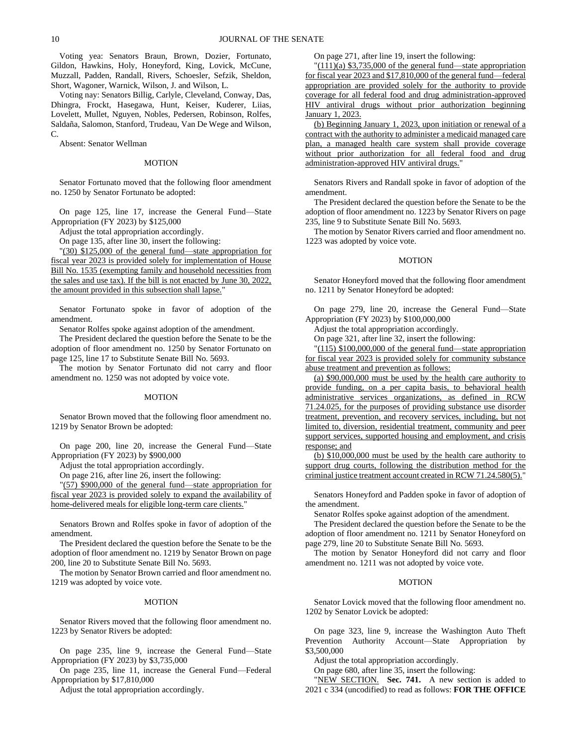Voting yea: Senators Braun, Brown, Dozier, Fortunato, Gildon, Hawkins, Holy, Honeyford, King, Lovick, McCune, Muzzall, Padden, Randall, Rivers, Schoesler, Sefzik, Sheldon, Short, Wagoner, Warnick, Wilson, J. and Wilson, L.

Voting nay: Senators Billig, Carlyle, Cleveland, Conway, Das, Dhingra, Frockt, Hasegawa, Hunt, Keiser, Kuderer, Liias, Lovelett, Mullet, Nguyen, Nobles, Pedersen, Robinson, Rolfes, Saldaña, Salomon, Stanford, Trudeau, Van De Wege and Wilson, C.

Absent: Senator Wellman

#### MOTION

Senator Fortunato moved that the following floor amendment no. 1250 by Senator Fortunato be adopted:

On page 125, line 17, increase the General Fund—State Appropriation (FY 2023) by \$125,000

Adjust the total appropriation accordingly.

On page 135, after line 30, insert the following:

"(30) \$125,000 of the general fund—state appropriation for fiscal year 2023 is provided solely for implementation of House Bill No. 1535 (exempting family and household necessities from the sales and use tax). If the bill is not enacted by June 30, 2022, the amount provided in this subsection shall lapse.'

Senator Fortunato spoke in favor of adoption of the amendment.

Senator Rolfes spoke against adoption of the amendment.

The President declared the question before the Senate to be the adoption of floor amendment no. 1250 by Senator Fortunato on page 125, line 17 to Substitute Senate Bill No. 5693.

The motion by Senator Fortunato did not carry and floor amendment no. 1250 was not adopted by voice vote.

#### MOTION

Senator Brown moved that the following floor amendment no. 1219 by Senator Brown be adopted:

On page 200, line 20, increase the General Fund—State Appropriation (FY 2023) by \$900,000

Adjust the total appropriation accordingly.

On page 216, after line 26, insert the following:

"(57) \$900,000 of the general fund—state appropriation for fiscal year 2023 is provided solely to expand the availability of home-delivered meals for eligible long-term care clients."

Senators Brown and Rolfes spoke in favor of adoption of the amendment.

The President declared the question before the Senate to be the adoption of floor amendment no. 1219 by Senator Brown on page 200, line 20 to Substitute Senate Bill No. 5693.

The motion by Senator Brown carried and floor amendment no. 1219 was adopted by voice vote.

### MOTION

Senator Rivers moved that the following floor amendment no. 1223 by Senator Rivers be adopted:

On page 235, line 9, increase the General Fund—State Appropriation (FY 2023) by \$3,735,000

On page 235, line 11, increase the General Fund—Federal Appropriation by \$17,810,000

Adjust the total appropriation accordingly.

On page 271, after line 19, insert the following:

"(111)(a) \$3,735,000 of the general fund—state appropriation for fiscal year 2023 and \$17,810,000 of the general fund—federal appropriation are provided solely for the authority to provide coverage for all federal food and drug administration-approved HIV antiviral drugs without prior authorization beginning January 1, 2023.

(b) Beginning January 1, 2023, upon initiation or renewal of a contract with the authority to administer a medicaid managed care plan, a managed health care system shall provide coverage without prior authorization for all federal food and drug administration-approved HIV antiviral drugs."

Senators Rivers and Randall spoke in favor of adoption of the amendment.

The President declared the question before the Senate to be the adoption of floor amendment no. 1223 by Senator Rivers on page 235, line 9 to Substitute Senate Bill No. 5693.

The motion by Senator Rivers carried and floor amendment no. 1223 was adopted by voice vote.

#### MOTION

Senator Honeyford moved that the following floor amendment no. 1211 by Senator Honeyford be adopted:

On page 279, line 20, increase the General Fund—State Appropriation (FY 2023) by \$100,000,000

Adjust the total appropriation accordingly.

On page 321, after line 32, insert the following:

"(115) \$100,000,000 of the general fund—state appropriation for fiscal year 2023 is provided solely for community substance abuse treatment and prevention as follows:

(a) \$90,000,000 must be used by the health care authority to provide funding, on a per capita basis, to behavioral health administrative services organizations, as defined in RCW 71.24.025, for the purposes of providing substance use disorder treatment, prevention, and recovery services, including, but not limited to, diversion, residential treatment, community and peer support services, supported housing and employment, and crisis response; and

(b) \$10,000,000 must be used by the health care authority to support drug courts, following the distribution method for the criminal justice treatment account created in RCW 71.24.580(5)."

Senators Honeyford and Padden spoke in favor of adoption of the amendment.

Senator Rolfes spoke against adoption of the amendment.

The President declared the question before the Senate to be the adoption of floor amendment no. 1211 by Senator Honeyford on page 279, line 20 to Substitute Senate Bill No. 5693.

The motion by Senator Honeyford did not carry and floor amendment no. 1211 was not adopted by voice vote.

### **MOTION**

Senator Lovick moved that the following floor amendment no. 1202 by Senator Lovick be adopted:

On page 323, line 9, increase the Washington Auto Theft Prevention Authority Account—State Appropriation by \$3,500,000

Adjust the total appropriation accordingly.

On page 680, after line 35, insert the following:

"NEW SECTION. Sec. 741. A new section is added to 2021 c 334 (uncodified) to read as follows: **FOR THE OFFICE**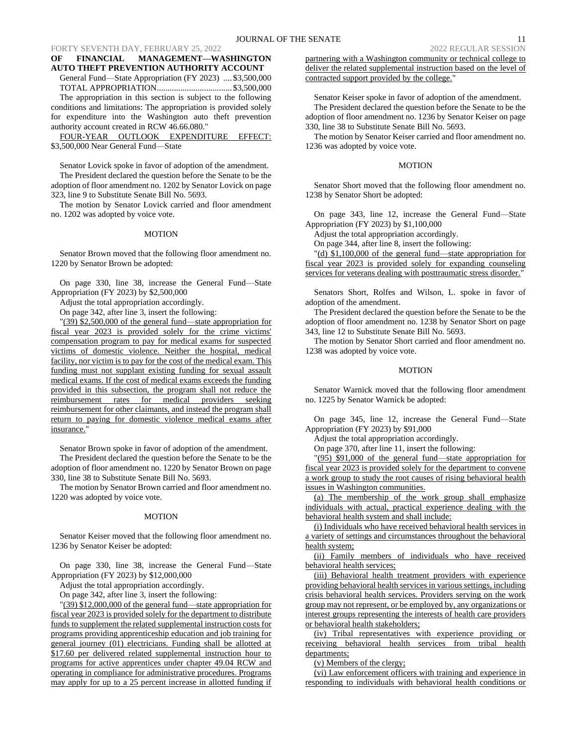## **OF FINANCIAL MANAGEMENT—WASHINGTON AUTO THEFT PREVENTION AUTHORITY ACCOUNT**

General Fund—State Appropriation (FY 2023) .... \$3,500,000 TOTAL APPROPRIATION................................... \$3,500,000 The appropriation in this section is subject to the following conditions and limitations: The appropriation is provided solely for expenditure into the Washington auto theft prevention

authority account created in RCW 46.66.080." FOUR-YEAR OUTLOOK EXPENDITURE EFFECT: \$3,500,000 Near General Fund—State

Senator Lovick spoke in favor of adoption of the amendment. The President declared the question before the Senate to be the adoption of floor amendment no. 1202 by Senator Lovick on page 323, line 9 to Substitute Senate Bill No. 5693.

The motion by Senator Lovick carried and floor amendment no. 1202 was adopted by voice vote.

#### MOTION

Senator Brown moved that the following floor amendment no. 1220 by Senator Brown be adopted:

On page 330, line 38, increase the General Fund—State Appropriation (FY 2023) by \$2,500,000

Adjust the total appropriation accordingly.

On page 342, after line 3, insert the following:

"(39) \$2,500,000 of the general fund—state appropriation for fiscal year 2023 is provided solely for the crime victims' compensation program to pay for medical exams for suspected victims of domestic violence. Neither the hospital, medical facility, nor victim is to pay for the cost of the medical exam. This funding must not supplant existing funding for sexual assault medical exams. If the cost of medical exams exceeds the funding provided in this subsection, the program shall not reduce the reimbursement rates for medical providers seeking reimbursement for other claimants, and instead the program shall return to paying for domestic violence medical exams after insurance."

Senator Brown spoke in favor of adoption of the amendment. The President declared the question before the Senate to be the adoption of floor amendment no. 1220 by Senator Brown on page 330, line 38 to Substitute Senate Bill No. 5693.

The motion by Senator Brown carried and floor amendment no. 1220 was adopted by voice vote.

#### MOTION

Senator Keiser moved that the following floor amendment no. 1236 by Senator Keiser be adopted:

On page 330, line 38, increase the General Fund—State Appropriation (FY 2023) by \$12,000,000

Adjust the total appropriation accordingly.

On page 342, after line 3, insert the following:

"(39) \$12,000,000 of the general fund—state appropriation for fiscal year 2023 is provided solely for the department to distribute funds to supplement the related supplemental instruction costs for programs providing apprenticeship education and job training for general journey (01) electricians. Funding shall be allotted at \$17.60 per delivered related supplemental instruction hour to programs for active apprentices under chapter 49.04 RCW and operating in compliance for administrative procedures. Programs may apply for up to a 25 percent increase in allotted funding if

partnering with a Washington community or technical college to deliver the related supplemental instruction based on the level of contracted support provided by the college."

Senator Keiser spoke in favor of adoption of the amendment. The President declared the question before the Senate to be the adoption of floor amendment no. 1236 by Senator Keiser on page 330, line 38 to Substitute Senate Bill No. 5693.

The motion by Senator Keiser carried and floor amendment no. 1236 was adopted by voice vote.

### MOTION

Senator Short moved that the following floor amendment no. 1238 by Senator Short be adopted:

On page 343, line 12, increase the General Fund—State Appropriation (FY 2023) by \$1,100,000

Adjust the total appropriation accordingly.

On page 344, after line 8, insert the following:

"(d) \$1,100,000 of the general fund—state appropriation for fiscal year 2023 is provided solely for expanding counseling services for veterans dealing with posttraumatic stress disorder.'

Senators Short, Rolfes and Wilson, L. spoke in favor of adoption of the amendment.

The President declared the question before the Senate to be the adoption of floor amendment no. 1238 by Senator Short on page 343, line 12 to Substitute Senate Bill No. 5693.

The motion by Senator Short carried and floor amendment no. 1238 was adopted by voice vote.

### **MOTION**

Senator Warnick moved that the following floor amendment no. 1225 by Senator Warnick be adopted:

On page 345, line 12, increase the General Fund—State Appropriation (FY 2023) by \$91,000

Adjust the total appropriation accordingly.

On page 370, after line 11, insert the following:

"(95) \$91,000 of the general fund—state appropriation for fiscal year 2023 is provided solely for the department to convene a work group to study the root causes of rising behavioral health issues in Washington communities.

(a) The membership of the work group shall emphasize individuals with actual, practical experience dealing with the behavioral health system and shall include:

(i) Individuals who have received behavioral health services in a variety of settings and circumstances throughout the behavioral health system;

(ii) Family members of individuals who have received behavioral health services;

(iii) Behavioral health treatment providers with experience providing behavioral health services in various settings, including crisis behavioral health services. Providers serving on the work group may not represent, or be employed by, any organizations or interest groups representing the interests of health care providers or behavioral health stakeholders;

(iv) Tribal representatives with experience providing or receiving behavioral health services from tribal health departments;

(v) Members of the clergy;

(vi) Law enforcement officers with training and experience in responding to individuals with behavioral health conditions or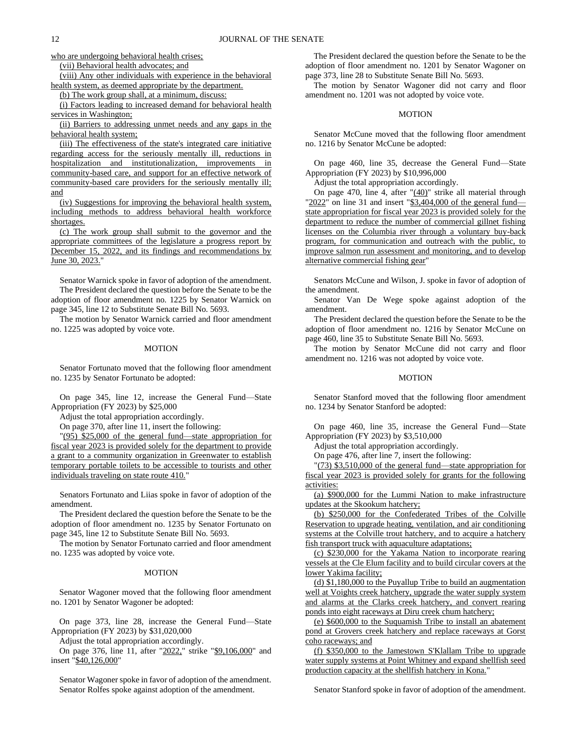who are undergoing behavioral health crises;

(vii) Behavioral health advocates; and

(viii) Any other individuals with experience in the behavioral health system, as deemed appropriate by the department.

(b) The work group shall, at a minimum, discuss:

(i) Factors leading to increased demand for behavioral health services in Washington;

(ii) Barriers to addressing unmet needs and any gaps in the behavioral health system;

(iii) The effectiveness of the state's integrated care initiative regarding access for the seriously mentally ill, reductions in hospitalization and institutionalization, improvements in community-based care, and support for an effective network of community-based care providers for the seriously mentally ill; and

(iv) Suggestions for improving the behavioral health system, including methods to address behavioral health workforce shortages.

(c) The work group shall submit to the governor and the appropriate committees of the legislature a progress report by December 15, 2022, and its findings and recommendations by June 30, 2023."

Senator Warnick spoke in favor of adoption of the amendment. The President declared the question before the Senate to be the adoption of floor amendment no. 1225 by Senator Warnick on page 345, line 12 to Substitute Senate Bill No. 5693.

The motion by Senator Warnick carried and floor amendment no. 1225 was adopted by voice vote.

### MOTION

Senator Fortunato moved that the following floor amendment no. 1235 by Senator Fortunato be adopted:

On page 345, line 12, increase the General Fund—State Appropriation (FY 2023) by \$25,000

Adjust the total appropriation accordingly.

On page 370, after line 11, insert the following:

"(95) \$25,000 of the general fund—state appropriation for fiscal year 2023 is provided solely for the department to provide a grant to a community organization in Greenwater to establish temporary portable toilets to be accessible to tourists and other individuals traveling on state route 410."

Senators Fortunato and Liias spoke in favor of adoption of the amendment.

The President declared the question before the Senate to be the adoption of floor amendment no. 1235 by Senator Fortunato on page 345, line 12 to Substitute Senate Bill No. 5693.

The motion by Senator Fortunato carried and floor amendment no. 1235 was adopted by voice vote.

#### MOTION

Senator Wagoner moved that the following floor amendment no. 1201 by Senator Wagoner be adopted:

On page 373, line 28, increase the General Fund—State Appropriation (FY 2023) by \$31,020,000

Adjust the total appropriation accordingly.

On page 376, line 11, after "2022," strike "\$9,106,000" and insert "\$40,126,000"

Senator Wagoner spoke in favor of adoption of the amendment. Senator Rolfes spoke against adoption of the amendment.

The President declared the question before the Senate to be the adoption of floor amendment no. 1201 by Senator Wagoner on page 373, line 28 to Substitute Senate Bill No. 5693.

The motion by Senator Wagoner did not carry and floor amendment no. 1201 was not adopted by voice vote.

## MOTION

Senator McCune moved that the following floor amendment no. 1216 by Senator McCune be adopted:

On page 460, line 35, decrease the General Fund—State Appropriation (FY 2023) by \$10,996,000

Adjust the total appropriation accordingly.

On page 470, line 4, after " $(40)$ " strike all material through " $2022$ " on line 31 and insert " $$3,404,000$  of the general fund state appropriation for fiscal year 2023 is provided solely for the department to reduce the number of commercial gillnet fishing licenses on the Columbia river through a voluntary buy-back program, for communication and outreach with the public, to improve salmon run assessment and monitoring, and to develop alternative commercial fishing gear"

Senators McCune and Wilson, J. spoke in favor of adoption of the amendment.

Senator Van De Wege spoke against adoption of the amendment.

The President declared the question before the Senate to be the adoption of floor amendment no. 1216 by Senator McCune on page 460, line 35 to Substitute Senate Bill No. 5693.

The motion by Senator McCune did not carry and floor amendment no. 1216 was not adopted by voice vote.

## MOTION

Senator Stanford moved that the following floor amendment no. 1234 by Senator Stanford be adopted:

On page 460, line 35, increase the General Fund—State Appropriation (FY 2023) by \$3,510,000

Adjust the total appropriation accordingly.

On page 476, after line 7, insert the following:

"(73) \$3,510,000 of the general fund—state appropriation for fiscal year 2023 is provided solely for grants for the following activities:

(a) \$900,000 for the Lummi Nation to make infrastructure updates at the Skookum hatchery;

(b) \$250,000 for the Confederated Tribes of the Colville Reservation to upgrade heating, ventilation, and air conditioning systems at the Colville trout hatchery, and to acquire a hatchery fish transport truck with aquaculture adaptations;

(c) \$230,000 for the Yakama Nation to incorporate rearing vessels at the Cle Elum facility and to build circular covers at the lower Yakima facility;

(d) \$1,180,000 to the Puyallup Tribe to build an augmentation well at Voights creek hatchery, upgrade the water supply system and alarms at the Clarks creek hatchery, and convert rearing ponds into eight raceways at Diru creek chum hatchery;

(e) \$600,000 to the Suquamish Tribe to install an abatement pond at Grovers creek hatchery and replace raceways at Gorst coho raceways; and

(f) \$350,000 to the Jamestown S'Klallam Tribe to upgrade water supply systems at Point Whitney and expand shellfish seed production capacity at the shellfish hatchery in Kona."

Senator Stanford spoke in favor of adoption of the amendment.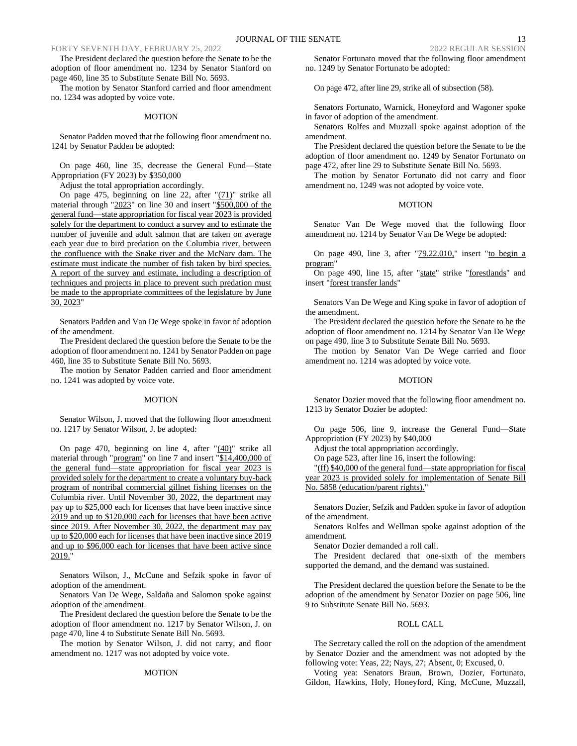The President declared the question before the Senate to be the adoption of floor amendment no. 1234 by Senator Stanford on page 460, line 35 to Substitute Senate Bill No. 5693.

The motion by Senator Stanford carried and floor amendment no. 1234 was adopted by voice vote.

#### MOTION

Senator Padden moved that the following floor amendment no. 1241 by Senator Padden be adopted:

On page 460, line 35, decrease the General Fund—State Appropriation (FY 2023) by \$350,000

Adjust the total appropriation accordingly.

On page 475, beginning on line 22, after " $(71)$ " strike all material through "2023" on line 30 and insert "\$500,000 of the general fund—state appropriation for fiscal year 2023 is provided solely for the department to conduct a survey and to estimate the number of juvenile and adult salmon that are taken on average each year due to bird predation on the Columbia river, between the confluence with the Snake river and the McNary dam. The estimate must indicate the number of fish taken by bird species. A report of the survey and estimate, including a description of techniques and projects in place to prevent such predation must be made to the appropriate committees of the legislature by June 30, 2023"

Senators Padden and Van De Wege spoke in favor of adoption of the amendment.

The President declared the question before the Senate to be the adoption of floor amendment no. 1241 by Senator Padden on page 460, line 35 to Substitute Senate Bill No. 5693.

The motion by Senator Padden carried and floor amendment no. 1241 was adopted by voice vote.

#### MOTION

Senator Wilson, J. moved that the following floor amendment no. 1217 by Senator Wilson, J. be adopted:

On page 470, beginning on line 4, after  $\frac{1}{40}$  strike all material through "program" on line 7 and insert "\$14,400,000 of the general fund—state appropriation for fiscal year 2023 is provided solely for the department to create a voluntary buy-back program of nontribal commercial gillnet fishing licenses on the Columbia river. Until November 30, 2022, the department may pay up to \$25,000 each for licenses that have been inactive since 2019 and up to \$120,000 each for licenses that have been active since 2019. After November 30, 2022, the department may pay up to \$20,000 each for licenses that have been inactive since 2019 and up to \$96,000 each for licenses that have been active since 2019."

Senators Wilson, J., McCune and Sefzik spoke in favor of adoption of the amendment.

Senators Van De Wege, Saldaña and Salomon spoke against adoption of the amendment.

The President declared the question before the Senate to be the adoption of floor amendment no. 1217 by Senator Wilson, J. on page 470, line 4 to Substitute Senate Bill No. 5693.

The motion by Senator Wilson, J. did not carry, and floor amendment no. 1217 was not adopted by voice vote.

### MOTION

Senator Fortunato moved that the following floor amendment no. 1249 by Senator Fortunato be adopted:

On page 472, after line 29, strike all of subsection (58).

Senators Fortunato, Warnick, Honeyford and Wagoner spoke in favor of adoption of the amendment.

Senators Rolfes and Muzzall spoke against adoption of the amendment.

The President declared the question before the Senate to be the adoption of floor amendment no. 1249 by Senator Fortunato on page 472, after line 29 to Substitute Senate Bill No. 5693.

The motion by Senator Fortunato did not carry and floor amendment no. 1249 was not adopted by voice vote.

#### MOTION

Senator Van De Wege moved that the following floor amendment no. 1214 by Senator Van De Wege be adopted:

On page 490, line 3, after "79.22.010," insert "to begin a program"

On page 490, line 15, after "state" strike "forestlands" and insert "forest transfer lands"

Senators Van De Wege and King spoke in favor of adoption of the amendment.

The President declared the question before the Senate to be the adoption of floor amendment no. 1214 by Senator Van De Wege on page 490, line 3 to Substitute Senate Bill No. 5693.

The motion by Senator Van De Wege carried and floor amendment no. 1214 was adopted by voice vote.

#### **MOTION**

Senator Dozier moved that the following floor amendment no. 1213 by Senator Dozier be adopted:

On page 506, line 9, increase the General Fund—State Appropriation (FY 2023) by \$40,000

Adjust the total appropriation accordingly.

On page 523, after line 16, insert the following:

"(ff) \$40,000 of the general fund—state appropriation for fiscal year 2023 is provided solely for implementation of Senate Bill No. 5858 (education/parent rights)."

Senators Dozier, Sefzik and Padden spoke in favor of adoption of the amendment.

Senators Rolfes and Wellman spoke against adoption of the amendment.

Senator Dozier demanded a roll call.

The President declared that one-sixth of the members supported the demand, and the demand was sustained.

The President declared the question before the Senate to be the adoption of the amendment by Senator Dozier on page 506, line 9 to Substitute Senate Bill No. 5693.

#### ROLL CALL

The Secretary called the roll on the adoption of the amendment by Senator Dozier and the amendment was not adopted by the following vote: Yeas, 22; Nays, 27; Absent, 0; Excused, 0.

Voting yea: Senators Braun, Brown, Dozier, Fortunato, Gildon, Hawkins, Holy, Honeyford, King, McCune, Muzzall,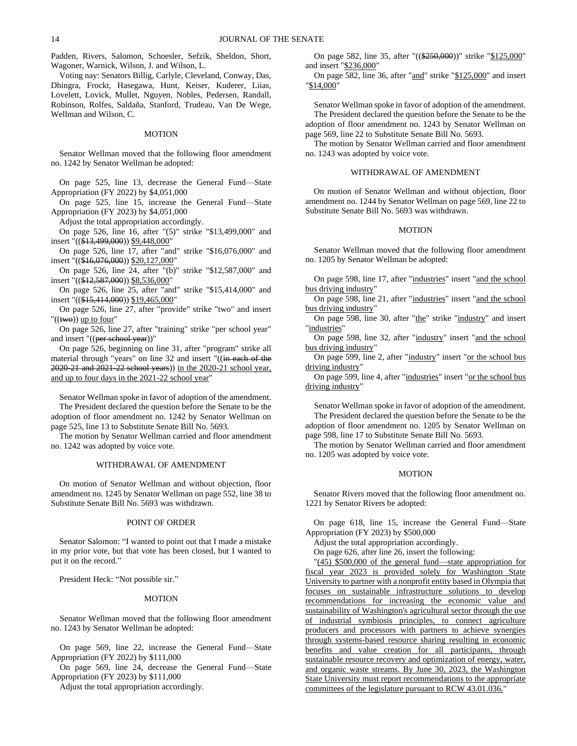Padden, Rivers, Salomon, Schoesler, Sefzik, Sheldon, Short, Wagoner, Warnick, Wilson, J. and Wilson, L.

Voting nay: Senators Billig, Carlyle, Cleveland, Conway, Das, Dhingra, Frockt, Hasegawa, Hunt, Keiser, Kuderer, Liias, Lovelett, Lovick, Mullet, Nguyen, Nobles, Pedersen, Randall, Robinson, Rolfes, Saldaña, Stanford, Trudeau, Van De Wege, Wellman and Wilson, C.

### MOTION

Senator Wellman moved that the following floor amendment no. 1242 by Senator Wellman be adopted:

On page 525, line 13, decrease the General Fund—State Appropriation (FY 2022) by \$4,051,000

On page 525, line 15, increase the General Fund—State Appropriation (FY 2023) by \$4,051,000

Adjust the total appropriation accordingly.

On page 526, line 16, after "(5)" strike "\$13,499,000" and insert "((\$13,499,000)) \$9,448,000"

On page 526, line 17, after "and" strike "\$16,076,000" and insert "((\$16,076,000)) \$20,127,000"

On page 526, line 24, after "(b)" strike "\$12,587,000" and insert "((\$12,587,000)) \$8,536,000"

On page 526, line 25, after "and" strike "\$15,414,000" and insert "((\$15,414,000)) \$19,465,000"

On page 526, line 27, after "provide" strike "two" and insert "((two)) up to four"

On page 526, line 27, after "training" strike "per school year" and insert "((per school year))"

On page 526, beginning on line 31, after "program" strike all material through "years" on line 32 and insert "((in each of the 2020-21 and 2021-22 school years)) in the 2020-21 school year, and up to four days in the 2021-22 school year"

Senator Wellman spoke in favor of adoption of the amendment. The President declared the question before the Senate to be the adoption of floor amendment no. 1242 by Senator Wellman on page 525, line 13 to Substitute Senate Bill No. 5693.

The motion by Senator Wellman carried and floor amendment no. 1242 was adopted by voice vote.

### WITHDRAWAL OF AMENDMENT

On motion of Senator Wellman and without objection, floor amendment no. 1245 by Senator Wellman on page 552, line 38 to Substitute Senate Bill No. 5693 was withdrawn.

## POINT OF ORDER

Senator Salomon: "I wanted to point out that I made a mistake in my prior vote, but that vote has been closed, but I wanted to put it on the record."

President Heck: "Not possible sir."

### MOTION

Senator Wellman moved that the following floor amendment no. 1243 by Senator Wellman be adopted:

On page 569, line 22, increase the General Fund—State Appropriation (FY 2022) by \$111,000

On page 569, line 24, decrease the General Fund—State Appropriation (FY 2023) by \$111,000

Adjust the total appropriation accordingly.

On page 582, line 35, after "((\$250,000))" strike "\$125,000" and insert "\$236,000"

On page 582, line 36, after "and" strike "\$125,000" and insert "\$14,000"

Senator Wellman spoke in favor of adoption of the amendment. The President declared the question before the Senate to be the adoption of floor amendment no. 1243 by Senator Wellman on page 569, line 22 to Substitute Senate Bill No. 5693.

The motion by Senator Wellman carried and floor amendment no. 1243 was adopted by voice vote.

### WITHDRAWAL OF AMENDMENT

On motion of Senator Wellman and without objection, floor amendment no. 1244 by Senator Wellman on page 569, line 22 to Substitute Senate Bill No. 5693 was withdrawn.

#### **MOTION**

Senator Wellman moved that the following floor amendment no. 1205 by Senator Wellman be adopted:

On page 598, line 17, after "industries" insert "and the school bus driving industry"

On page 598, line 21, after "industries" insert "and the school bus driving industry"

On page 598, line 30, after "the" strike "industry" and insert "industries"

On page 598, line 32, after "industry" insert "and the school bus driving industry"

On page 599, line 2, after "industry" insert "or the school bus driving industry"

On page 599, line 4, after "industries" insert "or the school bus driving industry"

Senator Wellman spoke in favor of adoption of the amendment. The President declared the question before the Senate to be the adoption of floor amendment no. 1205 by Senator Wellman on page 598, line 17 to Substitute Senate Bill No. 5693.

The motion by Senator Wellman carried and floor amendment no. 1205 was adopted by voice vote.

#### MOTION

Senator Rivers moved that the following floor amendment no. 1221 by Senator Rivers be adopted:

On page 618, line 15, increase the General Fund—State Appropriation (FY 2023) by \$500,000

Adjust the total appropriation accordingly.

On page 626, after line 26, insert the following:

"(45) \$500,000 of the general fund—state appropriation for fiscal year 2023 is provided solely for Washington State University to partner with a nonprofit entity based in Olympia that focuses on sustainable infrastructure solutions to develop recommendations for increasing the economic value and sustainability of Washington's agricultural sector through the use of industrial symbiosis principles, to connect agriculture producers and processors with partners to achieve synergies through systems-based resource sharing resulting in economic benefits and value creation for all participants, through sustainable resource recovery and optimization of energy, water, and organic waste streams. By June 30, 2023, the Washington State University must report recommendations to the appropriate committees of the legislature pursuant to RCW 43.01.036."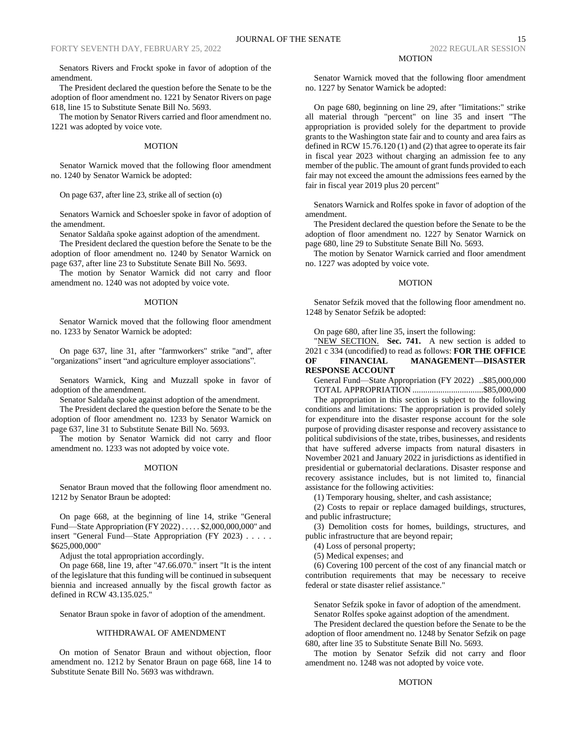Senators Rivers and Frockt spoke in favor of adoption of the amendment.

The President declared the question before the Senate to be the adoption of floor amendment no. 1221 by Senator Rivers on page 618, line 15 to Substitute Senate Bill No. 5693.

The motion by Senator Rivers carried and floor amendment no. 1221 was adopted by voice vote.

#### MOTION

Senator Warnick moved that the following floor amendment no. 1240 by Senator Warnick be adopted:

On page 637, after line 23, strike all of section (o)

Senators Warnick and Schoesler spoke in favor of adoption of the amendment.

Senator Saldaña spoke against adoption of the amendment.

The President declared the question before the Senate to be the adoption of floor amendment no. 1240 by Senator Warnick on page 637, after line 23 to Substitute Senate Bill No. 5693.

The motion by Senator Warnick did not carry and floor amendment no. 1240 was not adopted by voice vote.

#### MOTION

Senator Warnick moved that the following floor amendment no. 1233 by Senator Warnick be adopted:

On page 637, line 31, after "farmworkers" strike "and", after "organizations" insert "and agriculture employer associations".

Senators Warnick, King and Muzzall spoke in favor of adoption of the amendment.

Senator Saldaña spoke against adoption of the amendment.

The President declared the question before the Senate to be the adoption of floor amendment no. 1233 by Senator Warnick on page 637, line 31 to Substitute Senate Bill No. 5693.

The motion by Senator Warnick did not carry and floor amendment no. 1233 was not adopted by voice vote.

### MOTION

Senator Braun moved that the following floor amendment no. 1212 by Senator Braun be adopted:

On page 668, at the beginning of line 14, strike "General Fund—State Appropriation (FY 2022) . . . . . \$2,000,000,000" and insert "General Fund—State Appropriation (FY 2023) . . . . . \$625,000,000"

Adjust the total appropriation accordingly.

On page 668, line 19, after "47.66.070." insert "It is the intent of the legislature that this funding will be continued in subsequent biennia and increased annually by the fiscal growth factor as defined in RCW 43.135.025."

Senator Braun spoke in favor of adoption of the amendment.

#### WITHDRAWAL OF AMENDMENT

On motion of Senator Braun and without objection, floor amendment no. 1212 by Senator Braun on page 668, line 14 to Substitute Senate Bill No. 5693 was withdrawn.

Senator Warnick moved that the following floor amendment no. 1227 by Senator Warnick be adopted:

On page 680, beginning on line 29, after "limitations:" strike all material through "percent" on line 35 and insert "The appropriation is provided solely for the department to provide grants to the Washington state fair and to county and area fairs as defined in RCW 15.76.120 (1) and (2) that agree to operate its fair in fiscal year 2023 without charging an admission fee to any member of the public. The amount of grant funds provided to each fair may not exceed the amount the admissions fees earned by the fair in fiscal year 2019 plus 20 percent"

Senators Warnick and Rolfes spoke in favor of adoption of the amendment.

The President declared the question before the Senate to be the adoption of floor amendment no. 1227 by Senator Warnick on page 680, line 29 to Substitute Senate Bill No. 5693.

The motion by Senator Warnick carried and floor amendment no. 1227 was adopted by voice vote.

#### **MOTION**

Senator Sefzik moved that the following floor amendment no. 1248 by Senator Sefzik be adopted:

On page 680, after line 35, insert the following:

"NEW SECTION. Sec. 741. A new section is added to 2021 c 334 (uncodified) to read as follows: **FOR THE OFFICE OF FINANCIAL MANAGEMENT—DISASTER RESPONSE ACCOUNT**

General Fund—State Appropriation (FY 2022) ..\$85,000,000 TOTAL APPROPRIATION .................................\$85,000,000

The appropriation in this section is subject to the following conditions and limitations: The appropriation is provided solely for expenditure into the disaster response account for the sole purpose of providing disaster response and recovery assistance to political subdivisions of the state, tribes, businesses, and residents that have suffered adverse impacts from natural disasters in November 2021 and January 2022 in jurisdictions as identified in presidential or gubernatorial declarations. Disaster response and recovery assistance includes, but is not limited to, financial assistance for the following activities:

(1) Temporary housing, shelter, and cash assistance;

(2) Costs to repair or replace damaged buildings, structures, and public infrastructure;

(3) Demolition costs for homes, buildings, structures, and public infrastructure that are beyond repair;

(4) Loss of personal property;

(5) Medical expenses; and

(6) Covering 100 percent of the cost of any financial match or contribution requirements that may be necessary to receive federal or state disaster relief assistance."

Senator Sefzik spoke in favor of adoption of the amendment. Senator Rolfes spoke against adoption of the amendment.

The President declared the question before the Senate to be the adoption of floor amendment no. 1248 by Senator Sefzik on page 680, after line 35 to Substitute Senate Bill No. 5693.

The motion by Senator Sefzik did not carry and floor amendment no. 1248 was not adopted by voice vote.

### **MOTION**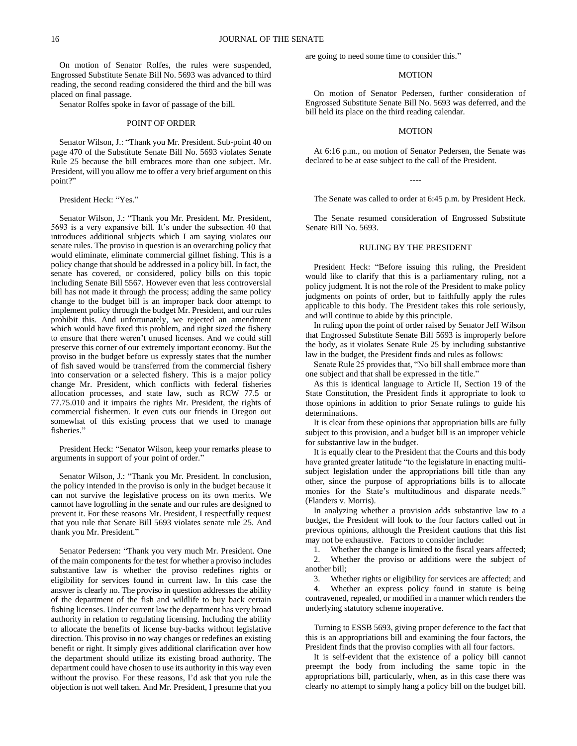On motion of Senator Rolfes, the rules were suspended, Engrossed Substitute Senate Bill No. 5693 was advanced to third reading, the second reading considered the third and the bill was placed on final passage.

Senator Rolfes spoke in favor of passage of the bill.

### POINT OF ORDER

Senator Wilson, J.: "Thank you Mr. President. Sub-point 40 on page 470 of the Substitute Senate Bill No. 5693 violates Senate Rule 25 because the bill embraces more than one subject. Mr. President, will you allow me to offer a very brief argument on this point?"

President Heck: "Yes."

Senator Wilson, J.: "Thank you Mr. President. Mr. President, 5693 is a very expansive bill. It's under the subsection 40 that introduces additional subjects which I am saying violates our senate rules. The proviso in question is an overarching policy that would eliminate, eliminate commercial gillnet fishing. This is a policy change that should be addressed in a policy bill. In fact, the senate has covered, or considered, policy bills on this topic including Senate Bill 5567. However even that less controversial bill has not made it through the process; adding the same policy change to the budget bill is an improper back door attempt to implement policy through the budget Mr. President, and our rules prohibit this. And unfortunately, we rejected an amendment which would have fixed this problem, and right sized the fishery to ensure that there weren't unused licenses. And we could still preserve this corner of our extremely important economy. But the proviso in the budget before us expressly states that the number of fish saved would be transferred from the commercial fishery into conservation or a selected fishery. This is a major policy change Mr. President, which conflicts with federal fisheries allocation processes, and state law, such as RCW 77.5 or 77.75.010 and it impairs the rights Mr. President, the rights of commercial fishermen. It even cuts our friends in Oregon out somewhat of this existing process that we used to manage fisheries."

President Heck: "Senator Wilson, keep your remarks please to arguments in support of your point of order."

Senator Wilson, J.: "Thank you Mr. President. In conclusion, the policy intended in the proviso is only in the budget because it can not survive the legislative process on its own merits. We cannot have logrolling in the senate and our rules are designed to prevent it. For these reasons Mr. President, I respectfully request that you rule that Senate Bill 5693 violates senate rule 25. And thank you Mr. President."

Senator Pedersen: "Thank you very much Mr. President. One of the main components for the test for whether a proviso includes substantive law is whether the proviso redefines rights or eligibility for services found in current law. In this case the answer is clearly no. The proviso in question addresses the ability of the department of the fish and wildlife to buy back certain fishing licenses. Under current law the department has very broad authority in relation to regulating licensing. Including the ability to allocate the benefits of license buy-backs without legislative direction. This proviso in no way changes or redefines an existing benefit or right. It simply gives additional clarification over how the department should utilize its existing broad authority. The department could have chosen to use its authority in this way even without the proviso. For these reasons, I'd ask that you rule the objection is not well taken. And Mr. President, I presume that you

are going to need some time to consider this."

#### MOTION

On motion of Senator Pedersen, further consideration of Engrossed Substitute Senate Bill No. 5693 was deferred, and the bill held its place on the third reading calendar.

#### **MOTION**

At 6:16 p.m., on motion of Senator Pedersen, the Senate was declared to be at ease subject to the call of the President.

----

The Senate was called to order at 6:45 p.m. by President Heck.

The Senate resumed consideration of Engrossed Substitute Senate Bill No. 5693.

## RULING BY THE PRESIDENT

President Heck: "Before issuing this ruling, the President would like to clarify that this is a parliamentary ruling, not a policy judgment. It is not the role of the President to make policy judgments on points of order, but to faithfully apply the rules applicable to this body. The President takes this role seriously, and will continue to abide by this principle.

In ruling upon the point of order raised by Senator Jeff Wilson that Engrossed Substitute Senate Bill 5693 is improperly before the body, as it violates Senate Rule 25 by including substantive law in the budget, the President finds and rules as follows:

Senate Rule 25 provides that, "No bill shall embrace more than one subject and that shall be expressed in the title."

As this is identical language to Article II, Section 19 of the State Constitution, the President finds it appropriate to look to those opinions in addition to prior Senate rulings to guide his determinations.

It is clear from these opinions that appropriation bills are fully subject to this provision, and a budget bill is an improper vehicle for substantive law in the budget.

It is equally clear to the President that the Courts and this body have granted greater latitude "to the legislature in enacting multisubject legislation under the appropriations bill title than any other, since the purpose of appropriations bills is to allocate monies for the State's multitudinous and disparate needs." (Flanders v. Morris).

In analyzing whether a provision adds substantive law to a budget, the President will look to the four factors called out in previous opinions, although the President cautions that this list may not be exhaustive. Factors to consider include:

1. Whether the change is limited to the fiscal years affected; 2. Whether the proviso or additions were the subject of another bill;

3. Whether rights or eligibility for services are affected; and

4. Whether an express policy found in statute is being contravened, repealed, or modified in a manner which renders the underlying statutory scheme inoperative.

Turning to ESSB 5693, giving proper deference to the fact that this is an appropriations bill and examining the four factors, the President finds that the proviso complies with all four factors.

It is self-evident that the existence of a policy bill cannot preempt the body from including the same topic in the appropriations bill, particularly, when, as in this case there was clearly no attempt to simply hang a policy bill on the budget bill.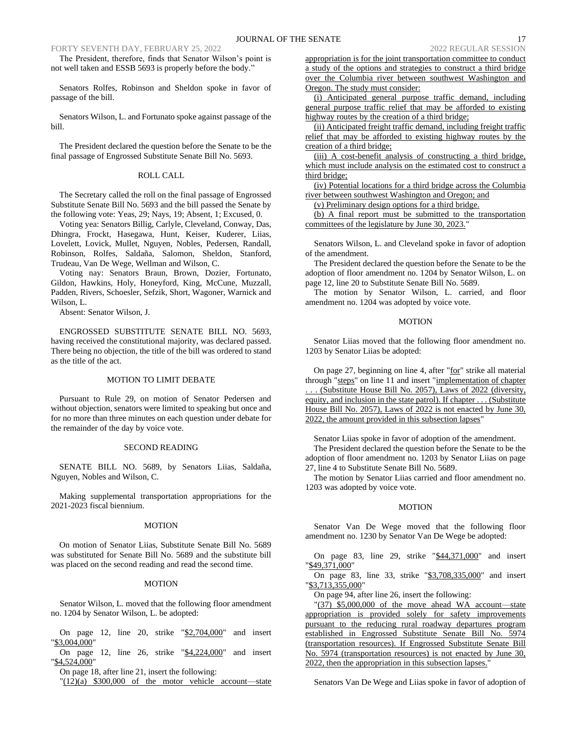The President, therefore, finds that Senator Wilson's point is not well taken and ESSB 5693 is properly before the body."

Senators Rolfes, Robinson and Sheldon spoke in favor of passage of the bill.

Senators Wilson, L. and Fortunato spoke against passage of the bill.

The President declared the question before the Senate to be the final passage of Engrossed Substitute Senate Bill No. 5693.

## ROLL CALL

The Secretary called the roll on the final passage of Engrossed Substitute Senate Bill No. 5693 and the bill passed the Senate by the following vote: Yeas, 29; Nays, 19; Absent, 1; Excused, 0.

Voting yea: Senators Billig, Carlyle, Cleveland, Conway, Das, Dhingra, Frockt, Hasegawa, Hunt, Keiser, Kuderer, Liias, Lovelett, Lovick, Mullet, Nguyen, Nobles, Pedersen, Randall, Robinson, Rolfes, Saldaña, Salomon, Sheldon, Stanford, Trudeau, Van De Wege, Wellman and Wilson, C.

Voting nay: Senators Braun, Brown, Dozier, Fortunato, Gildon, Hawkins, Holy, Honeyford, King, McCune, Muzzall, Padden, Rivers, Schoesler, Sefzik, Short, Wagoner, Warnick and Wilson, L.

Absent: Senator Wilson, J.

ENGROSSED SUBSTITUTE SENATE BILL NO. 5693, having received the constitutional majority, was declared passed. There being no objection, the title of the bill was ordered to stand as the title of the act.

#### MOTION TO LIMIT DEBATE

Pursuant to Rule 29, on motion of Senator Pedersen and without objection, senators were limited to speaking but once and for no more than three minutes on each question under debate for the remainder of the day by voice vote.

#### SECOND READING

SENATE BILL NO. 5689, by Senators Liias, Saldaña, Nguyen, Nobles and Wilson, C.

Making supplemental transportation appropriations for the 2021-2023 fiscal biennium.

### MOTION

On motion of Senator Liias, Substitute Senate Bill No. 5689 was substituted for Senate Bill No. 5689 and the substitute bill was placed on the second reading and read the second time.

### MOTION

Senator Wilson, L. moved that the following floor amendment no. 1204 by Senator Wilson, L. be adopted:

On page 12, line 20, strike "\$2,704,000" and insert "\$3,004,000"

On page 12, line 26, strike "\$4,224,000" and insert "\\$4,524,000"

On page 18, after line 21, insert the following:

"(12)(a) \$300,000 of the motor vehicle account—state

appropriation is for the joint transportation committee to conduct a study of the options and strategies to construct a third bridge over the Columbia river between southwest Washington and Oregon. The study must consider:

(i) Anticipated general purpose traffic demand, including general purpose traffic relief that may be afforded to existing highway routes by the creation of a third bridge;

(ii) Anticipated freight traffic demand, including freight traffic relief that may be afforded to existing highway routes by the creation of a third bridge;

(iii) A cost-benefit analysis of constructing a third bridge, which must include analysis on the estimated cost to construct a third bridge;

(iv) Potential locations for a third bridge across the Columbia river between southwest Washington and Oregon; and

(v) Preliminary design options for a third bridge.

(b) A final report must be submitted to the transportation committees of the legislature by June 30, 2023."

Senators Wilson, L. and Cleveland spoke in favor of adoption of the amendment.

The President declared the question before the Senate to be the adoption of floor amendment no. 1204 by Senator Wilson, L. on page 12, line 20 to Substitute Senate Bill No. 5689.

The motion by Senator Wilson, L. carried, and floor amendment no. 1204 was adopted by voice vote.

### MOTION

Senator Liias moved that the following floor amendment no. 1203 by Senator Liias be adopted:

On page 27, beginning on line 4, after "for" strike all material through "steps" on line 11 and insert "implementation of chapter (Substitute House Bill No. 2057), Laws of 2022 (diversity, equity, and inclusion in the state patrol). If chapter . . . (Substitute House Bill No. 2057), Laws of 2022 is not enacted by June 30, 2022, the amount provided in this subsection lapses"

Senator Liias spoke in favor of adoption of the amendment.

The President declared the question before the Senate to be the adoption of floor amendment no. 1203 by Senator Liias on page 27, line 4 to Substitute Senate Bill No. 5689.

The motion by Senator Liias carried and floor amendment no. 1203 was adopted by voice vote.

### MOTION

Senator Van De Wege moved that the following floor amendment no. 1230 by Senator Van De Wege be adopted:

On page 83, line 29, strike "\$44,371,000" and insert "\$49,371,000"

On page 83, line 33, strike "\$3,708,335,000" and insert "\$3,713,355,000"

On page 94, after line 26, insert the following:

"(37) \$5,000,000 of the move ahead WA account—state appropriation is provided solely for safety improvements pursuant to the reducing rural roadway departures program established in Engrossed Substitute Senate Bill No. 5974 (transportation resources). If Engrossed Substitute Senate Bill No. 5974 (transportation resources) is not enacted by June 30, 2022, then the appropriation in this subsection lapses."

Senators Van De Wege and Liias spoke in favor of adoption of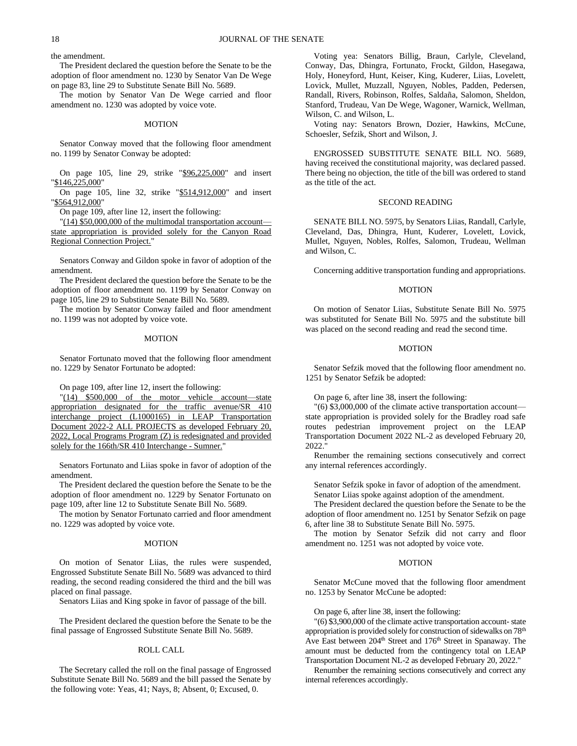the amendment.

The President declared the question before the Senate to be the adoption of floor amendment no. 1230 by Senator Van De Wege on page 83, line 29 to Substitute Senate Bill No. 5689.

The motion by Senator Van De Wege carried and floor amendment no. 1230 was adopted by voice vote.

### MOTION

Senator Conway moved that the following floor amendment no. 1199 by Senator Conway be adopted:

On page 105, line 29, strike "\$96,225,000" and insert "\$146,225,000"

On page 105, line 32, strike "\$514,912,000" and insert "\$564,912,000"

On page 109, after line 12, insert the following:

"(14) \$50,000,000 of the multimodal transportation account state appropriation is provided solely for the Canyon Road Regional Connection Project."

Senators Conway and Gildon spoke in favor of adoption of the amendment.

The President declared the question before the Senate to be the adoption of floor amendment no. 1199 by Senator Conway on page 105, line 29 to Substitute Senate Bill No. 5689.

The motion by Senator Conway failed and floor amendment no. 1199 was not adopted by voice vote.

### MOTION

Senator Fortunato moved that the following floor amendment no. 1229 by Senator Fortunato be adopted:

On page 109, after line 12, insert the following:

"(14) \$500,000 of the motor vehicle account—state appropriation designated for the traffic avenue/SR 410 interchange project (L1000165) in LEAP Transportation Document 2022-2 ALL PROJECTS as developed February 20, 2022, Local Programs Program (Z) is redesignated and provided solely for the 166th/SR 410 Interchange - Sumner."

Senators Fortunato and Liias spoke in favor of adoption of the amendment.

The President declared the question before the Senate to be the adoption of floor amendment no. 1229 by Senator Fortunato on page 109, after line 12 to Substitute Senate Bill No. 5689.

The motion by Senator Fortunato carried and floor amendment no. 1229 was adopted by voice vote.

### MOTION

On motion of Senator Liias, the rules were suspended, Engrossed Substitute Senate Bill No. 5689 was advanced to third reading, the second reading considered the third and the bill was placed on final passage.

Senators Liias and King spoke in favor of passage of the bill.

The President declared the question before the Senate to be the final passage of Engrossed Substitute Senate Bill No. 5689.

#### ROLL CALL

The Secretary called the roll on the final passage of Engrossed Substitute Senate Bill No. 5689 and the bill passed the Senate by the following vote: Yeas, 41; Nays, 8; Absent, 0; Excused, 0.

Voting yea: Senators Billig, Braun, Carlyle, Cleveland, Conway, Das, Dhingra, Fortunato, Frockt, Gildon, Hasegawa, Holy, Honeyford, Hunt, Keiser, King, Kuderer, Liias, Lovelett, Lovick, Mullet, Muzzall, Nguyen, Nobles, Padden, Pedersen, Randall, Rivers, Robinson, Rolfes, Saldaña, Salomon, Sheldon, Stanford, Trudeau, Van De Wege, Wagoner, Warnick, Wellman, Wilson, C. and Wilson, L.

Voting nay: Senators Brown, Dozier, Hawkins, McCune, Schoesler, Sefzik, Short and Wilson, J.

ENGROSSED SUBSTITUTE SENATE BILL NO. 5689, having received the constitutional majority, was declared passed. There being no objection, the title of the bill was ordered to stand as the title of the act.

## SECOND READING

SENATE BILL NO. 5975, by Senators Liias, Randall, Carlyle, Cleveland, Das, Dhingra, Hunt, Kuderer, Lovelett, Lovick, Mullet, Nguyen, Nobles, Rolfes, Salomon, Trudeau, Wellman and Wilson, C.

Concerning additive transportation funding and appropriations.

### MOTION

On motion of Senator Liias, Substitute Senate Bill No. 5975 was substituted for Senate Bill No. 5975 and the substitute bill was placed on the second reading and read the second time.

### MOTION

Senator Sefzik moved that the following floor amendment no. 1251 by Senator Sefzik be adopted:

On page 6, after line 38, insert the following:

"(6) \$3,000,000 of the climate active transportation account state appropriation is provided solely for the Bradley road safe routes pedestrian improvement project on the LEAP Transportation Document 2022 NL-2 as developed February 20, 2022."

Renumber the remaining sections consecutively and correct any internal references accordingly.

Senator Sefzik spoke in favor of adoption of the amendment. Senator Liias spoke against adoption of the amendment.

The President declared the question before the Senate to be the adoption of floor amendment no. 1251 by Senator Sefzik on page 6, after line 38 to Substitute Senate Bill No. 5975.

The motion by Senator Sefzik did not carry and floor amendment no. 1251 was not adopted by voice vote.

### MOTION

Senator McCune moved that the following floor amendment no. 1253 by Senator McCune be adopted:

On page 6, after line 38, insert the following:

"(6) \$3,900,000 of the climate active transportation account- state appropriation is provided solely for construction of sidewalks on 78th Ave East between 204<sup>th</sup> Street and 176<sup>th</sup> Street in Spanaway. The amount must be deducted from the contingency total on LEAP Transportation Document NL-2 as developed February 20, 2022."

Renumber the remaining sections consecutively and correct any internal references accordingly.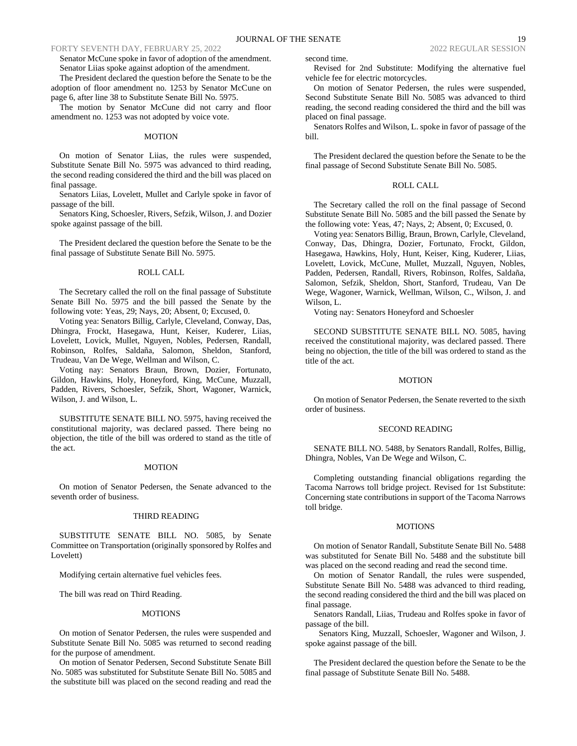Senator McCune spoke in favor of adoption of the amendment. Senator Liias spoke against adoption of the amendment.

The President declared the question before the Senate to be the adoption of floor amendment no. 1253 by Senator McCune on page 6, after line 38 to Substitute Senate Bill No. 5975.

The motion by Senator McCune did not carry and floor amendment no. 1253 was not adopted by voice vote.

### MOTION

On motion of Senator Liias, the rules were suspended, Substitute Senate Bill No. 5975 was advanced to third reading, the second reading considered the third and the bill was placed on final passage.

Senators Liias, Lovelett, Mullet and Carlyle spoke in favor of passage of the bill.

Senators King, Schoesler, Rivers, Sefzik, Wilson, J. and Dozier spoke against passage of the bill.

The President declared the question before the Senate to be the final passage of Substitute Senate Bill No. 5975.

### ROLL CALL

The Secretary called the roll on the final passage of Substitute Senate Bill No. 5975 and the bill passed the Senate by the following vote: Yeas, 29; Nays, 20; Absent, 0; Excused, 0.

Voting yea: Senators Billig, Carlyle, Cleveland, Conway, Das, Dhingra, Frockt, Hasegawa, Hunt, Keiser, Kuderer, Liias, Lovelett, Lovick, Mullet, Nguyen, Nobles, Pedersen, Randall, Robinson, Rolfes, Saldaña, Salomon, Sheldon, Stanford, Trudeau, Van De Wege, Wellman and Wilson, C.

Voting nay: Senators Braun, Brown, Dozier, Fortunato, Gildon, Hawkins, Holy, Honeyford, King, McCune, Muzzall, Padden, Rivers, Schoesler, Sefzik, Short, Wagoner, Warnick, Wilson, J. and Wilson, L.

SUBSTITUTE SENATE BILL NO. 5975, having received the constitutional majority, was declared passed. There being no objection, the title of the bill was ordered to stand as the title of the act.

#### MOTION

On motion of Senator Pedersen, the Senate advanced to the seventh order of business.

#### THIRD READING

SUBSTITUTE SENATE BILL NO. 5085, by Senate Committee on Transportation (originally sponsored by Rolfes and Lovelett)

Modifying certain alternative fuel vehicles fees.

The bill was read on Third Reading.

#### MOTIONS

On motion of Senator Pedersen, the rules were suspended and Substitute Senate Bill No. 5085 was returned to second reading for the purpose of amendment.

On motion of Senator Pedersen, Second Substitute Senate Bill No. 5085 was substituted for Substitute Senate Bill No. 5085 and the substitute bill was placed on the second reading and read the

second time.

Revised for 2nd Substitute: Modifying the alternative fuel vehicle fee for electric motorcycles.

On motion of Senator Pedersen, the rules were suspended, Second Substitute Senate Bill No. 5085 was advanced to third reading, the second reading considered the third and the bill was placed on final passage.

Senators Rolfes and Wilson, L. spoke in favor of passage of the bill.

The President declared the question before the Senate to be the final passage of Second Substitute Senate Bill No. 5085.

## ROLL CALL

The Secretary called the roll on the final passage of Second Substitute Senate Bill No. 5085 and the bill passed the Senate by the following vote: Yeas, 47; Nays, 2; Absent, 0; Excused, 0.

Voting yea: Senators Billig, Braun, Brown, Carlyle, Cleveland, Conway, Das, Dhingra, Dozier, Fortunato, Frockt, Gildon, Hasegawa, Hawkins, Holy, Hunt, Keiser, King, Kuderer, Liias, Lovelett, Lovick, McCune, Mullet, Muzzall, Nguyen, Nobles, Padden, Pedersen, Randall, Rivers, Robinson, Rolfes, Saldaña, Salomon, Sefzik, Sheldon, Short, Stanford, Trudeau, Van De Wege, Wagoner, Warnick, Wellman, Wilson, C., Wilson, J. and Wilson, L.

Voting nay: Senators Honeyford and Schoesler

SECOND SUBSTITUTE SENATE BILL NO. 5085, having received the constitutional majority, was declared passed. There being no objection, the title of the bill was ordered to stand as the title of the act.

#### **MOTION**

On motion of Senator Pedersen, the Senate reverted to the sixth order of business.

### SECOND READING

SENATE BILL NO. 5488, by Senators Randall, Rolfes, Billig, Dhingra, Nobles, Van De Wege and Wilson, C.

Completing outstanding financial obligations regarding the Tacoma Narrows toll bridge project. Revised for 1st Substitute: Concerning state contributions in support of the Tacoma Narrows toll bridge.

### **MOTIONS**

On motion of Senator Randall, Substitute Senate Bill No. 5488 was substituted for Senate Bill No. 5488 and the substitute bill was placed on the second reading and read the second time.

On motion of Senator Randall, the rules were suspended, Substitute Senate Bill No. 5488 was advanced to third reading, the second reading considered the third and the bill was placed on final passage.

Senators Randall, Liias, Trudeau and Rolfes spoke in favor of passage of the bill.

Senators King, Muzzall, Schoesler, Wagoner and Wilson, J. spoke against passage of the bill.

The President declared the question before the Senate to be the final passage of Substitute Senate Bill No. 5488.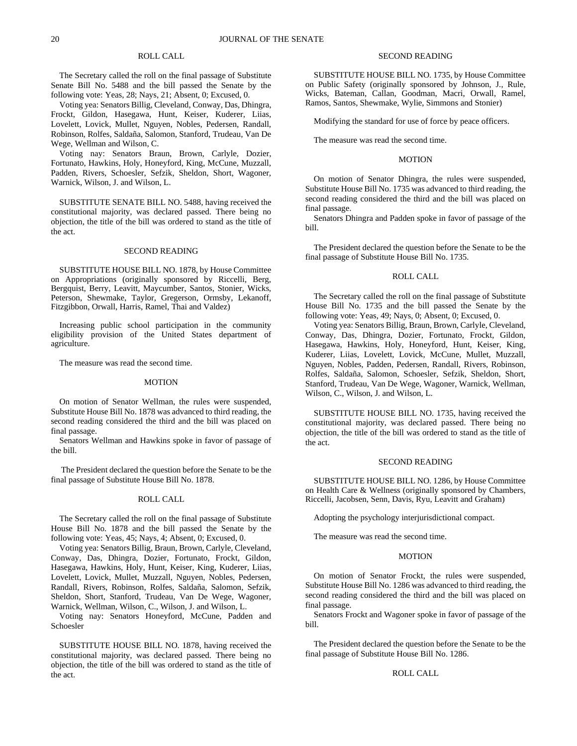## ROLL CALL

The Secretary called the roll on the final passage of Substitute Senate Bill No. 5488 and the bill passed the Senate by the following vote: Yeas, 28; Nays, 21; Absent, 0; Excused, 0.

Voting yea: Senators Billig, Cleveland, Conway, Das, Dhingra, Frockt, Gildon, Hasegawa, Hunt, Keiser, Kuderer, Liias, Lovelett, Lovick, Mullet, Nguyen, Nobles, Pedersen, Randall, Robinson, Rolfes, Saldaña, Salomon, Stanford, Trudeau, Van De Wege, Wellman and Wilson, C.

Voting nay: Senators Braun, Brown, Carlyle, Dozier, Fortunato, Hawkins, Holy, Honeyford, King, McCune, Muzzall, Padden, Rivers, Schoesler, Sefzik, Sheldon, Short, Wagoner, Warnick, Wilson, J. and Wilson, L.

SUBSTITUTE SENATE BILL NO. 5488, having received the constitutional majority, was declared passed. There being no objection, the title of the bill was ordered to stand as the title of the act.

#### SECOND READING

SUBSTITUTE HOUSE BILL NO. 1878, by House Committee on Appropriations (originally sponsored by Riccelli, Berg, Bergquist, Berry, Leavitt, Maycumber, Santos, Stonier, Wicks, Peterson, Shewmake, Taylor, Gregerson, Ormsby, Lekanoff, Fitzgibbon, Orwall, Harris, Ramel, Thai and Valdez)

Increasing public school participation in the community eligibility provision of the United States department of agriculture.

The measure was read the second time.

#### MOTION

On motion of Senator Wellman, the rules were suspended, Substitute House Bill No. 1878 was advanced to third reading, the second reading considered the third and the bill was placed on final passage.

Senators Wellman and Hawkins spoke in favor of passage of the bill.

The President declared the question before the Senate to be the final passage of Substitute House Bill No. 1878.

### ROLL CALL

The Secretary called the roll on the final passage of Substitute House Bill No. 1878 and the bill passed the Senate by the following vote: Yeas, 45; Nays, 4; Absent, 0; Excused, 0.

Voting yea: Senators Billig, Braun, Brown, Carlyle, Cleveland, Conway, Das, Dhingra, Dozier, Fortunato, Frockt, Gildon, Hasegawa, Hawkins, Holy, Hunt, Keiser, King, Kuderer, Liias, Lovelett, Lovick, Mullet, Muzzall, Nguyen, Nobles, Pedersen, Randall, Rivers, Robinson, Rolfes, Saldaña, Salomon, Sefzik, Sheldon, Short, Stanford, Trudeau, Van De Wege, Wagoner, Warnick, Wellman, Wilson, C., Wilson, J. and Wilson, L.

Voting nay: Senators Honeyford, McCune, Padden and Schoesler

SUBSTITUTE HOUSE BILL NO. 1878, having received the constitutional majority, was declared passed. There being no objection, the title of the bill was ordered to stand as the title of the act.

## SECOND READING

SUBSTITUTE HOUSE BILL NO. 1735, by House Committee on Public Safety (originally sponsored by Johnson, J., Rule, Wicks, Bateman, Callan, Goodman, Macri, Orwall, Ramel, Ramos, Santos, Shewmake, Wylie, Simmons and Stonier)

Modifying the standard for use of force by peace officers.

The measure was read the second time.

### **MOTION**

On motion of Senator Dhingra, the rules were suspended, Substitute House Bill No. 1735 was advanced to third reading, the second reading considered the third and the bill was placed on final passage.

Senators Dhingra and Padden spoke in favor of passage of the bill.

The President declared the question before the Senate to be the final passage of Substitute House Bill No. 1735.

## ROLL CALL

The Secretary called the roll on the final passage of Substitute House Bill No. 1735 and the bill passed the Senate by the following vote: Yeas, 49; Nays, 0; Absent, 0; Excused, 0.

Voting yea: Senators Billig, Braun, Brown, Carlyle, Cleveland, Conway, Das, Dhingra, Dozier, Fortunato, Frockt, Gildon, Hasegawa, Hawkins, Holy, Honeyford, Hunt, Keiser, King, Kuderer, Liias, Lovelett, Lovick, McCune, Mullet, Muzzall, Nguyen, Nobles, Padden, Pedersen, Randall, Rivers, Robinson, Rolfes, Saldaña, Salomon, Schoesler, Sefzik, Sheldon, Short, Stanford, Trudeau, Van De Wege, Wagoner, Warnick, Wellman, Wilson, C., Wilson, J. and Wilson, L.

SUBSTITUTE HOUSE BILL NO. 1735, having received the constitutional majority, was declared passed. There being no objection, the title of the bill was ordered to stand as the title of the act.

#### SECOND READING

SUBSTITUTE HOUSE BILL NO. 1286, by House Committee on Health Care & Wellness (originally sponsored by Chambers, Riccelli, Jacobsen, Senn, Davis, Ryu, Leavitt and Graham)

Adopting the psychology interjurisdictional compact.

The measure was read the second time.

### **MOTION**

On motion of Senator Frockt, the rules were suspended, Substitute House Bill No. 1286 was advanced to third reading, the second reading considered the third and the bill was placed on final passage.

Senators Frockt and Wagoner spoke in favor of passage of the bill.

The President declared the question before the Senate to be the final passage of Substitute House Bill No. 1286.

#### ROLL CALL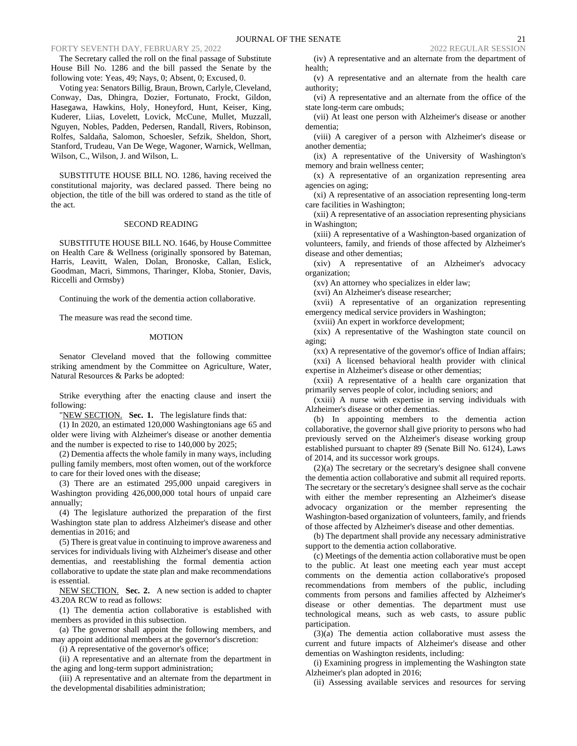The Secretary called the roll on the final passage of Substitute House Bill No. 1286 and the bill passed the Senate by the following vote: Yeas, 49; Nays, 0; Absent, 0; Excused, 0.

Voting yea: Senators Billig, Braun, Brown, Carlyle, Cleveland, Conway, Das, Dhingra, Dozier, Fortunato, Frockt, Gildon, Hasegawa, Hawkins, Holy, Honeyford, Hunt, Keiser, King, Kuderer, Liias, Lovelett, Lovick, McCune, Mullet, Muzzall, Nguyen, Nobles, Padden, Pedersen, Randall, Rivers, Robinson, Rolfes, Saldaña, Salomon, Schoesler, Sefzik, Sheldon, Short, Stanford, Trudeau, Van De Wege, Wagoner, Warnick, Wellman, Wilson, C., Wilson, J. and Wilson, L.

SUBSTITUTE HOUSE BILL NO. 1286, having received the constitutional majority, was declared passed. There being no objection, the title of the bill was ordered to stand as the title of the act.

### SECOND READING

SUBSTITUTE HOUSE BILL NO. 1646, by House Committee on Health Care & Wellness (originally sponsored by Bateman, Harris, Leavitt, Walen, Dolan, Bronoske, Callan, Eslick, Goodman, Macri, Simmons, Tharinger, Kloba, Stonier, Davis, Riccelli and Ormsby)

Continuing the work of the dementia action collaborative.

The measure was read the second time.

### MOTION

Senator Cleveland moved that the following committee striking amendment by the Committee on Agriculture, Water, Natural Resources & Parks be adopted:

Strike everything after the enacting clause and insert the following:

"NEW SECTION. Sec. 1. The legislature finds that:

(1) In 2020, an estimated 120,000 Washingtonians age 65 and older were living with Alzheimer's disease or another dementia and the number is expected to rise to 140,000 by 2025;

(2) Dementia affects the whole family in many ways, including pulling family members, most often women, out of the workforce to care for their loved ones with the disease;

(3) There are an estimated 295,000 unpaid caregivers in Washington providing 426,000,000 total hours of unpaid care annually;

(4) The legislature authorized the preparation of the first Washington state plan to address Alzheimer's disease and other dementias in 2016; and

(5) There is great value in continuing to improve awareness and services for individuals living with Alzheimer's disease and other dementias, and reestablishing the formal dementia action collaborative to update the state plan and make recommendations is essential.

NEW SECTION. **Sec. 2.** A new section is added to chapter 43.20A RCW to read as follows:

(1) The dementia action collaborative is established with members as provided in this subsection.

(a) The governor shall appoint the following members, and may appoint additional members at the governor's discretion:

(i) A representative of the governor's office;

(ii) A representative and an alternate from the department in the aging and long-term support administration;

(iii) A representative and an alternate from the department in the developmental disabilities administration;

(iv) A representative and an alternate from the department of health;

(v) A representative and an alternate from the health care authority;

(vi) A representative and an alternate from the office of the state long-term care ombuds;

(vii) At least one person with Alzheimer's disease or another dementia;

(viii) A caregiver of a person with Alzheimer's disease or another dementia;

(ix) A representative of the University of Washington's memory and brain wellness center;

(x) A representative of an organization representing area agencies on aging;

(xi) A representative of an association representing long-term care facilities in Washington;

(xii) A representative of an association representing physicians in Washington;

(xiii) A representative of a Washington-based organization of volunteers, family, and friends of those affected by Alzheimer's disease and other dementias;

(xiv) A representative of an Alzheimer's advocacy organization;

(xv) An attorney who specializes in elder law;

(xvi) An Alzheimer's disease researcher;

(xvii) A representative of an organization representing emergency medical service providers in Washington;

(xviii) An expert in workforce development;

(xix) A representative of the Washington state council on aging;

(xx) A representative of the governor's office of Indian affairs; (xxi) A licensed behavioral health provider with clinical

expertise in Alzheimer's disease or other dementias;

(xxii) A representative of a health care organization that primarily serves people of color, including seniors; and

(xxiii) A nurse with expertise in serving individuals with Alzheimer's disease or other dementias.

(b) In appointing members to the dementia action collaborative, the governor shall give priority to persons who had previously served on the Alzheimer's disease working group established pursuant to chapter 89 (Senate Bill No. 6124), Laws of 2014, and its successor work groups.

(2)(a) The secretary or the secretary's designee shall convene the dementia action collaborative and submit all required reports. The secretary or the secretary's designee shall serve as the cochair with either the member representing an Alzheimer's disease advocacy organization or the member representing the Washington-based organization of volunteers, family, and friends of those affected by Alzheimer's disease and other dementias.

(b) The department shall provide any necessary administrative support to the dementia action collaborative.

(c) Meetings of the dementia action collaborative must be open to the public. At least one meeting each year must accept comments on the dementia action collaborative's proposed recommendations from members of the public, including comments from persons and families affected by Alzheimer's disease or other dementias. The department must use technological means, such as web casts, to assure public participation.

(3)(a) The dementia action collaborative must assess the current and future impacts of Alzheimer's disease and other dementias on Washington residents, including:

(i) Examining progress in implementing the Washington state Alzheimer's plan adopted in 2016;

(ii) Assessing available services and resources for serving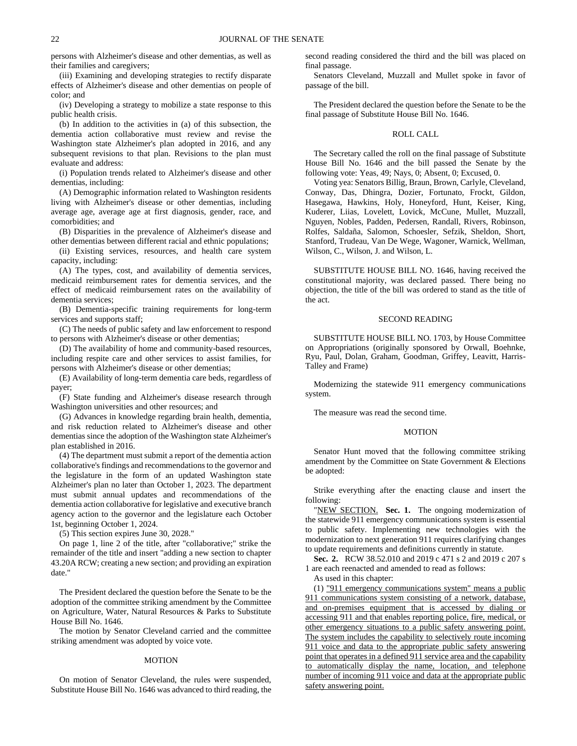persons with Alzheimer's disease and other dementias, as well as their families and caregivers;

(iii) Examining and developing strategies to rectify disparate effects of Alzheimer's disease and other dementias on people of color; and

(iv) Developing a strategy to mobilize a state response to this public health crisis.

(b) In addition to the activities in (a) of this subsection, the dementia action collaborative must review and revise the Washington state Alzheimer's plan adopted in 2016, and any subsequent revisions to that plan. Revisions to the plan must evaluate and address:

(i) Population trends related to Alzheimer's disease and other dementias, including:

(A) Demographic information related to Washington residents living with Alzheimer's disease or other dementias, including average age, average age at first diagnosis, gender, race, and comorbidities; and

(B) Disparities in the prevalence of Alzheimer's disease and other dementias between different racial and ethnic populations;

(ii) Existing services, resources, and health care system capacity, including:

(A) The types, cost, and availability of dementia services, medicaid reimbursement rates for dementia services, and the effect of medicaid reimbursement rates on the availability of dementia services;

(B) Dementia-specific training requirements for long-term services and supports staff;

(C) The needs of public safety and law enforcement to respond to persons with Alzheimer's disease or other dementias;

(D) The availability of home and community-based resources, including respite care and other services to assist families, for persons with Alzheimer's disease or other dementias;

(E) Availability of long-term dementia care beds, regardless of payer;

(F) State funding and Alzheimer's disease research through Washington universities and other resources; and

(G) Advances in knowledge regarding brain health, dementia, and risk reduction related to Alzheimer's disease and other dementias since the adoption of the Washington state Alzheimer's plan established in 2016.

(4) The department must submit a report of the dementia action collaborative's findings and recommendations to the governor and the legislature in the form of an updated Washington state Alzheimer's plan no later than October 1, 2023. The department must submit annual updates and recommendations of the dementia action collaborative for legislative and executive branch agency action to the governor and the legislature each October 1st, beginning October 1, 2024.

(5) This section expires June 30, 2028."

On page 1, line 2 of the title, after "collaborative;" strike the remainder of the title and insert "adding a new section to chapter 43.20A RCW; creating a new section; and providing an expiration date."

The President declared the question before the Senate to be the adoption of the committee striking amendment by the Committee on Agriculture, Water, Natural Resources & Parks to Substitute House Bill No. 1646.

The motion by Senator Cleveland carried and the committee striking amendment was adopted by voice vote.

#### MOTION

On motion of Senator Cleveland, the rules were suspended, Substitute House Bill No. 1646 was advanced to third reading, the second reading considered the third and the bill was placed on final passage.

Senators Cleveland, Muzzall and Mullet spoke in favor of passage of the bill.

The President declared the question before the Senate to be the final passage of Substitute House Bill No. 1646.

### ROLL CALL

The Secretary called the roll on the final passage of Substitute House Bill No. 1646 and the bill passed the Senate by the following vote: Yeas, 49; Nays, 0; Absent, 0; Excused, 0.

Voting yea: Senators Billig, Braun, Brown, Carlyle, Cleveland, Conway, Das, Dhingra, Dozier, Fortunato, Frockt, Gildon, Hasegawa, Hawkins, Holy, Honeyford, Hunt, Keiser, King, Kuderer, Liias, Lovelett, Lovick, McCune, Mullet, Muzzall, Nguyen, Nobles, Padden, Pedersen, Randall, Rivers, Robinson, Rolfes, Saldaña, Salomon, Schoesler, Sefzik, Sheldon, Short, Stanford, Trudeau, Van De Wege, Wagoner, Warnick, Wellman, Wilson, C., Wilson, J. and Wilson, L.

SUBSTITUTE HOUSE BILL NO. 1646, having received the constitutional majority, was declared passed. There being no objection, the title of the bill was ordered to stand as the title of the act.

#### SECOND READING

SUBSTITUTE HOUSE BILL NO. 1703, by House Committee on Appropriations (originally sponsored by Orwall, Boehnke, Ryu, Paul, Dolan, Graham, Goodman, Griffey, Leavitt, Harris-Talley and Frame)

Modernizing the statewide 911 emergency communications system.

The measure was read the second time.

#### MOTION

Senator Hunt moved that the following committee striking amendment by the Committee on State Government & Elections be adopted:

Strike everything after the enacting clause and insert the following:

"NEW SECTION. **Sec. 1.** The ongoing modernization of the statewide 911 emergency communications system is essential to public safety. Implementing new technologies with the modernization to next generation 911 requires clarifying changes to update requirements and definitions currently in statute.

**Sec. 2.** RCW 38.52.010 and 2019 c 471 s 2 and 2019 c 207 s 1 are each reenacted and amended to read as follows:

As used in this chapter:

(1) "911 emergency communications system" means a public 911 communications system consisting of a network, database, and on-premises equipment that is accessed by dialing or accessing 911 and that enables reporting police, fire, medical, or other emergency situations to a public safety answering point. The system includes the capability to selectively route incoming 911 voice and data to the appropriate public safety answering point that operates in a defined 911 service area and the capability to automatically display the name, location, and telephone number of incoming 911 voice and data at the appropriate public safety answering point.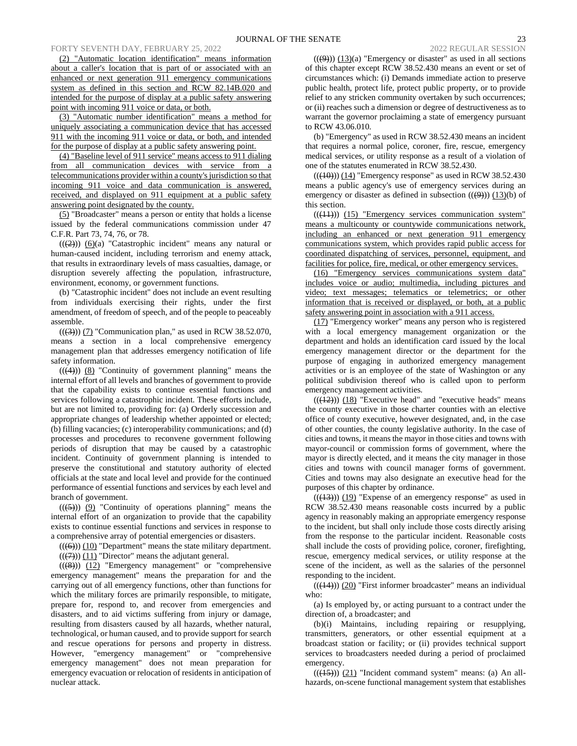(2) "Automatic location identification" means information about a caller's location that is part of or associated with an enhanced or next generation 911 emergency communications system as defined in this section and RCW 82.14B.020 and intended for the purpose of display at a public safety answering point with incoming 911 voice or data, or both.

(3) "Automatic number identification" means a method for uniquely associating a communication device that has accessed 911 with the incoming 911 voice or data, or both, and intended for the purpose of display at a public safety answering point.

(4) "Baseline level of 911 service" means access to 911 dialing from all communication devices with service from a telecommunications provider within a county's jurisdiction so that incoming 911 voice and data communication is answered, received, and displayed on 911 equipment at a public safety answering point designated by the county.

(5) "Broadcaster" means a person or entity that holds a license issued by the federal communications commission under 47 C.F.R. Part 73, 74, 76, or 78.

 $((2))$   $(6)(a)$  "Catastrophic incident" means any natural or human-caused incident, including terrorism and enemy attack, that results in extraordinary levels of mass casualties, damage, or disruption severely affecting the population, infrastructure, environment, economy, or government functions.

(b) "Catastrophic incident" does not include an event resulting from individuals exercising their rights, under the first amendment, of freedom of speech, and of the people to peaceably assemble.

 $((\text{(3)}))$  (7) "Communication plan," as used in RCW 38.52.070, means a section in a local comprehensive emergency management plan that addresses emergency notification of life safety information.

 $((\langle 4 \rangle) )$  (8) "Continuity of government planning" means the internal effort of all levels and branches of government to provide that the capability exists to continue essential functions and services following a catastrophic incident. These efforts include, but are not limited to, providing for: (a) Orderly succession and appropriate changes of leadership whether appointed or elected; (b) filling vacancies; (c) interoperability communications; and (d) processes and procedures to reconvene government following periods of disruption that may be caused by a catastrophic incident. Continuity of government planning is intended to preserve the constitutional and statutory authority of elected officials at the state and local level and provide for the continued performance of essential functions and services by each level and branch of government.

 $((\left(5\right)))$  (9) "Continuity of operations planning" means the internal effort of an organization to provide that the capability exists to continue essential functions and services in response to a comprehensive array of potential emergencies or disasters.

 $((\leftarrow{\leftrightarrow}))$  (10) "Department" means the state military department.

 $((\overline{(7)}))(11)$  "Director" means the adjutant general.

 $((\langle 8\rangle))$  (12) "Emergency management" or "comprehensive emergency management" means the preparation for and the carrying out of all emergency functions, other than functions for which the military forces are primarily responsible, to mitigate, prepare for, respond to, and recover from emergencies and disasters, and to aid victims suffering from injury or damage, resulting from disasters caused by all hazards, whether natural, technological, or human caused, and to provide support for search and rescue operations for persons and property in distress. However, "emergency management" or "comprehensive emergency management" does not mean preparation for emergency evacuation or relocation of residents in anticipation of nuclear attack.

 $((\cancel{9}))$  (13)(a) "Emergency or disaster" as used in all sections of this chapter except RCW 38.52.430 means an event or set of circumstances which: (i) Demands immediate action to preserve public health, protect life, protect public property, or to provide relief to any stricken community overtaken by such occurrences; or (ii) reaches such a dimension or degree of destructiveness as to warrant the governor proclaiming a state of emergency pursuant to RCW 43.06.010.

(b) "Emergency" as used in RCW 38.52.430 means an incident that requires a normal police, coroner, fire, rescue, emergency medical services, or utility response as a result of a violation of one of the statutes enumerated in RCW 38.52.430.

 $((\text{(10)})(\text{14})$  "Emergency response" as used in RCW 38.52.430 means a public agency's use of emergency services during an emergency or disaster as defined in subsection  $((9))$  (13)(b) of this section.

 $(( (41)) )$   $(15)$  "Emergency services communication system" means a multicounty or countywide communications network, including an enhanced or next generation 911 emergency communications system, which provides rapid public access for coordinated dispatching of services, personnel, equipment, and facilities for police, fire, medical, or other emergency services.

(16) "Emergency services communications system data" includes voice or audio; multimedia, including pictures and video; text messages; telematics or telemetrics; or other information that is received or displayed, or both, at a public safety answering point in association with a 911 access.

(17) "Emergency worker" means any person who is registered with a local emergency management organization or the department and holds an identification card issued by the local emergency management director or the department for the purpose of engaging in authorized emergency management activities or is an employee of the state of Washington or any political subdivision thereof who is called upon to perform emergency management activities.

 $((\overline{(12)}))$   $(18)$  "Executive head" and "executive heads" means the county executive in those charter counties with an elective office of county executive, however designated, and, in the case of other counties, the county legislative authority. In the case of cities and towns, it means the mayor in those cities and towns with mayor-council or commission forms of government, where the mayor is directly elected, and it means the city manager in those cities and towns with council manager forms of government. Cities and towns may also designate an executive head for the purposes of this chapter by ordinance.

 $((\frac{13}{13}))$  (19) "Expense of an emergency response" as used in RCW 38.52.430 means reasonable costs incurred by a public agency in reasonably making an appropriate emergency response to the incident, but shall only include those costs directly arising from the response to the particular incident. Reasonable costs shall include the costs of providing police, coroner, firefighting, rescue, emergency medical services, or utility response at the scene of the incident, as well as the salaries of the personnel responding to the incident.

 $(( (44)) ) (20)$  "First informer broadcaster" means an individual who:

(a) Is employed by, or acting pursuant to a contract under the direction of, a broadcaster; and

(b)(i) Maintains, including repairing or resupplying, transmitters, generators, or other essential equipment at a broadcast station or facility; or (ii) provides technical support services to broadcasters needed during a period of proclaimed emergency.

 $((\langle 15 \rangle) (21)$  "Incident command system" means: (a) An allhazards, on-scene functional management system that establishes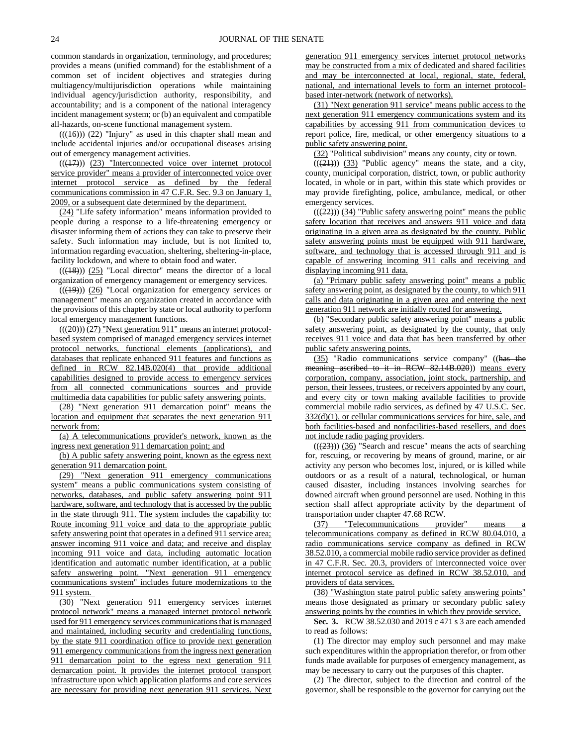common standards in organization, terminology, and procedures; provides a means (unified command) for the establishment of a common set of incident objectives and strategies during multiagency/multijurisdiction operations while maintaining individual agency/jurisdiction authority, responsibility, and accountability; and is a component of the national interagency incident management system; or (b) an equivalent and compatible all-hazards, on-scene functional management system.

 $(( (46)) (22)$  "Injury" as used in this chapter shall mean and include accidental injuries and/or occupational diseases arising out of emergency management activities.

 $(( (17)) )$   $(23)$  "Interconnected voice over internet protocol service provider" means a provider of interconnected voice over internet protocol service as defined by the federal communications commission in 47 C.F.R. Sec. 9.3 on January 1, 2009, or a subsequent date determined by the department.

(24) "Life safety information" means information provided to people during a response to a life-threatening emergency or disaster informing them of actions they can take to preserve their safety. Such information may include, but is not limited to, information regarding evacuation, sheltering, sheltering-in-place, facility lockdown, and where to obtain food and water.

 $((\overline{(48)}))$  (25) "Local director" means the director of a local organization of emergency management or emergency services.

 $((\overline{(19)}))$  (26) "Local organization for emergency services or management" means an organization created in accordance with the provisions of this chapter by state or local authority to perform local emergency management functions.

 $(((20)))(27)$  "Next generation 911" means an internet protocolbased system comprised of managed emergency services internet protocol networks, functional elements (applications), and databases that replicate enhanced 911 features and functions as defined in RCW 82.14B.020(4) that provide additional capabilities designed to provide access to emergency services from all connected communications sources and provide multimedia data capabilities for public safety answering points.

(28) "Next generation 911 demarcation point" means the location and equipment that separates the next generation 911 network from:

(a) A telecommunications provider's network, known as the ingress next generation 911 demarcation point; and

(b) A public safety answering point, known as the egress next generation 911 demarcation point.

(29) "Next generation 911 emergency communications system" means a public communications system consisting of networks, databases, and public safety answering point 911 hardware, software, and technology that is accessed by the public in the state through 911. The system includes the capability to: Route incoming 911 voice and data to the appropriate public safety answering point that operates in a defined 911 service area; answer incoming 911 voice and data; and receive and display incoming 911 voice and data, including automatic location identification and automatic number identification, at a public safety answering point. "Next generation 911 emergency communications system" includes future modernizations to the 911 system.

(30) "Next generation 911 emergency services internet protocol network" means a managed internet protocol network used for 911 emergency services communications that is managed and maintained, including security and credentialing functions, by the state 911 coordination office to provide next generation 911 emergency communications from the ingress next generation 911 demarcation point to the egress next generation 911 demarcation point. It provides the internet protocol transport infrastructure upon which application platforms and core services are necessary for providing next generation 911 services. Next generation 911 emergency services internet protocol networks may be constructed from a mix of dedicated and shared facilities and may be interconnected at local, regional, state, federal, national, and international levels to form an internet protocolbased inter-network (network of networks).

(31) "Next generation 911 service" means public access to the next generation 911 emergency communications system and its capabilities by accessing 911 from communication devices to report police, fire, medical, or other emergency situations to a public safety answering point.

(32) "Political subdivision" means any county, city or town.

 $((21))$  (33) "Public agency" means the state, and a city, county, municipal corporation, district, town, or public authority located, in whole or in part, within this state which provides or may provide firefighting, police, ambulance, medical, or other emergency services.

 $((22))$  (34) "Public safety answering point" means the public safety location that receives and answers 911 voice and data originating in a given area as designated by the county. Public safety answering points must be equipped with 911 hardware, software, and technology that is accessed through 911 and is capable of answering incoming 911 calls and receiving and displaying incoming 911 data.

(a) "Primary public safety answering point" means a public safety answering point, as designated by the county, to which 911 calls and data originating in a given area and entering the next generation 911 network are initially routed for answering.

(b) "Secondary public safety answering point" means a public safety answering point, as designated by the county, that only receives 911 voice and data that has been transferred by other public safety answering points.

(35) "Radio communications service company" ((has the meaning ascribed to it in RCW 82.14B.020) means every corporation, company, association, joint stock, partnership, and person, their lessees, trustees, or receivers appointed by any court, and every city or town making available facilities to provide commercial mobile radio services, as defined by 47 U.S.C. Sec. 332(d)(1), or cellular communications services for hire, sale, and both facilities-based and nonfacilities-based resellers, and does not include radio paging providers.

 $((23))$   $(36)$  "Search and rescue" means the acts of searching for, rescuing, or recovering by means of ground, marine, or air activity any person who becomes lost, injured, or is killed while outdoors or as a result of a natural, technological, or human caused disaster, including instances involving searches for downed aircraft when ground personnel are used. Nothing in this section shall affect appropriate activity by the department of transportation under chapter 47.68 RCW.

(37) "Telecommunications provider" means telecommunications company as defined in RCW 80.04.010, a radio communications service company as defined in RCW 38.52.010, a commercial mobile radio service provider as defined in 47 C.F.R. Sec. 20.3, providers of interconnected voice over internet protocol service as defined in RCW 38.52.010, and providers of data services.

(38) "Washington state patrol public safety answering points" means those designated as primary or secondary public safety answering points by the counties in which they provide service.

**Sec. 3.** RCW 38.52.030 and 2019 c 471 s 3 are each amended to read as follows:

(1) The director may employ such personnel and may make such expenditures within the appropriation therefor, or from other funds made available for purposes of emergency management, as may be necessary to carry out the purposes of this chapter.

(2) The director, subject to the direction and control of the governor, shall be responsible to the governor for carrying out the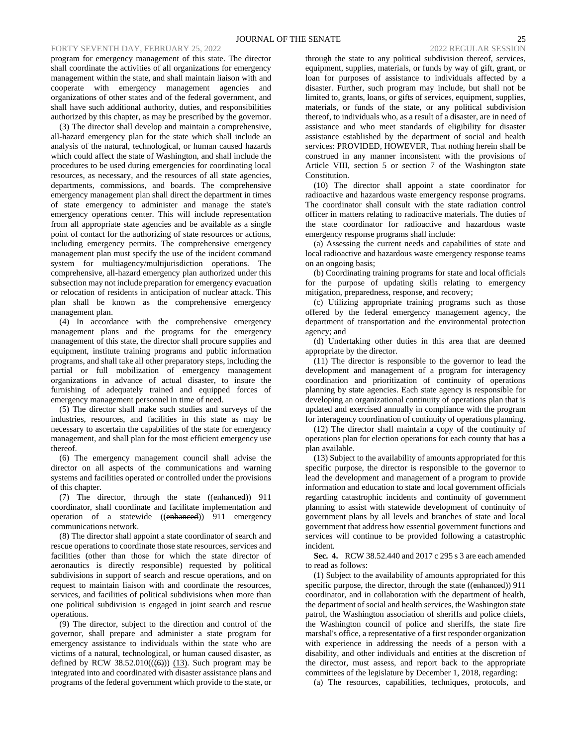program for emergency management of this state. The director shall coordinate the activities of all organizations for emergency management within the state, and shall maintain liaison with and cooperate with emergency management agencies and organizations of other states and of the federal government, and shall have such additional authority, duties, and responsibilities authorized by this chapter, as may be prescribed by the governor.

(3) The director shall develop and maintain a comprehensive, all-hazard emergency plan for the state which shall include an analysis of the natural, technological, or human caused hazards which could affect the state of Washington, and shall include the procedures to be used during emergencies for coordinating local resources, as necessary, and the resources of all state agencies, departments, commissions, and boards. The comprehensive emergency management plan shall direct the department in times of state emergency to administer and manage the state's emergency operations center. This will include representation from all appropriate state agencies and be available as a single point of contact for the authorizing of state resources or actions, including emergency permits. The comprehensive emergency management plan must specify the use of the incident command system for multiagency/multijurisdiction operations. The comprehensive, all-hazard emergency plan authorized under this subsection may not include preparation for emergency evacuation or relocation of residents in anticipation of nuclear attack. This plan shall be known as the comprehensive emergency management plan.

(4) In accordance with the comprehensive emergency management plans and the programs for the emergency management of this state, the director shall procure supplies and equipment, institute training programs and public information programs, and shall take all other preparatory steps, including the partial or full mobilization of emergency management organizations in advance of actual disaster, to insure the furnishing of adequately trained and equipped forces of emergency management personnel in time of need.

(5) The director shall make such studies and surveys of the industries, resources, and facilities in this state as may be necessary to ascertain the capabilities of the state for emergency management, and shall plan for the most efficient emergency use thereof.

(6) The emergency management council shall advise the director on all aspects of the communications and warning systems and facilities operated or controlled under the provisions of this chapter.

(7) The director, through the state ((enhanced)) 911 coordinator, shall coordinate and facilitate implementation and operation of a statewide ((enhanced)) 911 emergency communications network.

(8) The director shall appoint a state coordinator of search and rescue operations to coordinate those state resources, services and facilities (other than those for which the state director of aeronautics is directly responsible) requested by political subdivisions in support of search and rescue operations, and on request to maintain liaison with and coordinate the resources, services, and facilities of political subdivisions when more than one political subdivision is engaged in joint search and rescue operations.

(9) The director, subject to the direction and control of the governor, shall prepare and administer a state program for emergency assistance to individuals within the state who are victims of a natural, technological, or human caused disaster, as defined by RCW 38.52.010 $((\text{(6)}))$  (13). Such program may be integrated into and coordinated with disaster assistance plans and programs of the federal government which provide to the state, or thereof, to individuals who, as a result of a disaster, are in need of assistance and who meet standards of eligibility for disaster assistance established by the department of social and health services: PROVIDED, HOWEVER, That nothing herein shall be construed in any manner inconsistent with the provisions of Article VIII, section 5 or section 7 of the Washington state Constitution.

(10) The director shall appoint a state coordinator for radioactive and hazardous waste emergency response programs. The coordinator shall consult with the state radiation control officer in matters relating to radioactive materials. The duties of the state coordinator for radioactive and hazardous waste emergency response programs shall include:

(a) Assessing the current needs and capabilities of state and local radioactive and hazardous waste emergency response teams on an ongoing basis;

(b) Coordinating training programs for state and local officials for the purpose of updating skills relating to emergency mitigation, preparedness, response, and recovery;

(c) Utilizing appropriate training programs such as those offered by the federal emergency management agency, the department of transportation and the environmental protection agency; and

(d) Undertaking other duties in this area that are deemed appropriate by the director.

(11) The director is responsible to the governor to lead the development and management of a program for interagency coordination and prioritization of continuity of operations planning by state agencies. Each state agency is responsible for developing an organizational continuity of operations plan that is updated and exercised annually in compliance with the program for interagency coordination of continuity of operations planning.

(12) The director shall maintain a copy of the continuity of operations plan for election operations for each county that has a plan available.

(13) Subject to the availability of amounts appropriated for this specific purpose, the director is responsible to the governor to lead the development and management of a program to provide information and education to state and local government officials regarding catastrophic incidents and continuity of government planning to assist with statewide development of continuity of government plans by all levels and branches of state and local government that address how essential government functions and services will continue to be provided following a catastrophic incident.

**Sec. 4.** RCW 38.52.440 and 2017 c 295 s 3 are each amended to read as follows:

(1) Subject to the availability of amounts appropriated for this specific purpose, the director, through the state ((enhanced)) 911 coordinator, and in collaboration with the department of health, the department of social and health services, the Washington state patrol, the Washington association of sheriffs and police chiefs, the Washington council of police and sheriffs, the state fire marshal's office, a representative of a first responder organization with experience in addressing the needs of a person with a disability, and other individuals and entities at the discretion of the director, must assess, and report back to the appropriate committees of the legislature by December 1, 2018, regarding:

(a) The resources, capabilities, techniques, protocols, and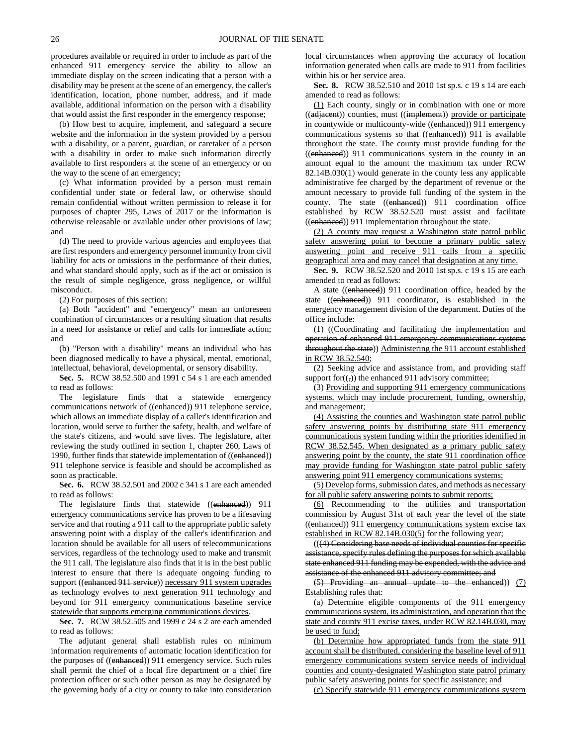procedures available or required in order to include as part of the enhanced 911 emergency service the ability to allow an immediate display on the screen indicating that a person with a disability may be present at the scene of an emergency, the caller's identification, location, phone number, address, and if made available, additional information on the person with a disability that would assist the first responder in the emergency response;

(b) How best to acquire, implement, and safeguard a secure website and the information in the system provided by a person with a disability, or a parent, guardian, or caretaker of a person with a disability in order to make such information directly available to first responders at the scene of an emergency or on the way to the scene of an emergency;

(c) What information provided by a person must remain confidential under state or federal law, or otherwise should remain confidential without written permission to release it for purposes of chapter 295, Laws of 2017 or the information is otherwise releasable or available under other provisions of law; and

(d) The need to provide various agencies and employees that are first responders and emergency personnel immunity from civil liability for acts or omissions in the performance of their duties, and what standard should apply, such as if the act or omission is the result of simple negligence, gross negligence, or willful misconduct.

(2) For purposes of this section:

(a) Both "accident" and "emergency" mean an unforeseen combination of circumstances or a resulting situation that results in a need for assistance or relief and calls for immediate action; and

(b) "Person with a disability" means an individual who has been diagnosed medically to have a physical, mental, emotional, intellectual, behavioral, developmental, or sensory disability.

**Sec. 5.** RCW 38.52.500 and 1991 c 54 s 1 are each amended to read as follows:

The legislature finds that a statewide emergency communications network of ((enhanced)) 911 telephone service, which allows an immediate display of a caller's identification and location, would serve to further the safety, health, and welfare of the state's citizens, and would save lives. The legislature, after reviewing the study outlined in section 1, chapter 260, Laws of 1990, further finds that statewide implementation of ((enhanced)) 911 telephone service is feasible and should be accomplished as soon as practicable.

**Sec. 6.** RCW 38.52.501 and 2002 c 341 s 1 are each amended to read as follows:

The legislature finds that statewide ((enhanced)) 911 emergency communications service has proven to be a lifesaving service and that routing a 911 call to the appropriate public safety answering point with a display of the caller's identification and location should be available for all users of telecommunications services, regardless of the technology used to make and transmit the 911 call. The legislature also finds that it is in the best public interest to ensure that there is adequate ongoing funding to support ((enhanced 911 service)) necessary 911 system upgrades as technology evolves to next generation 911 technology and beyond for 911 emergency communications baseline service statewide that supports emerging communications devices.

**Sec. 7.** RCW 38.52.505 and 1999 c 24 s 2 are each amended to read as follows:

The adjutant general shall establish rules on minimum information requirements of automatic location identification for the purposes of ((enhanced)) 911 emergency service. Such rules shall permit the chief of a local fire department or a chief fire protection officer or such other person as may be designated by the governing body of a city or county to take into consideration local circumstances when approving the accuracy of location information generated when calls are made to 911 from facilities within his or her service area.

**Sec. 8.** RCW 38.52.510 and 2010 1st sp.s. c 19 s 14 are each amended to read as follows:

(1) Each county, singly or in combination with one or more ((adjacent)) counties, must ((implement)) provide or participate in countywide or multicounty-wide ((enhanced)) 911 emergency communications systems so that ((enhanced)) 911 is available throughout the state. The county must provide funding for the ((enhanced)) 911 communications system in the county in an amount equal to the amount the maximum tax under RCW 82.14B.030(1) would generate in the county less any applicable administrative fee charged by the department of revenue or the amount necessary to provide full funding of the system in the county. The state ((enhanced)) 911 coordination office established by RCW 38.52.520 must assist and facilitate ((enhanced)) 911 implementation throughout the state.

(2) A county may request a Washington state patrol public safety answering point to become a primary public safety answering point and receive 911 calls from a specific geographical area and may cancel that designation at any time.

**Sec. 9.** RCW 38.52.520 and 2010 1st sp.s. c 19 s 15 are each amended to read as follows:

A state ((enhanced)) 911 coordination office, headed by the state ((enhanced)) 911 coordinator, is established in the emergency management division of the department. Duties of the office include:

(1) ((Coordinating and facilitating the implementation and operation of enhanced 911 emergency communications systems throughout the state)) Administering the 911 account established in RCW 38.52.540;

(2) Seeking advice and assistance from, and providing staff support for $((,))$  the enhanced 911 advisory committee;

(3) Providing and supporting 911 emergency communications systems, which may include procurement, funding, ownership, and management;

(4) Assisting the counties and Washington state patrol public safety answering points by distributing state 911 emergency communications system funding within the priorities identified in RCW 38.52.545. When designated as a primary public safety answering point by the county, the state 911 coordination office may provide funding for Washington state patrol public safety answering point 911 emergency communications systems;

(5) Develop forms, submission dates, and methods as necessary for all public safety answering points to submit reports;

(6) Recommending to the utilities and transportation commission by August 31st of each year the level of the state ((enhanced)) 911 emergency communications system excise tax established in RCW 82.14B.030(5) for the following year;

(((4) Considering base needs of individual counties for specific assistance, specify rules defining the purposes for which available state enhanced 911 funding may be expended, with the advice and assistance of the enhanced 911 advisory committee; and

(5) Providing an annual update to the enhanced)) (7) Establishing rules that:

(a) Determine eligible components of the 911 emergency communications system, its administration, and operation that the state and county 911 excise taxes, under RCW 82.14B.030, may be used to fund;

(b) Determine how appropriated funds from the state 911 account shall be distributed, considering the baseline level of 911 emergency communications system service needs of individual counties and county-designated Washington state patrol primary public safety answering points for specific assistance; and

(c) Specify statewide 911 emergency communications system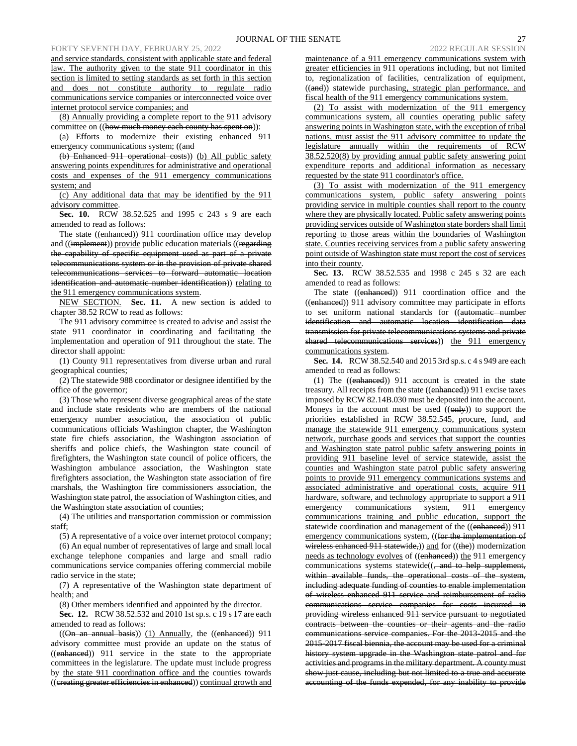## FORTY SEVENTH DAY, FEBRUARY 25, 2022

and service standards, consistent with applicable state and federal law. The authority given to the state 911 coordinator in this section is limited to setting standards as set forth in this section and does not constitute authority to regulate radio communications service companies or interconnected voice over internet protocol service companies; and

(8) Annually providing a complete report to the 911 advisory committee on ((how much money each county has spent on)):

(a) Efforts to modernize their existing enhanced 911 emergency communications system; ((and

(b) Enhanced 911 operational costs)) (b) All public safety answering points expenditures for administrative and operational costs and expenses of the 911 emergency communications system; and

(c) Any additional data that may be identified by the 911 advisory committee.

**Sec. 10.** RCW 38.52.525 and 1995 c 243 s 9 are each amended to read as follows:

The state ((enhanced)) 911 coordination office may develop and ((implement)) provide public education materials ((regarding the capability of specific equipment used as part of a private telecommunications system or in the provision of private shared telecommunications services to forward automatic location identification and automatic number identification)) relating to the 911 emergency communications system.

NEW SECTION. **Sec. 11.** A new section is added to chapter 38.52 RCW to read as follows:

The 911 advisory committee is created to advise and assist the state 911 coordinator in coordinating and facilitating the implementation and operation of 911 throughout the state. The director shall appoint:

(1) County 911 representatives from diverse urban and rural geographical counties;

(2) The statewide 988 coordinator or designee identified by the office of the governor;

(3) Those who represent diverse geographical areas of the state and include state residents who are members of the national emergency number association, the association of public communications officials Washington chapter, the Washington state fire chiefs association, the Washington association of sheriffs and police chiefs, the Washington state council of firefighters, the Washington state council of police officers, the Washington ambulance association, the Washington state firefighters association, the Washington state association of fire marshals, the Washington fire commissioners association, the Washington state patrol, the association of Washington cities, and the Washington state association of counties;

(4) The utilities and transportation commission or commission staff;

(5) A representative of a voice over internet protocol company;

(6) An equal number of representatives of large and small local exchange telephone companies and large and small radio communications service companies offering commercial mobile radio service in the state;

(7) A representative of the Washington state department of health; and

(8) Other members identified and appointed by the director.

**Sec. 12.** RCW 38.52.532 and 2010 1st sp.s. c 19 s 17 are each amended to read as follows:

 $((On an annual basis))$  (1) Annually, the  $((enhanced))$  911 advisory committee must provide an update on the status of ((enhanced)) 911 service in the state to the appropriate committees in the legislature. The update must include progress by the state 911 coordination office and the counties towards ((creating greater efficiencies in enhanced)) continual growth and maintenance of a 911 emergency communications system with greater efficiencies in 911 operations including, but not limited to, regionalization of facilities, centralization of equipment, ((and)) statewide purchasing, strategic plan performance, and fiscal health of the 911 emergency communications system.

(2) To assist with modernization of the 911 emergency communications system, all counties operating public safety answering points in Washington state, with the exception of tribal nations, must assist the 911 advisory committee to update the legislature annually within the requirements of RCW 38.52.520(8) by providing annual public safety answering point expenditure reports and additional information as necessary requested by the state 911 coordinator's office.

(3) To assist with modernization of the 911 emergency communications system, public safety answering points providing service in multiple counties shall report to the county where they are physically located. Public safety answering points providing services outside of Washington state borders shall limit reporting to those areas within the boundaries of Washington state. Counties receiving services from a public safety answering point outside of Washington state must report the cost of services into their county.

**Sec. 13.** RCW 38.52.535 and 1998 c 245 s 32 are each amended to read as follows:

The state ((enhanced)) 911 coordination office and the ((enhanced)) 911 advisory committee may participate in efforts to set uniform national standards for ((automatic number identification and automatic location identification data transmission for private telecommunications systems and private shared telecommunications services) the 911 emergency communications system.

**Sec. 14.** RCW 38.52.540 and 2015 3rd sp.s. c 4 s 949 are each amended to read as follows:

(1) The ((enhanced)) 911 account is created in the state treasury. All receipts from the state ((enhanced)) 911 excise taxes imposed by RCW 82.14B.030 must be deposited into the account. Moneys in the account must be used  $((\text{only}))$  to support the priorities established in RCW 38.52.545, procure, fund, and manage the statewide 911 emergency communications system network, purchase goods and services that support the counties and Washington state patrol public safety answering points in providing 911 baseline level of service statewide, assist the counties and Washington state patrol public safety answering points to provide 911 emergency communications systems and associated administrative and operational costs, acquire 911 hardware, software, and technology appropriate to support a 911 emergency communications system, 911 emergency communications training and public education, support the statewide coordination and management of the ((enhanced)) 911 emergency communications system, ((for the implementation of wireless enhanced 911 statewide,)) and for ((the)) modernization needs as technology evolves of ((enhanced)) the 911 emergency communications systems statewide((, and to help supplement, within available funds, the operational costs of the system, including adequate funding of counties to enable implementation of wireless enhanced 911 service and reimbursement of radio communications service companies for costs incurred in providing wireless enhanced 911 service pursuant to negotiated contracts between the counties or their agents and the radio communications service companies. For the 2013-2015 and the 2015-2017 fiscal biennia, the account may be used for a criminal history system upgrade in the Washington state patrol and for activities and programs in the military department. A county must show just cause, including but not limited to a true and accurate accounting of the funds expended, for any inability to provide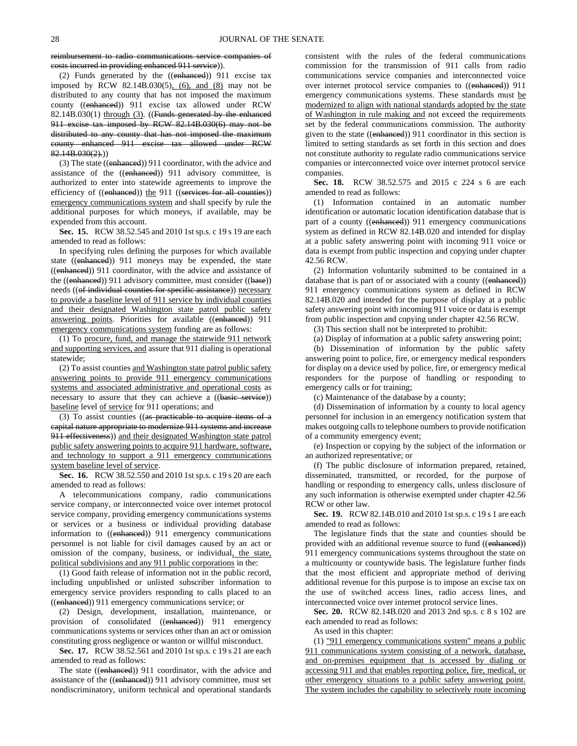reimbursement to radio communications service companies of costs incurred in providing enhanced 911 service)).

(2) Funds generated by the ((enhanced)) 911 excise tax imposed by RCW 82.14B.030(5), (6), and (8) may not be distributed to any county that has not imposed the maximum county ((enhanced)) 911 excise tax allowed under RCW 82.14B.030(1) through (3). ((Funds generated by the enhanced 911 excise tax imposed by RCW 82.14B.030(6) may not be distributed to any county that has not imposed the maximum county enhanced 911 excise tax allowed under RCW 82.14B.030(2).))

(3) The state ((enhanced)) 911 coordinator, with the advice and assistance of the ((enhanced)) 911 advisory committee, is authorized to enter into statewide agreements to improve the efficiency of ((enhanced)) the 911 ((services for all counties)) emergency communications system and shall specify by rule the additional purposes for which moneys, if available, may be expended from this account.

**Sec. 15.** RCW 38.52.545 and 2010 1st sp.s. c 19 s 19 are each amended to read as follows:

In specifying rules defining the purposes for which available state ((enhanced)) 911 moneys may be expended, the state ((enhanced)) 911 coordinator, with the advice and assistance of the ((enhanced)) 911 advisory committee, must consider ((base)) needs ((of individual counties for specific assistance)) necessary to provide a baseline level of 911 service by individual counties and their designated Washington state patrol public safety answering points. Priorities for available ((enhanced)) 911 emergency communications system funding are as follows:

(1) To procure, fund, and manage the statewide 911 network and supporting services, and assure that 911 dialing is operational statewide;

(2) To assist counties and Washington state patrol public safety answering points to provide 911 emergency communications systems and associated administrative and operational costs as necessary to assure that they can achieve a ((basic service)) baseline level of service for 911 operations; and

(3) To assist counties ((as practicable to acquire items of a capital nature appropriate to modernize 911 systems and increase 911 effectiveness)) and their designated Washington state patrol public safety answering points to acquire 911 hardware, software, and technology to support a 911 emergency communications system baseline level of service.

**Sec. 16.** RCW 38.52.550 and 2010 1st sp.s. c 19 s 20 are each amended to read as follows:

A telecommunications company, radio communications service company, or interconnected voice over internet protocol service company, providing emergency communications systems or services or a business or individual providing database information to ((enhanced)) 911 emergency communications personnel is not liable for civil damages caused by an act or omission of the company, business, or individual, the state, political subdivisions and any 911 public corporations in the:

(1) Good faith release of information not in the public record, including unpublished or unlisted subscriber information to emergency service providers responding to calls placed to an ((enhanced)) 911 emergency communications service; or

(2) Design, development, installation, maintenance, or provision of consolidated ((enhanced)) 911 emergency communications systems or services other than an act or omission constituting gross negligence or wanton or willful misconduct.

**Sec. 17.** RCW 38.52.561 and 2010 1st sp.s. c 19 s 21 are each amended to read as follows:

The state ((enhanced)) 911 coordinator, with the advice and assistance of the ((enhanced)) 911 advisory committee, must set nondiscriminatory, uniform technical and operational standards consistent with the rules of the federal communications commission for the transmission of 911 calls from radio communications service companies and interconnected voice over internet protocol service companies to ((enhanced)) 911 emergency communications systems. These standards must be modernized to align with national standards adopted by the state of Washington in rule making and not exceed the requirements set by the federal communications commission. The authority given to the state ((enhanced)) 911 coordinator in this section is limited to setting standards as set forth in this section and does not constitute authority to regulate radio communications service companies or interconnected voice over internet protocol service companies.

**Sec. 18.** RCW 38.52.575 and 2015 c 224 s 6 are each amended to read as follows:

(1) Information contained in an automatic number identification or automatic location identification database that is part of a county ((enhanced)) 911 emergency communications system as defined in RCW 82.14B.020 and intended for display at a public safety answering point with incoming 911 voice or data is exempt from public inspection and copying under chapter 42.56 RCW.

(2) Information voluntarily submitted to be contained in a database that is part of or associated with a county ((enhanced)) 911 emergency communications system as defined in RCW 82.14B.020 and intended for the purpose of display at a public safety answering point with incoming 911 voice or data is exempt from public inspection and copying under chapter 42.56 RCW.

(3) This section shall not be interpreted to prohibit:

(a) Display of information at a public safety answering point;

(b) Dissemination of information by the public safety answering point to police, fire, or emergency medical responders for display on a device used by police, fire, or emergency medical responders for the purpose of handling or responding to emergency calls or for training;

(c) Maintenance of the database by a county;

(d) Dissemination of information by a county to local agency personnel for inclusion in an emergency notification system that makes outgoing calls to telephone numbers to provide notification of a community emergency event;

(e) Inspection or copying by the subject of the information or an authorized representative; or

(f) The public disclosure of information prepared, retained, disseminated, transmitted, or recorded, for the purpose of handling or responding to emergency calls, unless disclosure of any such information is otherwise exempted under chapter 42.56 RCW or other law.

**Sec. 19.** RCW 82.14B.010 and 2010 1st sp.s. c 19 s 1 are each amended to read as follows:

The legislature finds that the state and counties should be provided with an additional revenue source to fund ((enhanced)) 911 emergency communications systems throughout the state on a multicounty or countywide basis. The legislature further finds that the most efficient and appropriate method of deriving additional revenue for this purpose is to impose an excise tax on the use of switched access lines, radio access lines, and interconnected voice over internet protocol service lines.

**Sec. 20.** RCW 82.14B.020 and 2013 2nd sp.s. c 8 s 102 are each amended to read as follows:

As used in this chapter:

(1) "911 emergency communications system" means a public 911 communications system consisting of a network, database, and on-premises equipment that is accessed by dialing or accessing 911 and that enables reporting police, fire, medical, or other emergency situations to a public safety answering point. The system includes the capability to selectively route incoming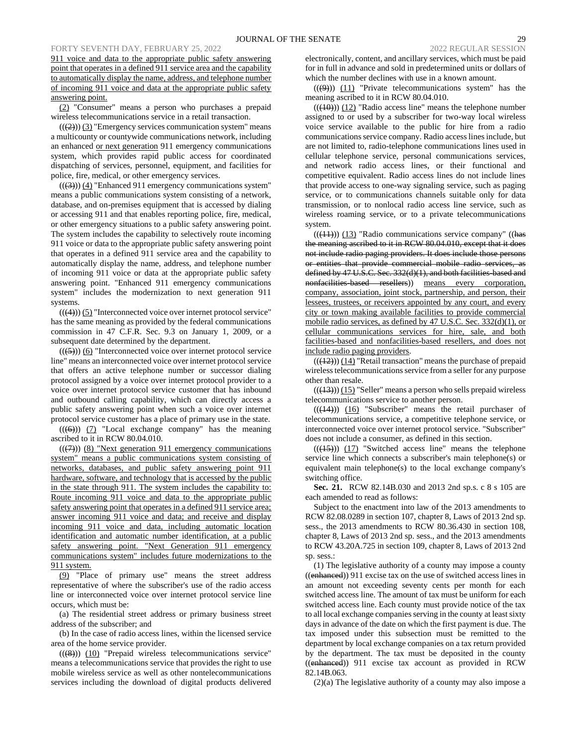911 voice and data to the appropriate public safety answering point that operates in a defined 911 service area and the capability to automatically display the name, address, and telephone number of incoming 911 voice and data at the appropriate public safety answering point.

(2) "Consumer" means a person who purchases a prepaid wireless telecommunications service in a retail transaction.

 $((2))$  (3) "Emergency services communication system" means a multicounty or countywide communications network, including an enhanced or next generation 911 emergency communications system, which provides rapid public access for coordinated dispatching of services, personnel, equipment, and facilities for police, fire, medical, or other emergency services.

 $((\langle 3 \rangle)(4)$  "Enhanced 911 emergency communications system" means a public communications system consisting of a network, database, and on-premises equipment that is accessed by dialing or accessing 911 and that enables reporting police, fire, medical, or other emergency situations to a public safety answering point. The system includes the capability to selectively route incoming 911 voice or data to the appropriate public safety answering point that operates in a defined 911 service area and the capability to automatically display the name, address, and telephone number of incoming 911 voice or data at the appropriate public safety answering point. "Enhanced 911 emergency communications system" includes the modernization to next generation 911 systems.

 $(((4))$  $(5)$  "Interconnected voice over internet protocol service" has the same meaning as provided by the federal communications commission in 47 C.F.R. Sec. 9.3 on January 1, 2009, or a subsequent date determined by the department.

 $((\left<\frac{5}{2}\right>))$  (6) "Interconnected voice over internet protocol service line" means an interconnected voice over internet protocol service that offers an active telephone number or successor dialing protocol assigned by a voice over internet protocol provider to a voice over internet protocol service customer that has inbound and outbound calling capability, which can directly access a public safety answering point when such a voice over internet protocol service customer has a place of primary use in the state.

 $((\textbf{(6)}))$  (7) "Local exchange company" has the meaning ascribed to it in RCW 80.04.010.

 $((\langle 7 \rangle))$  (8) "Next generation 911 emergency communications system" means a public communications system consisting of networks, databases, and public safety answering point 911 hardware, software, and technology that is accessed by the public in the state through 911. The system includes the capability to: Route incoming 911 voice and data to the appropriate public safety answering point that operates in a defined 911 service area; answer incoming 911 voice and data; and receive and display incoming 911 voice and data, including automatic location identification and automatic number identification, at a public safety answering point. "Next Generation 911 emergency communications system" includes future modernizations to the 911 system.

(9) "Place of primary use" means the street address representative of where the subscriber's use of the radio access line or interconnected voice over internet protocol service line occurs, which must be:

(a) The residential street address or primary business street address of the subscriber; and

(b) In the case of radio access lines, within the licensed service area of the home service provider.

 $((\textbf{(8)}))$   $(10)$  "Prepaid wireless telecommunications service" means a telecommunications service that provides the right to use mobile wireless service as well as other nontelecommunications services including the download of digital products delivered electronically, content, and ancillary services, which must be paid for in full in advance and sold in predetermined units or dollars of which the number declines with use in a known amount.

 $((\cancel{9}))$   $(11)$  "Private telecommunications system" has the meaning ascribed to it in RCW 80.04.010.

 $((\langle 10 \rangle)(12)$  "Radio access line" means the telephone number assigned to or used by a subscriber for two-way local wireless voice service available to the public for hire from a radio communications service company. Radio access lines include, but are not limited to, radio-telephone communications lines used in cellular telephone service, personal communications services, and network radio access lines, or their functional and competitive equivalent. Radio access lines do not include lines that provide access to one-way signaling service, such as paging service, or to communications channels suitable only for data transmission, or to nonlocal radio access line service, such as wireless roaming service, or to a private telecommunications system.

 $((\langle 11 \rangle) (13)$  "Radio communications service company" ((has the meaning ascribed to it in RCW 80.04.010, except that it does not include radio paging providers. It does include those persons or entities that provide commercial mobile radio services, as defined by 47 U.S.C. Sec. 332(d)(1), and both facilities-based and nonfacilities-based resellers)) means every corporation, company, association, joint stock, partnership, and person, their lessees, trustees, or receivers appointed by any court, and every city or town making available facilities to provide commercial mobile radio services, as defined by 47 U.S.C. Sec. 332(d)(1), or cellular communications services for hire, sale, and both facilities-based and nonfacilities-based resellers, and does not include radio paging providers.

 $(( (12)) ) (14)$  "Retail transaction" means the purchase of prepaid wireless telecommunications service from a seller for any purpose other than resale.

 $(( (13)))(15)$  "Seller" means a person who sells prepaid wireless telecommunications service to another person.

 $(( (44)) )$   $(16)$  "Subscriber" means the retail purchaser of telecommunications service, a competitive telephone service, or interconnected voice over internet protocol service. "Subscriber" does not include a consumer, as defined in this section.

 $((\langle 15 \rangle))$   $(17)$  "Switched access line" means the telephone service line which connects a subscriber's main telephone(s) or equivalent main telephone(s) to the local exchange company's switching office.

**Sec. 21.** RCW 82.14B.030 and 2013 2nd sp.s. c 8 s 105 are each amended to read as follows:

Subject to the enactment into law of the 2013 amendments to RCW 82.08.0289 in section 107, chapter 8, Laws of 2013 2nd sp. sess., the 2013 amendments to RCW 80.36.430 in section 108, chapter 8, Laws of 2013 2nd sp. sess., and the 2013 amendments to RCW 43.20A.725 in section 109, chapter 8, Laws of 2013 2nd sp. sess.:

(1) The legislative authority of a county may impose a county ((enhanced)) 911 excise tax on the use of switched access lines in an amount not exceeding seventy cents per month for each switched access line. The amount of tax must be uniform for each switched access line. Each county must provide notice of the tax to all local exchange companies serving in the county at least sixty days in advance of the date on which the first payment is due. The tax imposed under this subsection must be remitted to the department by local exchange companies on a tax return provided by the department. The tax must be deposited in the county ((enhanced)) 911 excise tax account as provided in RCW 82.14B.063.

(2)(a) The legislative authority of a county may also impose a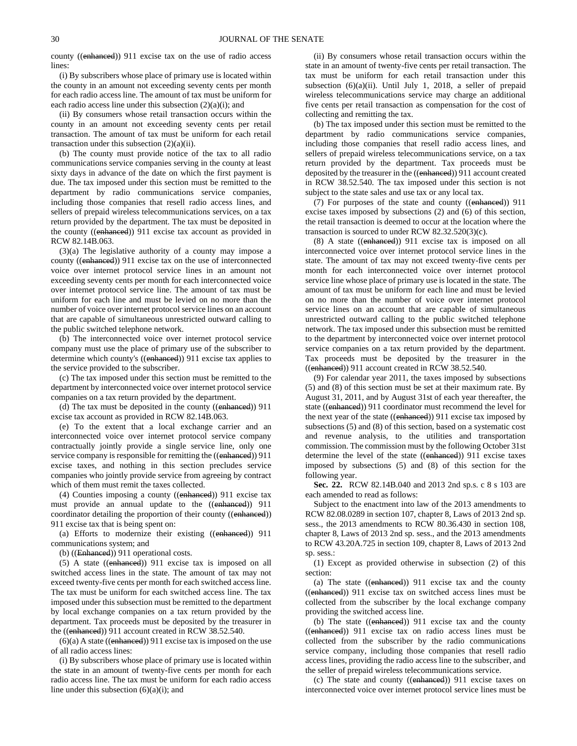county ((enhanced)) 911 excise tax on the use of radio access lines:

(i) By subscribers whose place of primary use is located within the county in an amount not exceeding seventy cents per month for each radio access line. The amount of tax must be uniform for each radio access line under this subsection (2)(a)(i); and

(ii) By consumers whose retail transaction occurs within the county in an amount not exceeding seventy cents per retail transaction. The amount of tax must be uniform for each retail transaction under this subsection (2)(a)(ii).

(b) The county must provide notice of the tax to all radio communications service companies serving in the county at least sixty days in advance of the date on which the first payment is due. The tax imposed under this section must be remitted to the department by radio communications service companies, including those companies that resell radio access lines, and sellers of prepaid wireless telecommunications services, on a tax return provided by the department. The tax must be deposited in the county ((enhanced)) 911 excise tax account as provided in RCW 82.14B.063.

(3)(a) The legislative authority of a county may impose a county ((enhanced)) 911 excise tax on the use of interconnected voice over internet protocol service lines in an amount not exceeding seventy cents per month for each interconnected voice over internet protocol service line. The amount of tax must be uniform for each line and must be levied on no more than the number of voice over internet protocol service lines on an account that are capable of simultaneous unrestricted outward calling to the public switched telephone network.

(b) The interconnected voice over internet protocol service company must use the place of primary use of the subscriber to determine which county's ((enhanced)) 911 excise tax applies to the service provided to the subscriber.

(c) The tax imposed under this section must be remitted to the department by interconnected voice over internet protocol service companies on a tax return provided by the department.

(d) The tax must be deposited in the county ((enhanced)) 911 excise tax account as provided in RCW 82.14B.063.

(e) To the extent that a local exchange carrier and an interconnected voice over internet protocol service company contractually jointly provide a single service line, only one service company is responsible for remitting the ((enhanced)) 911 excise taxes, and nothing in this section precludes service companies who jointly provide service from agreeing by contract which of them must remit the taxes collected.

(4) Counties imposing a county ((enhanced)) 911 excise tax must provide an annual update to the ((enhanced)) 911 coordinator detailing the proportion of their county ((enhanced)) 911 excise tax that is being spent on:

(a) Efforts to modernize their existing ((enhanced)) 911 communications system; and

(b) ((Enhanced)) 911 operational costs.

(5) A state ((enhanced)) 911 excise tax is imposed on all switched access lines in the state. The amount of tax may not exceed twenty-five cents per month for each switched access line. The tax must be uniform for each switched access line. The tax imposed under this subsection must be remitted to the department by local exchange companies on a tax return provided by the department. Tax proceeds must be deposited by the treasurer in the ((enhanced)) 911 account created in RCW 38.52.540.

 $(6)(a)$  A state ((enhanced)) 911 excise tax is imposed on the use of all radio access lines:

(i) By subscribers whose place of primary use is located within the state in an amount of twenty-five cents per month for each radio access line. The tax must be uniform for each radio access line under this subsection (6)(a)(i); and

(ii) By consumers whose retail transaction occurs within the state in an amount of twenty-five cents per retail transaction. The tax must be uniform for each retail transaction under this subsection (6)(a)(ii). Until July 1, 2018, a seller of prepaid wireless telecommunications service may charge an additional five cents per retail transaction as compensation for the cost of collecting and remitting the tax.

(b) The tax imposed under this section must be remitted to the department by radio communications service companies, including those companies that resell radio access lines, and sellers of prepaid wireless telecommunications service, on a tax return provided by the department. Tax proceeds must be deposited by the treasurer in the ((enhanced)) 911 account created in RCW 38.52.540. The tax imposed under this section is not subject to the state sales and use tax or any local tax.

(7) For purposes of the state and county ((enhanced)) 911 excise taxes imposed by subsections (2) and (6) of this section, the retail transaction is deemed to occur at the location where the transaction is sourced to under RCW 82.32.520(3)(c).

(8) A state ((enhanced)) 911 excise tax is imposed on all interconnected voice over internet protocol service lines in the state. The amount of tax may not exceed twenty-five cents per month for each interconnected voice over internet protocol service line whose place of primary use is located in the state. The amount of tax must be uniform for each line and must be levied on no more than the number of voice over internet protocol service lines on an account that are capable of simultaneous unrestricted outward calling to the public switched telephone network. The tax imposed under this subsection must be remitted to the department by interconnected voice over internet protocol service companies on a tax return provided by the department. Tax proceeds must be deposited by the treasurer in the ((enhanced)) 911 account created in RCW 38.52.540.

(9) For calendar year 2011, the taxes imposed by subsections (5) and (8) of this section must be set at their maximum rate. By August 31, 2011, and by August 31st of each year thereafter, the state ((enhanced)) 911 coordinator must recommend the level for the next year of the state ((enhanced)) 911 excise tax imposed by subsections (5) and (8) of this section, based on a systematic cost and revenue analysis, to the utilities and transportation commission. The commission must by the following October 31st determine the level of the state ((enhanced)) 911 excise taxes imposed by subsections (5) and (8) of this section for the following year.

**Sec. 22.** RCW 82.14B.040 and 2013 2nd sp.s. c 8 s 103 are each amended to read as follows:

Subject to the enactment into law of the 2013 amendments to RCW 82.08.0289 in section 107, chapter 8, Laws of 2013 2nd sp. sess., the 2013 amendments to RCW 80.36.430 in section 108, chapter 8, Laws of 2013 2nd sp. sess., and the 2013 amendments to RCW 43.20A.725 in section 109, chapter 8, Laws of 2013 2nd sp. sess.:

(1) Except as provided otherwise in subsection (2) of this section:

(a) The state ((enhanced)) 911 excise tax and the county ((enhanced)) 911 excise tax on switched access lines must be collected from the subscriber by the local exchange company providing the switched access line.

(b) The state ((enhanced)) 911 excise tax and the county ((enhanced)) 911 excise tax on radio access lines must be collected from the subscriber by the radio communications service company, including those companies that resell radio access lines, providing the radio access line to the subscriber, and the seller of prepaid wireless telecommunications service.

(c) The state and county ((enhanced)) 911 excise taxes on interconnected voice over internet protocol service lines must be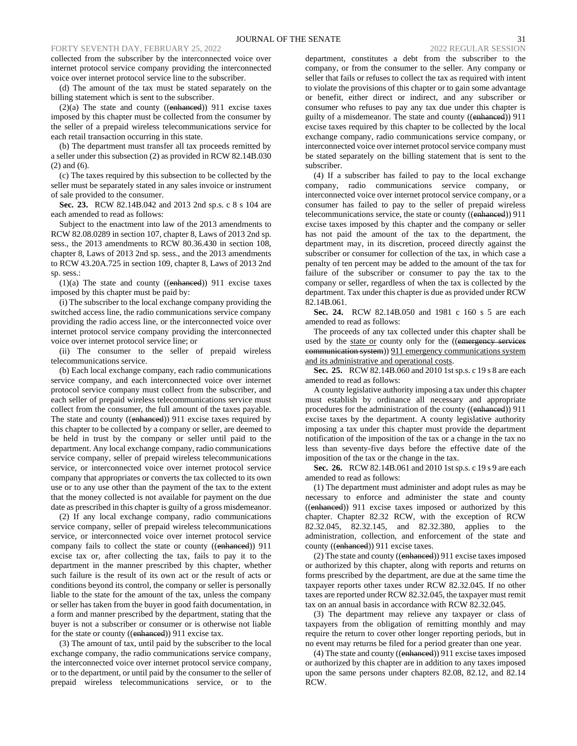collected from the subscriber by the interconnected voice over internet protocol service company providing the interconnected voice over internet protocol service line to the subscriber.

(d) The amount of the tax must be stated separately on the billing statement which is sent to the subscriber.

 $(2)(a)$  The state and county ((enhanced)) 911 excise taxes imposed by this chapter must be collected from the consumer by the seller of a prepaid wireless telecommunications service for each retail transaction occurring in this state.

(b) The department must transfer all tax proceeds remitted by a seller under this subsection (2) as provided in RCW 82.14B.030 (2) and (6).

(c) The taxes required by this subsection to be collected by the seller must be separately stated in any sales invoice or instrument of sale provided to the consumer.

**Sec. 23.** RCW 82.14B.042 and 2013 2nd sp.s. c 8 s 104 are each amended to read as follows:

Subject to the enactment into law of the 2013 amendments to RCW 82.08.0289 in section 107, chapter 8, Laws of 2013 2nd sp. sess., the 2013 amendments to RCW 80.36.430 in section 108, chapter 8, Laws of 2013 2nd sp. sess., and the 2013 amendments to RCW 43.20A.725 in section 109, chapter 8, Laws of 2013 2nd sp. sess.:

(1)(a) The state and county ((enhanced)) 911 excise taxes imposed by this chapter must be paid by:

(i) The subscriber to the local exchange company providing the switched access line, the radio communications service company providing the radio access line, or the interconnected voice over internet protocol service company providing the interconnected voice over internet protocol service line; or

(ii) The consumer to the seller of prepaid wireless telecommunications service.

(b) Each local exchange company, each radio communications service company, and each interconnected voice over internet protocol service company must collect from the subscriber, and each seller of prepaid wireless telecommunications service must collect from the consumer, the full amount of the taxes payable. The state and county ((enhanced)) 911 excise taxes required by this chapter to be collected by a company or seller, are deemed to be held in trust by the company or seller until paid to the department. Any local exchange company, radio communications service company, seller of prepaid wireless telecommunications service, or interconnected voice over internet protocol service company that appropriates or converts the tax collected to its own use or to any use other than the payment of the tax to the extent that the money collected is not available for payment on the due date as prescribed in this chapter is guilty of a gross misdemeanor.

(2) If any local exchange company, radio communications service company, seller of prepaid wireless telecommunications service, or interconnected voice over internet protocol service company fails to collect the state or county ((enhanced)) 911 excise tax or, after collecting the tax, fails to pay it to the department in the manner prescribed by this chapter, whether such failure is the result of its own act or the result of acts or conditions beyond its control, the company or seller is personally liable to the state for the amount of the tax, unless the company or seller has taken from the buyer in good faith documentation, in a form and manner prescribed by the department, stating that the buyer is not a subscriber or consumer or is otherwise not liable for the state or county ((enhanced)) 911 excise tax.

(3) The amount of tax, until paid by the subscriber to the local exchange company, the radio communications service company, the interconnected voice over internet protocol service company, or to the department, or until paid by the consumer to the seller of prepaid wireless telecommunications service, or to the

department, constitutes a debt from the subscriber to the company, or from the consumer to the seller. Any company or seller that fails or refuses to collect the tax as required with intent to violate the provisions of this chapter or to gain some advantage or benefit, either direct or indirect, and any subscriber or consumer who refuses to pay any tax due under this chapter is guilty of a misdemeanor. The state and county ((enhanced)) 911 excise taxes required by this chapter to be collected by the local exchange company, radio communications service company, or interconnected voice over internet protocol service company must be stated separately on the billing statement that is sent to the subscriber.

(4) If a subscriber has failed to pay to the local exchange company, radio communications service company, or interconnected voice over internet protocol service company, or a consumer has failed to pay to the seller of prepaid wireless telecommunications service, the state or county ((enhanced)) 911 excise taxes imposed by this chapter and the company or seller has not paid the amount of the tax to the department, the department may, in its discretion, proceed directly against the subscriber or consumer for collection of the tax, in which case a penalty of ten percent may be added to the amount of the tax for failure of the subscriber or consumer to pay the tax to the company or seller, regardless of when the tax is collected by the department. Tax under this chapter is due as provided under RCW 82.14B.061.

**Sec. 24.** RCW 82.14B.050 and 1981 c 160 s 5 are each amended to read as follows:

The proceeds of any tax collected under this chapter shall be used by the state or county only for the ((emergency services communication system)) 911 emergency communications system and its administrative and operational costs.

**Sec. 25.** RCW 82.14B.060 and 2010 1st sp.s. c 19 s 8 are each amended to read as follows:

A county legislative authority imposing a tax under this chapter must establish by ordinance all necessary and appropriate procedures for the administration of the county ((enhanced)) 911 excise taxes by the department. A county legislative authority imposing a tax under this chapter must provide the department notification of the imposition of the tax or a change in the tax no less than seventy-five days before the effective date of the imposition of the tax or the change in the tax.

**Sec. 26.** RCW 82.14B.061 and 2010 1st sp.s. c 19 s 9 are each amended to read as follows:

(1) The department must administer and adopt rules as may be necessary to enforce and administer the state and county ((enhanced)) 911 excise taxes imposed or authorized by this chapter. Chapter 82.32 RCW, with the exception of RCW 82.32.045, 82.32.145, and 82.32.380, applies to the administration, collection, and enforcement of the state and county ((enhanced)) 911 excise taxes.

(2) The state and county ((enhanced)) 911 excise taxes imposed or authorized by this chapter, along with reports and returns on forms prescribed by the department, are due at the same time the taxpayer reports other taxes under RCW 82.32.045. If no other taxes are reported under RCW 82.32.045, the taxpayer must remit tax on an annual basis in accordance with RCW 82.32.045.

(3) The department may relieve any taxpayer or class of taxpayers from the obligation of remitting monthly and may require the return to cover other longer reporting periods, but in no event may returns be filed for a period greater than one year.

(4) The state and county ((enhanced)) 911 excise taxes imposed or authorized by this chapter are in addition to any taxes imposed upon the same persons under chapters 82.08, 82.12, and 82.14 RCW.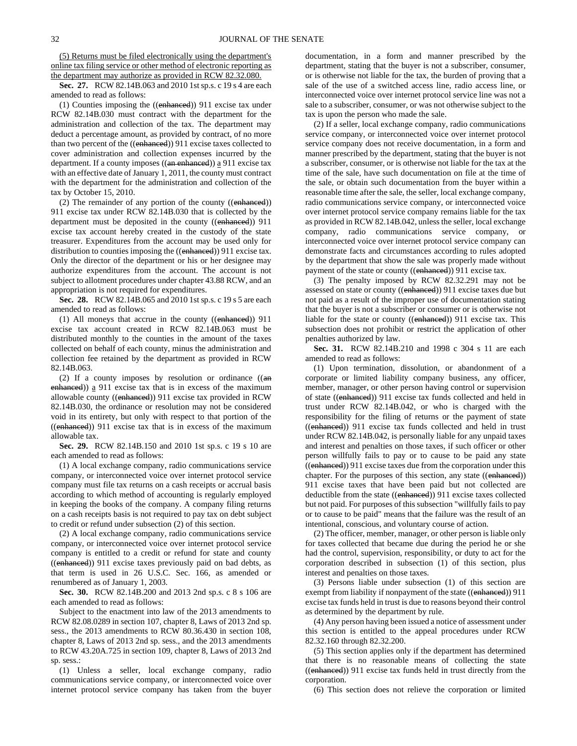(5) Returns must be filed electronically using the department's online tax filing service or other method of electronic reporting as the department may authorize as provided in RCW 82.32.080.

**Sec. 27.** RCW 82.14B.063 and 2010 1st sp.s. c 19 s 4 are each amended to read as follows:

(1) Counties imposing the ((enhanced)) 911 excise tax under RCW 82.14B.030 must contract with the department for the administration and collection of the tax. The department may deduct a percentage amount, as provided by contract, of no more than two percent of the ((enhanced)) 911 excise taxes collected to cover administration and collection expenses incurred by the department. If a county imposes ((an enhanced)) a 911 excise tax with an effective date of January 1, 2011, the county must contract with the department for the administration and collection of the tax by October 15, 2010.

(2) The remainder of any portion of the county ((enhanced)) 911 excise tax under RCW 82.14B.030 that is collected by the department must be deposited in the county ((enhanced)) 911 excise tax account hereby created in the custody of the state treasurer. Expenditures from the account may be used only for distribution to counties imposing the ((enhanced)) 911 excise tax. Only the director of the department or his or her designee may authorize expenditures from the account. The account is not subject to allotment procedures under chapter 43.88 RCW, and an appropriation is not required for expenditures.

**Sec. 28.** RCW 82.14B.065 and 2010 1st sp.s. c 19 s 5 are each amended to read as follows:

(1) All moneys that accrue in the county ((enhanced)) 911 excise tax account created in RCW 82.14B.063 must be distributed monthly to the counties in the amount of the taxes collected on behalf of each county, minus the administration and collection fee retained by the department as provided in RCW 82.14B.063.

(2) If a county imposes by resolution or ordinance  $((an$ enhanced)) a 911 excise tax that is in excess of the maximum allowable county ((enhanced)) 911 excise tax provided in RCW 82.14B.030, the ordinance or resolution may not be considered void in its entirety, but only with respect to that portion of the ((enhanced)) 911 excise tax that is in excess of the maximum allowable tax.

**Sec. 29.** RCW 82.14B.150 and 2010 1st sp.s. c 19 s 10 are each amended to read as follows:

(1) A local exchange company, radio communications service company, or interconnected voice over internet protocol service company must file tax returns on a cash receipts or accrual basis according to which method of accounting is regularly employed in keeping the books of the company. A company filing returns on a cash receipts basis is not required to pay tax on debt subject to credit or refund under subsection (2) of this section.

(2) A local exchange company, radio communications service company, or interconnected voice over internet protocol service company is entitled to a credit or refund for state and county ((enhanced)) 911 excise taxes previously paid on bad debts, as that term is used in 26 U.S.C. Sec. 166, as amended or renumbered as of January 1, 2003.

**Sec. 30.** RCW 82.14B.200 and 2013 2nd sp.s. c 8 s 106 are each amended to read as follows:

Subject to the enactment into law of the 2013 amendments to RCW 82.08.0289 in section 107, chapter 8, Laws of 2013 2nd sp. sess., the 2013 amendments to RCW 80.36.430 in section 108, chapter 8, Laws of 2013 2nd sp. sess., and the 2013 amendments to RCW 43.20A.725 in section 109, chapter 8, Laws of 2013 2nd sp. sess.:

(1) Unless a seller, local exchange company, radio communications service company, or interconnected voice over internet protocol service company has taken from the buyer documentation, in a form and manner prescribed by the department, stating that the buyer is not a subscriber, consumer, or is otherwise not liable for the tax, the burden of proving that a sale of the use of a switched access line, radio access line, or interconnected voice over internet protocol service line was not a sale to a subscriber, consumer, or was not otherwise subject to the tax is upon the person who made the sale.

(2) If a seller, local exchange company, radio communications service company, or interconnected voice over internet protocol service company does not receive documentation, in a form and manner prescribed by the department, stating that the buyer is not a subscriber, consumer, or is otherwise not liable for the tax at the time of the sale, have such documentation on file at the time of the sale, or obtain such documentation from the buyer within a reasonable time after the sale, the seller, local exchange company, radio communications service company, or interconnected voice over internet protocol service company remains liable for the tax as provided in RCW 82.14B.042, unless the seller, local exchange company, radio communications service company, or interconnected voice over internet protocol service company can demonstrate facts and circumstances according to rules adopted by the department that show the sale was properly made without payment of the state or county ((enhanced)) 911 excise tax.

(3) The penalty imposed by RCW 82.32.291 may not be assessed on state or county ((enhanced)) 911 excise taxes due but not paid as a result of the improper use of documentation stating that the buyer is not a subscriber or consumer or is otherwise not liable for the state or county ((enhanced)) 911 excise tax. This subsection does not prohibit or restrict the application of other penalties authorized by law.

**Sec. 31.** RCW 82.14B.210 and 1998 c 304 s 11 are each amended to read as follows:

(1) Upon termination, dissolution, or abandonment of a corporate or limited liability company business, any officer, member, manager, or other person having control or supervision of state ((enhanced)) 911 excise tax funds collected and held in trust under RCW 82.14B.042, or who is charged with the responsibility for the filing of returns or the payment of state ((enhanced)) 911 excise tax funds collected and held in trust under RCW 82.14B.042, is personally liable for any unpaid taxes and interest and penalties on those taxes, if such officer or other person willfully fails to pay or to cause to be paid any state ((enhanced)) 911 excise taxes due from the corporation under this chapter. For the purposes of this section, any state ((enhanced)) 911 excise taxes that have been paid but not collected are deductible from the state ((enhanced)) 911 excise taxes collected but not paid. For purposes of this subsection "willfully fails to pay or to cause to be paid" means that the failure was the result of an intentional, conscious, and voluntary course of action.

(2) The officer, member, manager, or other person is liable only for taxes collected that became due during the period he or she had the control, supervision, responsibility, or duty to act for the corporation described in subsection (1) of this section, plus interest and penalties on those taxes.

(3) Persons liable under subsection (1) of this section are exempt from liability if nonpayment of the state ((enhanced)) 911 excise tax funds held in trust is due to reasons beyond their control as determined by the department by rule.

(4) Any person having been issued a notice of assessment under this section is entitled to the appeal procedures under RCW 82.32.160 through 82.32.200.

(5) This section applies only if the department has determined that there is no reasonable means of collecting the state ((enhanced)) 911 excise tax funds held in trust directly from the corporation.

(6) This section does not relieve the corporation or limited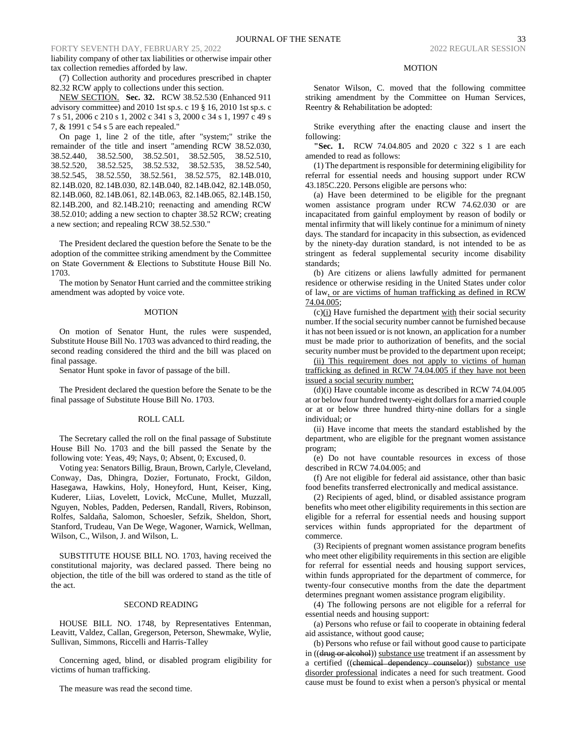liability company of other tax liabilities or otherwise impair other tax collection remedies afforded by law.

(7) Collection authority and procedures prescribed in chapter 82.32 RCW apply to collections under this section.

NEW SECTION. **Sec. 32.** RCW 38.52.530 (Enhanced 911 advisory committee) and 2010 1st sp.s. c 19 § 16, 2010 1st sp.s. c 7 s 51, 2006 c 210 s 1, 2002 c 341 s 3, 2000 c 34 s 1, 1997 c 49 s 7, & 1991 c 54 s 5 are each repealed."

On page 1, line 2 of the title, after "system;" strike the remainder of the title and insert "amending RCW 38.52.030, 38.52.440, 38.52.500, 38.52.501, 38.52.505, 38.52.510, 38.52.520, 38.52.525, 38.52.532, 38.52.535, 38.52.540, 38.52.545, 38.52.550, 38.52.561, 38.52.575, 82.14B.010, 82.14B.020, 82.14B.030, 82.14B.040, 82.14B.042, 82.14B.050, 82.14B.060, 82.14B.061, 82.14B.063, 82.14B.065, 82.14B.150, 82.14B.200, and 82.14B.210; reenacting and amending RCW 38.52.010; adding a new section to chapter 38.52 RCW; creating a new section; and repealing RCW 38.52.530."

The President declared the question before the Senate to be the adoption of the committee striking amendment by the Committee on State Government & Elections to Substitute House Bill No. 1703.

The motion by Senator Hunt carried and the committee striking amendment was adopted by voice vote.

#### MOTION

On motion of Senator Hunt, the rules were suspended, Substitute House Bill No. 1703 was advanced to third reading, the second reading considered the third and the bill was placed on final passage.

Senator Hunt spoke in favor of passage of the bill.

The President declared the question before the Senate to be the final passage of Substitute House Bill No. 1703.

#### ROLL CALL

The Secretary called the roll on the final passage of Substitute House Bill No. 1703 and the bill passed the Senate by the following vote: Yeas, 49; Nays, 0; Absent, 0; Excused, 0.

Voting yea: Senators Billig, Braun, Brown, Carlyle, Cleveland, Conway, Das, Dhingra, Dozier, Fortunato, Frockt, Gildon, Hasegawa, Hawkins, Holy, Honeyford, Hunt, Keiser, King, Kuderer, Liias, Lovelett, Lovick, McCune, Mullet, Muzzall, Nguyen, Nobles, Padden, Pedersen, Randall, Rivers, Robinson, Rolfes, Saldaña, Salomon, Schoesler, Sefzik, Sheldon, Short, Stanford, Trudeau, Van De Wege, Wagoner, Warnick, Wellman, Wilson, C., Wilson, J. and Wilson, L.

SUBSTITUTE HOUSE BILL NO. 1703, having received the constitutional majority, was declared passed. There being no objection, the title of the bill was ordered to stand as the title of the act.

#### SECOND READING

HOUSE BILL NO. 1748, by Representatives Entenman, Leavitt, Valdez, Callan, Gregerson, Peterson, Shewmake, Wylie, Sullivan, Simmons, Riccelli and Harris-Talley

Concerning aged, blind, or disabled program eligibility for victims of human trafficking.

The measure was read the second time.

#### MOTION

Senator Wilson, C. moved that the following committee striking amendment by the Committee on Human Services, Reentry & Rehabilitation be adopted:

Strike everything after the enacting clause and insert the following:

**"Sec. 1.** RCW 74.04.805 and 2020 c 322 s 1 are each amended to read as follows:

(1) The department is responsible for determining eligibility for referral for essential needs and housing support under RCW 43.185C.220. Persons eligible are persons who:

(a) Have been determined to be eligible for the pregnant women assistance program under RCW 74.62.030 or are incapacitated from gainful employment by reason of bodily or mental infirmity that will likely continue for a minimum of ninety days. The standard for incapacity in this subsection, as evidenced by the ninety-day duration standard, is not intended to be as stringent as federal supplemental security income disability standards;

(b) Are citizens or aliens lawfully admitted for permanent residence or otherwise residing in the United States under color of law, or are victims of human trafficking as defined in RCW 74.04.005;

(c)(i) Have furnished the department with their social security number. If the social security number cannot be furnished because it has not been issued or is not known, an application for a number must be made prior to authorization of benefits, and the social security number must be provided to the department upon receipt;

(ii) This requirement does not apply to victims of human trafficking as defined in RCW 74.04.005 if they have not been issued a social security number;

(d)(i) Have countable income as described in RCW 74.04.005 at or below four hundred twenty-eight dollars for a married couple or at or below three hundred thirty-nine dollars for a single individual; or

(ii) Have income that meets the standard established by the department, who are eligible for the pregnant women assistance program;

(e) Do not have countable resources in excess of those described in RCW 74.04.005; and

(f) Are not eligible for federal aid assistance, other than basic food benefits transferred electronically and medical assistance.

(2) Recipients of aged, blind, or disabled assistance program benefits who meet other eligibility requirements in this section are eligible for a referral for essential needs and housing support services within funds appropriated for the department of commerce.

(3) Recipients of pregnant women assistance program benefits who meet other eligibility requirements in this section are eligible for referral for essential needs and housing support services, within funds appropriated for the department of commerce, for twenty-four consecutive months from the date the department determines pregnant women assistance program eligibility.

(4) The following persons are not eligible for a referral for essential needs and housing support:

(a) Persons who refuse or fail to cooperate in obtaining federal aid assistance, without good cause;

(b) Persons who refuse or fail without good cause to participate in ((drug or alcohol)) substance use treatment if an assessment by a certified ((chemical dependency counselor)) substance use disorder professional indicates a need for such treatment. Good cause must be found to exist when a person's physical or mental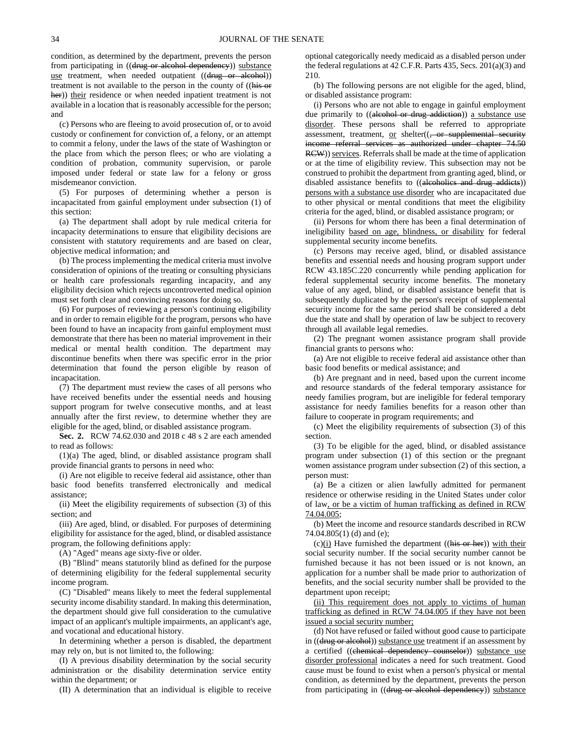condition, as determined by the department, prevents the person from participating in ((drug or alcohol dependency)) substance use treatment, when needed outpatient ((drug or alcohol)) treatment is not available to the person in the county of ((his or her)) their residence or when needed inpatient treatment is not available in a location that is reasonably accessible for the person; and

(c) Persons who are fleeing to avoid prosecution of, or to avoid custody or confinement for conviction of, a felony, or an attempt to commit a felony, under the laws of the state of Washington or the place from which the person flees; or who are violating a condition of probation, community supervision, or parole imposed under federal or state law for a felony or gross misdemeanor conviction.

(5) For purposes of determining whether a person is incapacitated from gainful employment under subsection (1) of this section:

(a) The department shall adopt by rule medical criteria for incapacity determinations to ensure that eligibility decisions are consistent with statutory requirements and are based on clear, objective medical information; and

(b) The process implementing the medical criteria must involve consideration of opinions of the treating or consulting physicians or health care professionals regarding incapacity, and any eligibility decision which rejects uncontroverted medical opinion must set forth clear and convincing reasons for doing so.

(6) For purposes of reviewing a person's continuing eligibility and in order to remain eligible for the program, persons who have been found to have an incapacity from gainful employment must demonstrate that there has been no material improvement in their medical or mental health condition. The department may discontinue benefits when there was specific error in the prior determination that found the person eligible by reason of incapacitation.

(7) The department must review the cases of all persons who have received benefits under the essential needs and housing support program for twelve consecutive months, and at least annually after the first review, to determine whether they are eligible for the aged, blind, or disabled assistance program.

**Sec. 2.** RCW 74.62.030 and 2018 c 48 s 2 are each amended to read as follows:

(1)(a) The aged, blind, or disabled assistance program shall provide financial grants to persons in need who:

(i) Are not eligible to receive federal aid assistance, other than basic food benefits transferred electronically and medical assistance;

(ii) Meet the eligibility requirements of subsection (3) of this section; and

(iii) Are aged, blind, or disabled. For purposes of determining eligibility for assistance for the aged, blind, or disabled assistance program, the following definitions apply:

(A) "Aged" means age sixty-five or older.

(B) "Blind" means statutorily blind as defined for the purpose of determining eligibility for the federal supplemental security income program.

(C) "Disabled" means likely to meet the federal supplemental security income disability standard. In making this determination, the department should give full consideration to the cumulative impact of an applicant's multiple impairments, an applicant's age, and vocational and educational history.

In determining whether a person is disabled, the department may rely on, but is not limited to, the following:

(I) A previous disability determination by the social security administration or the disability determination service entity within the department; or

(II) A determination that an individual is eligible to receive

optional categorically needy medicaid as a disabled person under the federal regulations at 42 C.F.R. Parts 435, Secs. 201(a)(3) and 210.

(b) The following persons are not eligible for the aged, blind, or disabled assistance program:

(i) Persons who are not able to engage in gainful employment due primarily to ((alcohol or drug addiction)) a substance use disorder. These persons shall be referred to appropriate assessment, treatment, or shelter((, or supplemental security income referral services as authorized under chapter 74.50 RCW)) services. Referrals shall be made at the time of application or at the time of eligibility review. This subsection may not be construed to prohibit the department from granting aged, blind, or disabled assistance benefits to ((alcoholics and drug addicts)) persons with a substance use disorder who are incapacitated due to other physical or mental conditions that meet the eligibility criteria for the aged, blind, or disabled assistance program; or

(ii) Persons for whom there has been a final determination of ineligibility based on age, blindness, or disability for federal supplemental security income benefits.

(c) Persons may receive aged, blind, or disabled assistance benefits and essential needs and housing program support under RCW 43.185C.220 concurrently while pending application for federal supplemental security income benefits. The monetary value of any aged, blind, or disabled assistance benefit that is subsequently duplicated by the person's receipt of supplemental security income for the same period shall be considered a debt due the state and shall by operation of law be subject to recovery through all available legal remedies.

(2) The pregnant women assistance program shall provide financial grants to persons who:

(a) Are not eligible to receive federal aid assistance other than basic food benefits or medical assistance; and

(b) Are pregnant and in need, based upon the current income and resource standards of the federal temporary assistance for needy families program, but are ineligible for federal temporary assistance for needy families benefits for a reason other than failure to cooperate in program requirements; and

(c) Meet the eligibility requirements of subsection (3) of this section.

(3) To be eligible for the aged, blind, or disabled assistance program under subsection (1) of this section or the pregnant women assistance program under subsection (2) of this section, a person must:

(a) Be a citizen or alien lawfully admitted for permanent residence or otherwise residing in the United States under color of law, or be a victim of human trafficking as defined in RCW 74.04.005;

(b) Meet the income and resource standards described in RCW 74.04.805(1) (d) and (e);

 $(c)(i)$  Have furnished the department  $((his or her))$  with their social security number. If the social security number cannot be furnished because it has not been issued or is not known, an application for a number shall be made prior to authorization of benefits, and the social security number shall be provided to the department upon receipt;

(ii) This requirement does not apply to victims of human trafficking as defined in RCW 74.04.005 if they have not been issued a social security number;

(d) Not have refused or failed without good cause to participate in ((drug or alcohol)) substance use treatment if an assessment by a certified ((chemical dependency counselor)) substance use disorder professional indicates a need for such treatment. Good cause must be found to exist when a person's physical or mental condition, as determined by the department, prevents the person from participating in ((drug or alcohol dependency)) substance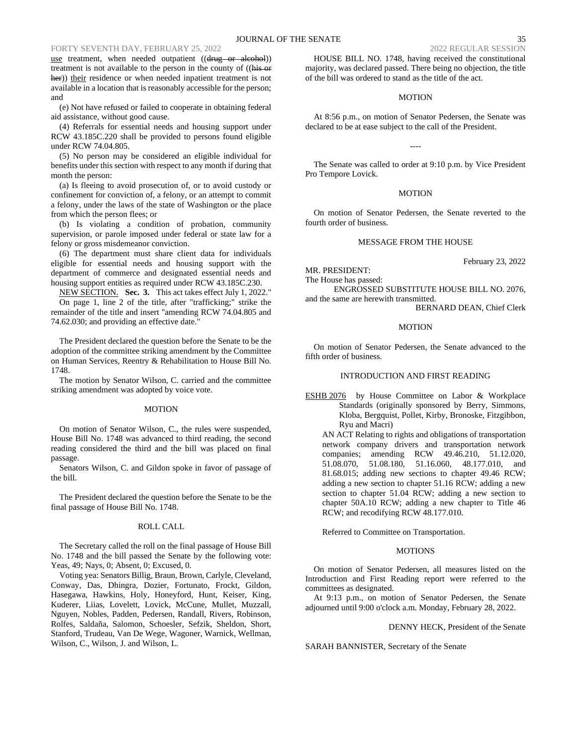use treatment, when needed outpatient ((drug or alcohol)) treatment is not available to the person in the county of ((his or her)) their residence or when needed inpatient treatment is not available in a location that is reasonably accessible for the person; and

(e) Not have refused or failed to cooperate in obtaining federal aid assistance, without good cause.

(4) Referrals for essential needs and housing support under RCW 43.185C.220 shall be provided to persons found eligible under RCW 74.04.805.

(5) No person may be considered an eligible individual for benefits under this section with respect to any month if during that month the person:

(a) Is fleeing to avoid prosecution of, or to avoid custody or confinement for conviction of, a felony, or an attempt to commit a felony, under the laws of the state of Washington or the place from which the person flees; or

(b) Is violating a condition of probation, community supervision, or parole imposed under federal or state law for a felony or gross misdemeanor conviction.

(6) The department must share client data for individuals eligible for essential needs and housing support with the department of commerce and designated essential needs and housing support entities as required under RCW 43.185C.230.

NEW SECTION. **Sec. 3.** This act takes effect July 1, 2022." On page 1, line 2 of the title, after "trafficking;" strike the remainder of the title and insert "amending RCW 74.04.805 and 74.62.030; and providing an effective date."

The President declared the question before the Senate to be the adoption of the committee striking amendment by the Committee on Human Services, Reentry & Rehabilitation to House Bill No. 1748.

The motion by Senator Wilson, C. carried and the committee striking amendment was adopted by voice vote.

#### MOTION

On motion of Senator Wilson, C., the rules were suspended, House Bill No. 1748 was advanced to third reading, the second reading considered the third and the bill was placed on final passage.

Senators Wilson, C. and Gildon spoke in favor of passage of the bill.

The President declared the question before the Senate to be the final passage of House Bill No. 1748.

### ROLL CALL

The Secretary called the roll on the final passage of House Bill No. 1748 and the bill passed the Senate by the following vote: Yeas, 49; Nays, 0; Absent, 0; Excused, 0.

Voting yea: Senators Billig, Braun, Brown, Carlyle, Cleveland, Conway, Das, Dhingra, Dozier, Fortunato, Frockt, Gildon, Hasegawa, Hawkins, Holy, Honeyford, Hunt, Keiser, King, Kuderer, Liias, Lovelett, Lovick, McCune, Mullet, Muzzall, Nguyen, Nobles, Padden, Pedersen, Randall, Rivers, Robinson, Rolfes, Saldaña, Salomon, Schoesler, Sefzik, Sheldon, Short, Stanford, Trudeau, Van De Wege, Wagoner, Warnick, Wellman, Wilson, C., Wilson, J. and Wilson, L.

HOUSE BILL NO. 1748, having received the constitutional majority, was declared passed. There being no objection, the title of the bill was ordered to stand as the title of the act.

### **MOTION**

At 8:56 p.m., on motion of Senator Pedersen, the Senate was declared to be at ease subject to the call of the President.

The Senate was called to order at 9:10 p.m. by Vice President Pro Tempore Lovick.

----

#### **MOTION**

On motion of Senator Pedersen, the Senate reverted to the fourth order of business.

## MESSAGE FROM THE HOUSE

MR. PRESIDENT:

The House has passed:

ENGROSSED SUBSTITUTE HOUSE BILL NO. 2076, and the same are herewith transmitted.

BERNARD DEAN, Chief Clerk

February 23, 2022

## MOTION

On motion of Senator Pedersen, the Senate advanced to the fifth order of business.

## INTRODUCTION AND FIRST READING

ESHB 2076 by House Committee on Labor & Workplace Standards (originally sponsored by Berry, Simmons, Kloba, Bergquist, Pollet, Kirby, Bronoske, Fitzgibbon, Ryu and Macri)

AN ACT Relating to rights and obligations of transportation network company drivers and transportation network companies; amending RCW 49.46.210, 51.12.020, 51.08.070, 51.08.180, 51.16.060, 48.177.010, and 81.68.015; adding new sections to chapter 49.46 RCW; adding a new section to chapter 51.16 RCW; adding a new section to chapter 51.04 RCW; adding a new section to chapter 50A.10 RCW; adding a new chapter to Title 46 RCW; and recodifying RCW 48.177.010.

Referred to Committee on Transportation.

### MOTIONS

On motion of Senator Pedersen, all measures listed on the Introduction and First Reading report were referred to the committees as designated.

At 9:13 p.m., on motion of Senator Pedersen, the Senate adjourned until 9:00 o'clock a.m. Monday, February 28, 2022.

### DENNY HECK, President of the Senate

SARAH BANNISTER, Secretary of the Senate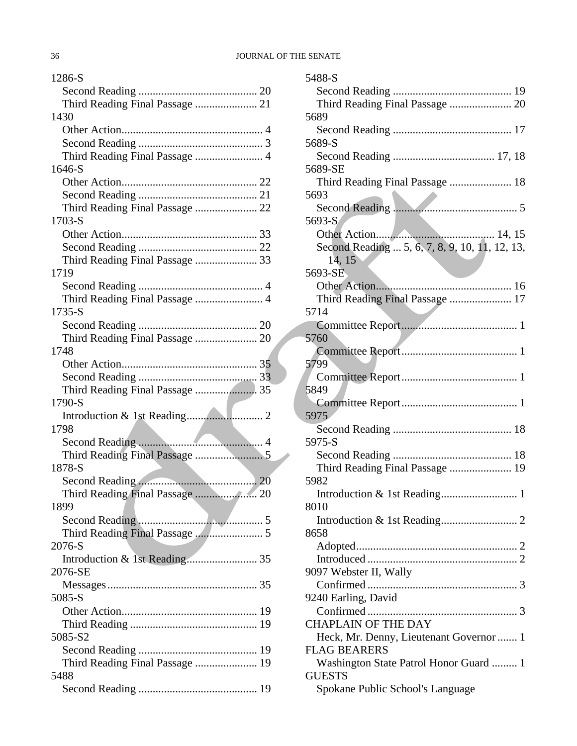| 1286-S                                  |
|-----------------------------------------|
|                                         |
| Third Reading Final Passage  21         |
| 1430                                    |
|                                         |
|                                         |
| Third Reading Final Passage  4          |
| 1646-S                                  |
|                                         |
|                                         |
|                                         |
| 1703-S                                  |
|                                         |
|                                         |
| Third Reading Final Passage  33         |
| 1719                                    |
|                                         |
| Third Reading Final Passage  4          |
| 1735-S                                  |
|                                         |
|                                         |
| 1748                                    |
|                                         |
|                                         |
| Third Reading Final Passage  35         |
| 1790-S                                  |
|                                         |
| 1798                                    |
|                                         |
|                                         |
| 1878-S                                  |
|                                         |
|                                         |
| 1899                                    |
|                                         |
|                                         |
| 2076-S                                  |
|                                         |
| 2076-SE                                 |
|                                         |
| 5085-S                                  |
|                                         |
|                                         |
| 5085-S2                                 |
|                                         |
| Third Reading Final Passage  19<br>5488 |
|                                         |
|                                         |

| 5488-S                                                         |
|----------------------------------------------------------------|
|                                                                |
|                                                                |
| 5689                                                           |
|                                                                |
| 5689-S                                                         |
|                                                                |
| 5689-SE                                                        |
| Third Reading Final Passage  18                                |
| 5693                                                           |
|                                                                |
| 5693-S                                                         |
|                                                                |
| Second Reading  5, 6, 7, 8, 9, 10, 11, 12, 13,                 |
| 14, 15                                                         |
| 5693-SE                                                        |
|                                                                |
| Third Reading Final Passage  17                                |
| 5714                                                           |
|                                                                |
| 5760                                                           |
| 5799                                                           |
|                                                                |
| 5849                                                           |
|                                                                |
| 5975                                                           |
|                                                                |
| 5975-S                                                         |
|                                                                |
|                                                                |
| 5982                                                           |
|                                                                |
| 8010                                                           |
|                                                                |
| 8658                                                           |
|                                                                |
|                                                                |
| 9097 Webster II, Wally                                         |
|                                                                |
| 9240 Earling, David                                            |
|                                                                |
| <b>CHAPLAIN OF THE DAY</b>                                     |
| Heck, Mr. Denny, Lieutenant Governor  1<br><b>FLAG BEARERS</b> |
| Washington State Patrol Honor Guard  1                         |
| <b>GUESTS</b>                                                  |
| Spokane Public School's Language                               |
|                                                                |